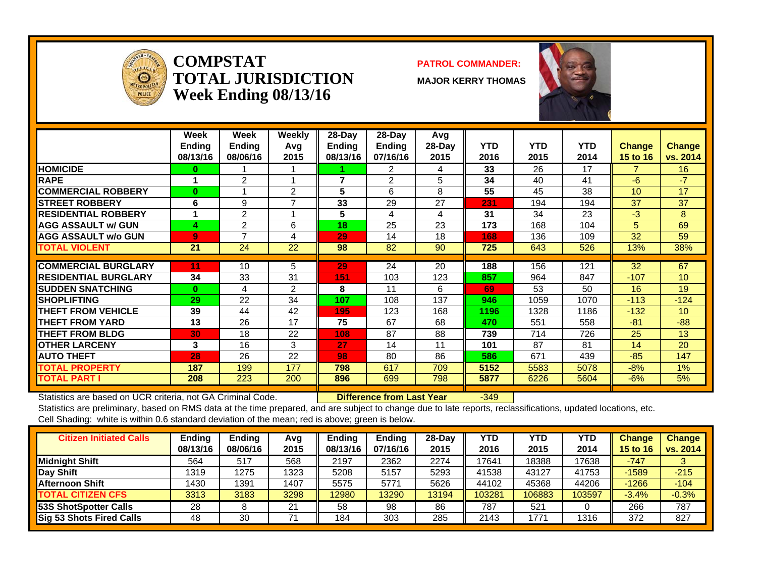

#### **COMPSTATTOTAL JURISDICTIONWeek Ending 08/13/16**

#### **PATROL COMMANDER:**

**MAJOR KERRY THOMAS**



|                              | Week<br><b>Ending</b><br>08/13/16 | Week<br><b>Ending</b><br>08/06/16 | Weekly<br>Avq<br>2015 | $28-Day$<br><b>Ending</b><br>08/13/16 | $28$ -Day<br>Ending<br>07/16/16 | Avg<br>$28-Day$<br>2015 | <b>YTD</b><br>2016 | <b>YTD</b><br>2015 | <b>YTD</b><br>2014 | <b>Change</b><br><b>15 to 16</b> | <b>Change</b><br>vs. 2014 |
|------------------------------|-----------------------------------|-----------------------------------|-----------------------|---------------------------------------|---------------------------------|-------------------------|--------------------|--------------------|--------------------|----------------------------------|---------------------------|
| <b>HOMICIDE</b>              | 0.                                |                                   |                       |                                       | 2                               | 4                       | 33                 | 26                 | 17                 |                                  | 16                        |
| <b>RAPE</b>                  |                                   | 2                                 |                       | $\overline{7}$                        | 2                               | 5                       | 34                 | 40                 | 41                 | $-6$                             | $-7$                      |
| <b>COMMERCIAL ROBBERY</b>    | 0                                 | 1                                 | 2                     | 5                                     | 6                               | 8                       | 55                 | 45                 | 38                 | 10                               | 17                        |
| <b>STREET ROBBERY</b>        | 6                                 | 9                                 | $\overline{ }$        | 33                                    | 29                              | 27                      | 231                | 194                | 194                | 37                               | 37                        |
| <b>RESIDENTIAL ROBBERY</b>   |                                   | $\overline{2}$                    |                       | 5                                     | $\overline{4}$                  | 4                       | 31                 | 34                 | 23                 | $-3$                             | 8                         |
| <b>AGG ASSAULT w/ GUN</b>    | 4                                 | 2                                 | 6                     | 18                                    | 25                              | 23                      | 173                | 168                | 104                | 5                                | 69                        |
| <b>AGG ASSAULT w/o GUN</b>   | 9.                                | 7                                 | 4                     | 29                                    | 14                              | 18                      | 168                | 136                | 109                | 32                               | 59                        |
| <b>TOTAL VIOLENT</b>         | 21                                | 24                                | 22                    | 98                                    | 82                              | 90                      | 725                | 643                | 526                | 13%                              | 38%                       |
|                              |                                   |                                   |                       |                                       |                                 |                         |                    |                    |                    |                                  |                           |
| <b>ICOMMERCIAL BURGLARY</b>  | 11                                | 10                                | 5                     | 29                                    | 24                              | 20                      | 188                | 156                | 121                | 32                               | 67                        |
| <b>IRESIDENTIAL BURGLARY</b> | 34                                | 33                                | 31                    | 151                                   | 103                             | 123                     | 857                | 964                | 847                | $-107$                           | 10                        |
| <b>SUDDEN SNATCHING</b>      | $\bf{0}$                          | 4                                 | 2                     | 8                                     | 11                              | 6                       | 69                 | 53                 | 50                 | 16                               | 19                        |
| <b>SHOPLIFTING</b>           | 29                                | 22                                | 34                    | 107                                   | 108                             | 137                     | 946                | 1059               | 1070               | $-113$                           | $-124$                    |
| <b>THEFT FROM VEHICLE</b>    | 39                                | 44                                | 42                    | 195                                   | 123                             | 168                     | 1196               | 1328               | 1186               | $-132$                           | 10 <sup>1</sup>           |
| <b>THEFT FROM YARD</b>       | 13                                | 26                                | 17                    | 75                                    | 67                              | 68                      | 470                | 551                | 558                | $-81$                            | $-88$                     |
| <b>THEFT FROM BLDG</b>       | 30                                | 18                                | 22                    | 108                                   | 87                              | 88                      | 739                | 714                | 726                | 25                               | 13                        |
| <b>OTHER LARCENY</b>         | 3                                 | 16                                | 3                     | 27                                    | 14                              | 11                      | 101                | 87                 | 81                 | 14                               | 20                        |
| <b>AUTO THEFT</b>            | 28                                | 26                                | 22                    | 98                                    | 80                              | 86                      | 586                | 671                | 439                | $-85$                            | 147                       |
| <b>TOTAL PROPERTY</b>        | 187                               | 199                               | 177                   | 798                                   | 617                             | 709                     | 5152               | 5583               | 5078               | $-8%$                            | $1\%$                     |
| <b>TOTAL PART I</b>          | 208                               | 223                               | 200                   | 896                                   | 699                             | 798                     | 5877               | 6226               | 5604               | $-6\%$                           | 5%                        |

Statistics are based on UCR criteria, not GA Criminal Code. **Difference from Last Year** -349

| <b>Citizen Initiated Calls</b>  | Ending   | Ending   | Avg  | <b>Ending</b> | <b>Ending</b> | $28-Dav$ | YTD    | YTD    | YTD    | <b>Change</b> | <b>Change</b> |
|---------------------------------|----------|----------|------|---------------|---------------|----------|--------|--------|--------|---------------|---------------|
|                                 | 08/13/16 | 08/06/16 | 2015 | 08/13/16      | 07/16/16      | 2015     | 2016   | 2015   | 2014   | 15 to 16      | vs. 2014      |
| <b>Midnight Shift</b>           | 564      | 517      | 568  | 2197          | 2362          | 2274     | 17641  | 18388  | 17638  | $-747$        |               |
| <b>Day Shift</b>                | 1319     | 1275     | 1323 | 5208          | 5157          | 5293     | 41538  | 43127  | 41753  | $-1589$       | $-215$        |
| <b>Afternoon Shift</b>          | 1430     | 1391     | 1407 | 5575          | 5771          | 5626     | 44102  | 45368  | 44206  | $-1266$       | $-104$        |
| <b>TOTAL CITIZEN CFS</b>        | 3313     | 3183     | 3298 | 12980         | 13290         | 13194    | 103281 | 106883 | 103597 | $-3.4%$       | $-0.3%$       |
| 53S ShotSpotter Calls           | 28       |          | 21   | 58            | 98            | 86       | 787    | 521    |        | 266           | 787           |
| <b>Sig 53 Shots Fired Calls</b> | 48       | 30       |      | 184           | 303           | 285      | 2143   | 1771   | 1316   | 372           | 827           |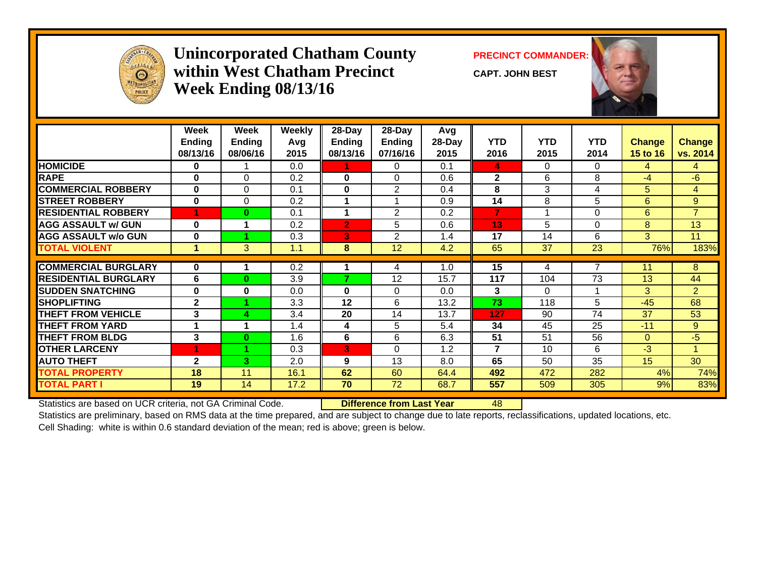

### **Unincorporated Chatham County PRECINCT COMMANDER: within West Chatham PrecinctWeek Ending 08/13/16**

**CAPT. JOHN BEST**



|                             | Week<br><b>Ending</b><br>08/13/16 | Week<br><b>Ending</b><br>08/06/16 | <b>Weekly</b><br>Avg<br>2015 | 28-Day<br><b>Ending</b><br>08/13/16 | 28-Day<br>Ending<br>07/16/16 | Avg<br>28-Day<br>2015 | <b>YTD</b><br>2016 | <b>YTD</b><br>2015 | <b>YTD</b><br>2014 | Change<br>15 to 16 | <b>Change</b><br>vs. 2014 |
|-----------------------------|-----------------------------------|-----------------------------------|------------------------------|-------------------------------------|------------------------------|-----------------------|--------------------|--------------------|--------------------|--------------------|---------------------------|
| <b>HOMICIDE</b>             | 0                                 |                                   | 0.0                          | 1.                                  | $\Omega$                     | 0.1                   | 4                  | 0                  | $\Omega$           | 4                  | 4                         |
| <b>RAPE</b>                 | 0                                 | 0                                 | 0.2                          | 0                                   | $\Omega$                     | 0.6                   | $\mathbf{2}$       | 6                  | 8                  | $-4$               | $-6$                      |
| <b>COMMERCIAL ROBBERY</b>   | 0                                 | $\Omega$                          | 0.1                          | 0                                   | $\overline{2}$               | 0.4                   | 8                  | 3                  | 4                  | 5                  | 4                         |
| <b>ISTREET ROBBERY</b>      | 0                                 | $\Omega$                          | 0.2                          |                                     |                              | 0.9                   | 14                 | 8                  | 5                  | 6                  | 9                         |
| <b>RESIDENTIAL ROBBERY</b>  | 4                                 | $\bf{0}$                          | 0.1                          | 1                                   | 2                            | 0.2                   | 7                  | 1                  | 0                  | 6                  | $\overline{7}$            |
| <b>AGG ASSAULT w/ GUN</b>   | 0                                 |                                   | 0.2                          | $\overline{2}$                      | 5                            | 0.6                   | 13                 | 5                  | 0                  | 8                  | 13                        |
| <b>AGG ASSAULT w/o GUN</b>  | $\bf{0}$                          |                                   | 0.3                          | 3                                   | 2                            | 1.4                   | 17                 | 14                 | 6                  | 3 <sup>1</sup>     | 11                        |
| <b>TOTAL VIOLENT</b>        | 1                                 | 3                                 | 1.1                          | 8                                   | 12                           | 4.2                   | 65                 | 37                 | 23                 | 76%                | 183%                      |
| <b>COMMERCIAL BURGLARY</b>  | 0                                 |                                   | 0.2                          |                                     | 4                            | 1.0                   | 15                 | 4                  | 7                  | 11                 | 8                         |
| <b>RESIDENTIAL BURGLARY</b> | 6                                 | $\bf{0}$                          | 3.9                          | 7                                   | 12                           | 15.7                  | 117                | 104                | 73                 | 13                 | 44                        |
| <b>SUDDEN SNATCHING</b>     | 0                                 | 0                                 | 0.0                          | 0                                   | $\Omega$                     | 0.0                   | 3                  | $\Omega$           |                    | 3                  | $\overline{2}$            |
| <b>SHOPLIFTING</b>          | $\mathbf{2}$                      |                                   | 3.3                          | 12                                  | 6                            | 13.2                  | 73                 | 118                | 5                  | $-45$              | 68                        |
| <b>THEFT FROM VEHICLE</b>   | 3                                 | 4                                 | 3.4                          | 20                                  | 14                           | 13.7                  | 127                | 90                 | 74                 | 37                 | 53                        |
| <b>THEFT FROM YARD</b>      | 1                                 |                                   | 1.4                          | 4                                   | 5                            | 5.4                   | 34                 | 45                 | 25                 | $-11$              | 9                         |
| <b>THEFT FROM BLDG</b>      | 3                                 | $\bf{0}$                          | 1.6                          | 6                                   | 6                            | 6.3                   | 51                 | 51                 | 56                 | $\overline{0}$     | $-5$                      |
| <b>OTHER LARCENY</b>        | 1                                 |                                   | 0.3                          | 3                                   | $\Omega$                     | 1.2                   | 7                  | 10                 | 6                  | $-3$               |                           |
| <b>AUTO THEFT</b>           | $\mathbf{2}$                      | 3                                 | 2.0                          | 9                                   | 13                           | 8.0                   | 65                 | 50                 | 35                 | 15 <sub>2</sub>    | 30                        |
| <b>TOTAL PROPERTY</b>       | 18                                | 11                                | 16.1                         | 62                                  | 60                           | 64.4                  | 492                | 472                | 282                | 4%                 | 74%                       |
| <b>TOTAL PART I</b>         | 19                                | 14                                | 17.2                         | 70                                  | 72                           | 68.7                  | 557                | 509                | 305                | 9%                 | 83%                       |

Statistics are based on UCR criteria, not GA Criminal Code. **Difference from Last Year** 48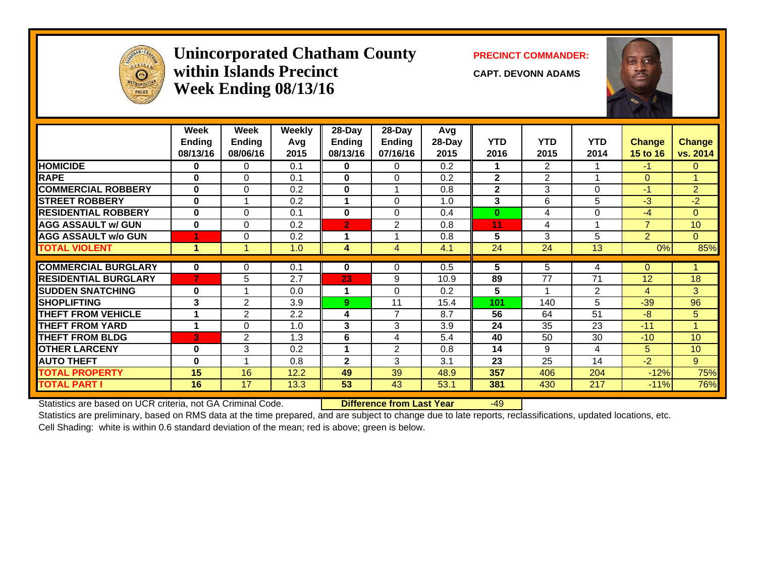

## Unincorporated Chatham County PRECINCT COMMANDER: **within Islands PrecinctWeek Ending 08/13/16**

**CAPT. DEVONN ADAMS**



|                             | Week<br><b>Ending</b><br>08/13/16 | Week<br><b>Ending</b><br>08/06/16 | <b>Weekly</b><br>Avg<br>2015 | 28-Day<br><b>Endina</b><br>08/13/16 | 28-Day<br><b>Ending</b><br>07/16/16 | Avg<br>28-Day<br>2015 | <b>YTD</b><br>2016 | <b>YTD</b><br>2015       | <b>YTD</b><br>2014 | <b>Change</b><br><b>15 to 16</b> | <b>Change</b><br>vs. 2014 |
|-----------------------------|-----------------------------------|-----------------------------------|------------------------------|-------------------------------------|-------------------------------------|-----------------------|--------------------|--------------------------|--------------------|----------------------------------|---------------------------|
| <b>HOMICIDE</b>             | 0                                 | $\Omega$                          | 0.1                          | $\mathbf{0}$                        | $\Omega$                            | 0.2                   | 1                  | $\overline{2}$           |                    | $-1$                             | $\mathbf{0}$              |
| <b>RAPE</b>                 | $\bf{0}$                          | $\Omega$                          | 0.1                          | $\bf{0}$                            | $\Omega$                            | 0.2                   | $\overline{2}$     | $\overline{2}$           |                    | $\Omega$                         | 1                         |
| <b>COMMERCIAL ROBBERY</b>   | $\bf{0}$                          | $\Omega$                          | 0.2                          | $\bf{0}$                            |                                     | 0.8                   | $\mathbf{2}$       | 3                        | $\Omega$           | $-1$                             | $\overline{2}$            |
| <b>STREET ROBBERY</b>       | $\bf{0}$                          |                                   | 0.2                          | 1                                   | $\Omega$                            | 1.0                   | 3                  | 6                        | 5                  | $-3$                             | $-2$                      |
| <b>RESIDENTIAL ROBBERY</b>  | $\bf{0}$                          | $\Omega$                          | 0.1                          | $\bf{0}$                            | $\Omega$                            | 0.4                   | $\bf{0}$           | 4                        | $\Omega$           | $-4$                             | $\Omega$                  |
| <b>AGG ASSAULT w/ GUN</b>   | $\bf{0}$                          | $\Omega$                          | 0.2                          | $\overline{2}$                      | 2                                   | 0.8                   | 11                 | 4                        |                    | $\overline{7}$                   | 10                        |
| <b>AGG ASSAULT w/o GUN</b>  |                                   | $\Omega$                          | 0.2                          |                                     |                                     | 0.8                   | 5                  | 3                        | 5                  | $\overline{2}$                   | $\Omega$                  |
| <b>TOTAL VIOLENT</b>        |                                   |                                   | 1.0                          | 4                                   | 4                                   | 4.1                   | 24                 | 24                       | 13                 | 0%                               | 85%                       |
| <b>COMMERCIAL BURGLARY</b>  | 0                                 | 0                                 | 0.1                          | $\bf{0}$                            | $\Omega$                            | 0.5                   | 5                  | 5                        | 4                  | 0                                |                           |
| <b>RESIDENTIAL BURGLARY</b> | 7.                                | 5                                 | 2.7                          | 23                                  | 9                                   | 10.9                  | 89                 | 77                       | 71                 | 12                               | 18                        |
| <b>SUDDEN SNATCHING</b>     | $\bf{0}$                          |                                   | 0.0                          | 1                                   | $\Omega$                            | 0.2                   | 5                  | $\overline{\phantom{a}}$ |                    | 4                                |                           |
| <b>SHOPLIFTING</b>          | 3                                 | $\overline{2}$                    | 3.9                          | 9                                   | 11                                  | 15.4                  | 101                | 140                      | 2<br>5             | $-39$                            | 3<br>96                   |
| <b>THEFT FROM VEHICLE</b>   | 1                                 |                                   | 2.2                          | 4                                   | $\overline{7}$                      | 8.7                   | 56                 | 64                       | 51                 | $-8$                             |                           |
| <b>THEFT FROM YARD</b>      |                                   | 2<br>0                            |                              | 3                                   | 3                                   | 3.9                   | 24                 | 35                       | 23                 | $-11$                            | 5<br>$\overline{A}$       |
|                             |                                   |                                   | 1.0                          |                                     |                                     |                       |                    |                          |                    |                                  |                           |
| <b>THEFT FROM BLDG</b>      | 3                                 | 2                                 | 1.3                          | 6                                   | 4                                   | 5.4                   | 40                 | 50                       | 30                 | $-10$                            | 10                        |
| <b>OTHER LARCENY</b>        | 0                                 | 3                                 | 0.2                          |                                     | 2                                   | 0.8                   | 14                 | 9                        | 4                  | 5                                | 10                        |
| <b>AUTO THEFT</b>           | $\bf{0}$                          |                                   | 0.8                          | $\mathbf{2}$                        | 3                                   | 3.1                   | 23                 | 25                       | 14                 | $-2$                             | 9                         |
| <b>TOTAL PROPERTY</b>       | 15                                | 16                                | 12.2                         | 49                                  | 39                                  | 48.9                  | 357                | 406                      | 204                | $-12%$                           | 75%                       |
| <b>TOTAL PART I</b>         | 16                                | 17                                | 13.3                         | 53                                  | 43                                  | 53.1                  | 381                | 430                      | 217                | $-11%$                           | 76%                       |

Statistics are based on UCR criteria, not GA Criminal Code. **Difference from Last Year** -49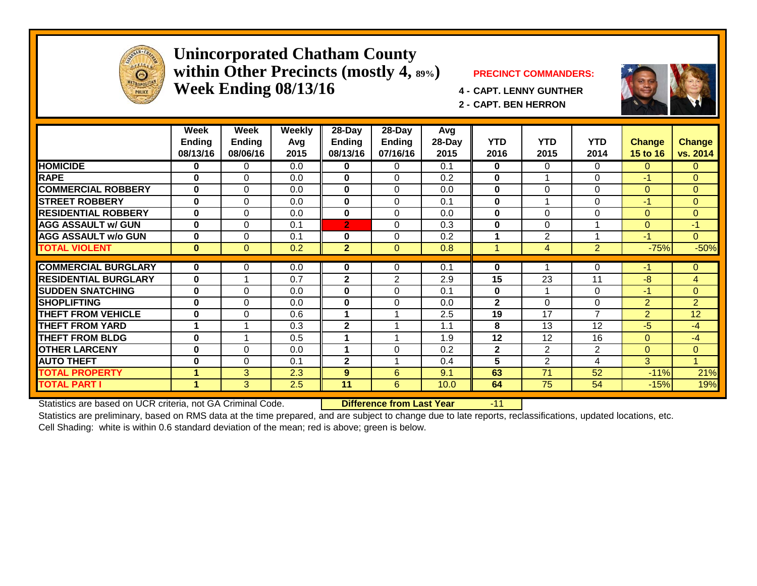

#### **Unincorporated Chatham County within Other Precincts (mostly 4, 89%) PRECINCT COMMANDERS: Week Ending 08/13/16 4 - CAPT. LENNY GUNTHER**



**Week Week Weekly 28-Day 28-Day Avg Ending Ending Avg Ending Ending 28-Day YTD YTD YTD Change Change** 08/13/16 | 08/06/16 | 2015 || 08/13/16 | 07/16/16 | 2015 || 2016 | 2015 | 2014 | <mark>15 to 16 |vs. 2014</mark> **HOMICIDE 0** 0 0.0 **0** 0 0.1 **0** 0 0 00 **RAPE 0** 0 0.0 **0** 0 0.2 **0** 1 0 -1 0 **COMMERCIAL ROBBERY 0** 0 0.0 **0** 0 0.0 **0** 0 0 00 **STREET ROBBERY0 1 0 1 0 1 0.0 1 0 1 0 1 1 0 1 1 1 0 1 1 1 0 1 1 1 0 RESIDENTIAL ROBBERY 0** 0 0.0 **0** 0 0.0 **0** 0 0 00 **AGG ASSAULT w/ GUN 00** | 0 | 0.1 <mark>| 2 |</mark> 0 | 0.3 || **0** | 0 | 1 | <mark>0 | -1</mark> **AGG ASSAULT w/o GUN 0** 0 0.1 **0** 0 0.2 **1** 2 1 -1 0 **TOTAL VIOLENT 0** 0 0.2 **2** 0 0.8 1 4 2 -75% -50%**COMMERCIAL BURGLARY0 1** 0 **0.0 1 0 1 0 1 0.1 1 0 1 1 1 0 1 -1 1 0 RESIDENTIAL BURGLARY0** 1 1 0.7 **1 2** 1 2 2.9 **1 15** 1 23 1 11 1 28 1 2 **SUDDEN SNATCHING 00** | 0 | 0.0 || **0** || 0 || 0.1 || **0** || 1 || 1 || 0 || <mark>-1 |</mark> 0 **SHOPLIFTING 00** | 0 | 0.0 || **0** | 0 | 0.0 || **2** | 0 || 0 || 2 || 2 **THEFT FROM VEHICLE 00** | 0 | 0.6 || 1 | 1 | 2.5 || 19 | 17 | 7 | 2 | 12 **THEFT FROM YARD 1** 1 0.3 **2** 1 1.1 **8** 13 12 -5 -4 **THEFT FROM BLDG 0** 1 0.5 **1** 1 1.9 **12** 12 16 0 -4 **OTHER LARCENY1 0 0 1 0.0 1 1 0 1 0.2 1 2 1 2 1 2 0 0 AUTO THEFT 00** | 0 | 0.1 || **2** | 1 | 0.4 || **5** | 2 | 4 | <mark>3 | 1</mark> **TOTAL PROPERTY 1** 3 2.3 **9** 6 9.1 **63** 71 52 -11% 21%**TOTAL PART I 1**3 2.5 **11** 6 10.0 **64** 75 54 -15% 19%

Statistics are based on UCR criteria, not GA Criminal Code. **Difference from Last Year** -11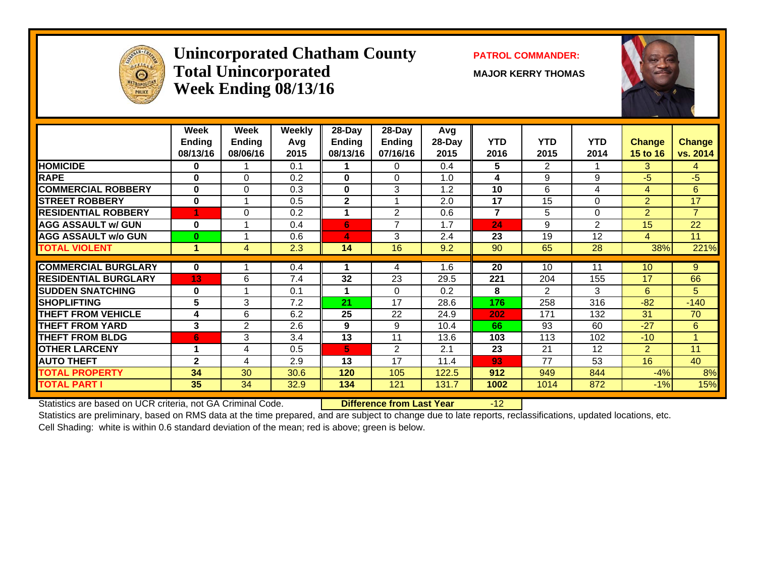

## **Unincorporated Chatham County PATROL COMMANDER:** Total Unincorporated MAJOR KERRY THOMAS **Week Ending 08/13/16**



|                             | Week<br><b>Ending</b> | Week<br><b>Ending</b>      | <b>Weekly</b><br>Avg | 28-Day<br>Ending | 28-Day<br>Ending | Avg<br>28-Day | <b>YTD</b> | <b>YTD</b>     | <b>YTD</b> | <b>Change</b>  | <b>Change</b>  |
|-----------------------------|-----------------------|----------------------------|----------------------|------------------|------------------|---------------|------------|----------------|------------|----------------|----------------|
|                             | 08/13/16              | 08/06/16                   | 2015                 | 08/13/16         | 07/16/16         | 2015          | 2016       | 2015           | 2014       | 15 to 16       | vs. 2014       |
| <b>HOMICIDE</b>             | 0                     |                            | 0.1                  |                  | $\Omega$         | 0.4           | 5          | $\overline{2}$ |            | 3              | 4              |
| <b>RAPE</b>                 | $\bf{0}$              | $\Omega$                   | 0.2                  | $\bf{0}$         | $\Omega$         | 1.0           | 4          | 9              | 9          | $-5$           | $-5$           |
| <b>COMMERCIAL ROBBERY</b>   | 0                     | $\Omega$                   | 0.3                  | $\bf{0}$         | 3                | 1.2           | 10         | 6              | 4          | 4              | 6              |
| <b>STREET ROBBERY</b>       | 0                     |                            | 0.5                  | 2                |                  | 2.0           | 17         | 15             | 0          | $\overline{2}$ | 17             |
| <b>RESIDENTIAL ROBBERY</b>  | 1                     | $\Omega$                   | 0.2                  | 1                | $\overline{2}$   | 0.6           | 7          | 5              | $\Omega$   | $\overline{2}$ | $\overline{7}$ |
| <b>AGG ASSAULT w/ GUN</b>   | $\bf{0}$              |                            | 0.4                  | 6                | 7                | 1.7           | 24         | 9              | 2          | 15             | 22             |
| <b>AGG ASSAULT w/o GUN</b>  | $\bf{0}$              | $\boldsymbol{\mathcal{A}}$ | 0.6                  | 4                | 3                | 2.4           | 23         | 19             | 12         | 4              | 11             |
| <b>TOTAL VIOLENT</b>        | $\blacktriangleleft$  | 4                          | 2.3                  | 14               | 16               | 9.2           | 90         | 65             | 28         | 38%            | 221%           |
|                             |                       |                            |                      |                  |                  |               |            |                |            |                |                |
| <b>COMMERCIAL BURGLARY</b>  | 0                     |                            | 0.4                  |                  | 4                | 1.6           | 20         | 10             | 11         | 10             | 9              |
| <b>RESIDENTIAL BURGLARY</b> | 13                    | 6                          | 7.4                  | 32               | 23               | 29.5          | 221        | 204            | 155        | 17             | 66             |
| <b>SUDDEN SNATCHING</b>     | $\bf{0}$              |                            | 0.1                  |                  | $\Omega$         | 0.2           | 8          | 2              | 3          | 6              | 5              |
| <b>ISHOPLIFTING</b>         | 5                     | 3                          | 7.2                  | 21               | 17               | 28.6          | 176        | 258            | 316        | $-82$          | $-140$         |
| <b>THEFT FROM VEHICLE</b>   | 4                     | 6                          | 6.2                  | 25               | 22               | 24.9          | 202        | 171            | 132        | 31             | 70             |
| <b>THEFT FROM YARD</b>      | 3                     | 2                          | 2.6                  | 9                | 9                | 10.4          | 66         | 93             | 60         | $-27$          | 6              |
| <b>THEFT FROM BLDG</b>      | 6                     | 3                          | 3.4                  | 13               | 11               | 13.6          | 103        | 113            | 102        | $-10$          | 1              |
| <b>OTHER LARCENY</b>        |                       | 4                          | 0.5                  | 5                | 2                | 2.1           | 23         | 21             | 12         | $\overline{2}$ | 11             |
| <b>AUTO THEFT</b>           | $\mathbf{2}$          | 4                          | 2.9                  | 13               | 17               | 11.4          | 93         | 77             | 53         | 16             | 40             |
| <b>TOTAL PROPERTY</b>       | 34                    | 30                         | 30.6                 | 120              | 105              | 122.5         | 912        | 949            | 844        | $-4%$          | 8%             |
| <b>TOTAL PART I</b>         | 35                    | 34                         | 32.9                 | 134              | 121              | 131.7         | 1002       | 1014           | 872        | $-1%$          | 15%            |
|                             |                       |                            |                      |                  |                  |               |            |                |            |                |                |

Statistics are based on UCR criteria, not GA Criminal Code. **Difference from Last Year** -12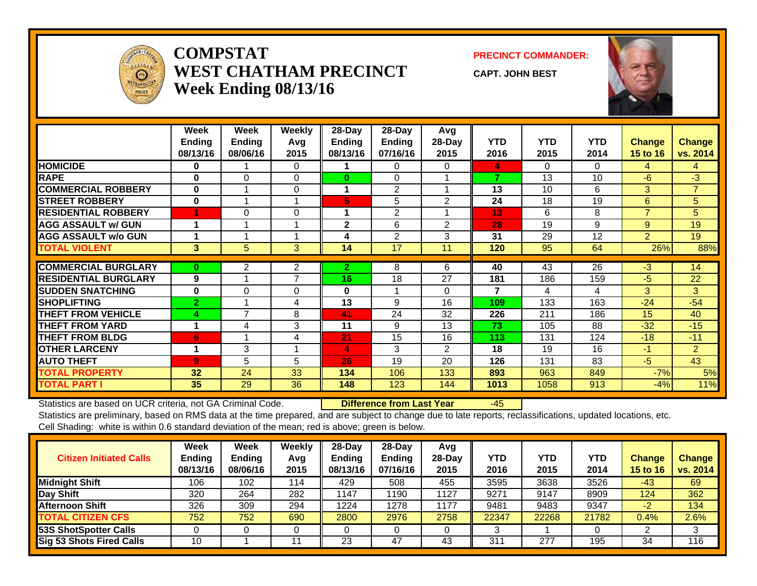

#### **COMPSTATWEST CHATHAM PRECINCTWeek Ending 08/13/16**

**PRECINCT COMMANDER:**

**CAPT. JOHN BEST**



|                             | Week<br><b>Endina</b><br>08/13/16 | Week<br><b>Ending</b><br>08/06/16 | <b>Weekly</b><br>Avg<br>2015 | 28-Day<br>Ending<br>08/13/16 | 28-Day<br>Ending<br>07/16/16 | Avg<br>28-Day<br>2015 | <b>YTD</b><br>2016 | <b>YTD</b><br>2015 | <b>YTD</b><br>2014 | <b>Change</b><br>15 to 16 | <b>Change</b><br>vs. 2014 |
|-----------------------------|-----------------------------------|-----------------------------------|------------------------------|------------------------------|------------------------------|-----------------------|--------------------|--------------------|--------------------|---------------------------|---------------------------|
| <b>HOMICIDE</b>             | $\bf{0}$                          |                                   | $\Omega$                     |                              | 0                            | 0                     | 4                  | 0                  | $\Omega$           | 4                         | 4                         |
| <b>RAPE</b>                 | $\bf{0}$                          | $\Omega$                          | $\Omega$                     | $\bf{0}$                     | $\Omega$                     |                       | 7                  | 13                 | 10                 | -6                        | $-3$                      |
| <b>COMMERCIAL ROBBERY</b>   | $\bf{0}$                          |                                   | $\Omega$                     | 1                            | 2                            |                       | 13                 | 10                 | 6                  | 3                         | $\overline{7}$            |
| <b>STREET ROBBERY</b>       | $\bf{0}$                          |                                   |                              | 5                            | 5                            | 2                     | 24                 | 18                 | 19                 | 6                         | 5                         |
| <b>RESIDENTIAL ROBBERY</b>  |                                   | 0                                 | $\Omega$                     | 1                            | $\overline{2}$               |                       | 13                 | 6                  | 8                  | $\overline{7}$            | 5                         |
| <b>AGG ASSAULT w/ GUN</b>   |                                   |                                   |                              | $\mathbf{2}$                 | 6                            | $\overline{2}$        | 28                 | 19                 | 9                  | 9                         | 19                        |
| <b>AGG ASSAULT w/o GUN</b>  |                                   |                                   |                              | 4                            | 2                            | 3                     | 31                 | 29                 | 12                 | $\overline{2}$            | 19                        |
| <b>TOTAL VIOLENT</b>        | 3                                 | 5                                 | 3                            | 14                           | 17                           | 11                    | 120                | 95                 | 64                 | 26%                       | 88%                       |
|                             |                                   |                                   |                              |                              |                              |                       |                    |                    |                    |                           |                           |
| <b>COMMERCIAL BURGLARY</b>  | $\bf{0}$                          | $\overline{2}$                    | $\overline{2}$               | $\mathbf{2}$                 | 8                            | 6                     | 40                 | 43                 | $\overline{26}$    | $\overline{3}$            | 14                        |
| <b>RESIDENTIAL BURGLARY</b> | 9                                 |                                   | 7                            | 16                           | 18                           | 27                    | 181                | 186                | 159                | -5                        | 22                        |
| <b>SUDDEN SNATCHING</b>     | $\bf{0}$                          | 0                                 | $\Omega$                     | 0                            |                              | 0                     | 7                  | 4                  | 4                  | 3                         | 3                         |
| <b>SHOPLIFTING</b>          | $\mathbf{2}$                      |                                   | 4                            | 13                           | 9                            | 16                    | 109                | 133                | 163                | $-24$                     | $-54$                     |
| <b>THEFT FROM VEHICLE</b>   | 4                                 | 7                                 | 8                            | 41                           | 24                           | 32                    | 226                | 211                | 186                | 15                        | 40                        |
| <b>THEFT FROM YARD</b>      | 1                                 | 4                                 | 3                            | 11                           | 9                            | 13                    | 73                 | 105                | 88                 | $-32$                     | $-15$                     |
| <b>THEFT FROM BLDG</b>      | 6                                 |                                   | 4                            | 21                           | 15                           | 16                    | 113                | 131                | 124                | $-18$                     | $-11$                     |
| <b>OTHER LARCENY</b>        | 1                                 | 3                                 |                              | 4                            | 3                            | $\overline{2}$        | 18                 | 19                 | 16                 | $-1$                      | $\overline{2}$            |
| <b>AUTO THEFT</b>           | $\overline{9}$                    | 5                                 | 5                            | 26                           | 19                           | 20                    | 126                | 131                | 83                 | $-5$                      | 43                        |
| <b>TOTAL PROPERTY</b>       | 32                                | 24                                | 33                           | 134                          | 106                          | 133                   | 893                | 963                | 849                | $-7%$                     | 5%                        |
| <b>TOTAL PART I</b>         | 35                                | 29                                | 36                           | 148                          | 123                          | 144                   | 1013               | 1058               | 913                | $-4%$                     | 11%                       |

Statistics are based on UCR criteria, not GA Criminal Code. **Difference from Last Year** -45

| <b>Citizen Initiated Calls</b> | <b>Week</b><br><b>Ending</b><br>08/13/16 | Week<br><b>Ending</b><br>08/06/16 | Weekly<br>Avg<br>2015 | $28$ -Dav<br><b>Ending</b><br>08/13/16 | $28-Day$<br><b>Ending</b><br>07/16/16 | Avg<br>$28$ -Day<br>2015 | YTD<br>2016 | <b>YTD</b><br>2015 | YTD<br>2014 | <b>Change</b><br>15 to 16 | <b>Change</b><br>vs. 2014 |
|--------------------------------|------------------------------------------|-----------------------------------|-----------------------|----------------------------------------|---------------------------------------|--------------------------|-------------|--------------------|-------------|---------------------------|---------------------------|
| <b>Midnight Shift</b>          | 106                                      | 102                               | 114                   | 429                                    | 508                                   | 455                      | 3595        | 3638               | 3526        | -43                       | 69                        |
| Day Shift                      | 320                                      | 264                               | 282                   | 1147                                   | 1190                                  | 1127                     | 9271        | 9147               | 8909        | 124                       | 362                       |
| <b>Afternoon Shift</b>         | 326                                      | 309                               | 294                   | 1224                                   | 1278                                  | 1177                     | 9481        | 9483               | 9347        | $-2^{r}$                  | 134                       |
| <b>TOTAL CITIZEN CFS</b>       | 752                                      | 752                               | 690                   | 2800                                   | 2976                                  | 2758                     | 22347       | 22268              | 21782       | 0.4%                      | 2.6%                      |
| <b>53S ShotSpotter Calls</b>   |                                          |                                   |                       |                                        |                                       |                          |             |                    |             |                           | 3                         |
| Sig 53 Shots Fired Calls       | 10                                       |                                   | 11                    | 23                                     | 47                                    | 43                       | 311         | 277                | 195         | 34                        | 116                       |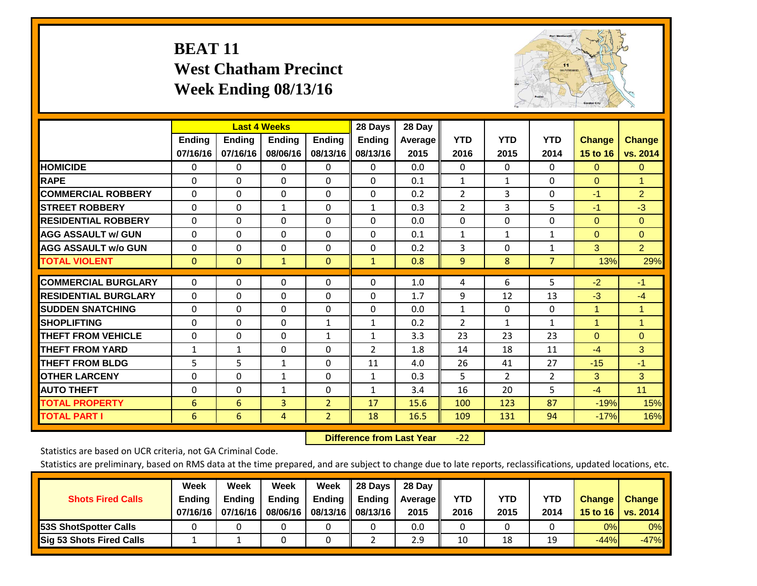# **BEAT 11 West Chatham Precinct Week Ending 08/13/16**



|                             |               | <b>Last 4 Weeks</b> |              |                | 28 Days       | 28 Day  |                |                |                |                      |                      |
|-----------------------------|---------------|---------------------|--------------|----------------|---------------|---------|----------------|----------------|----------------|----------------------|----------------------|
|                             | <b>Ending</b> | <b>Ending</b>       | Ending       | <b>Ending</b>  | <b>Ending</b> | Average | <b>YTD</b>     | <b>YTD</b>     | <b>YTD</b>     | <b>Change</b>        | <b>Change</b>        |
|                             | 07/16/16      | 07/16/16            | 08/06/16     | 08/13/16       | 08/13/16      | 2015    | 2016           | 2015           | 2014           | 15 to 16             | vs. 2014             |
| <b>HOMICIDE</b>             | 0             | 0                   | $\Omega$     | 0              | $\mathbf{0}$  | 0.0     | $\mathbf{0}$   | $\mathbf{0}$   | 0              | $\mathbf{0}$         | $\overline{0}$       |
| <b>RAPE</b>                 | 0             | $\Omega$            | $\Omega$     | $\Omega$       | $\Omega$      | 0.1     | 1              | $\mathbf{1}$   | $\Omega$       | $\Omega$             | $\blacktriangleleft$ |
| <b>COMMERCIAL ROBBERY</b>   | $\Omega$      | $\Omega$            | $\Omega$     | $\Omega$       | $\Omega$      | 0.2     | $\overline{2}$ | 3              | $\Omega$       | $-1$                 | $\overline{2}$       |
| <b>ISTREET ROBBERY</b>      | $\Omega$      | $\Omega$            | 1            | 0              | $\mathbf{1}$  | 0.3     | $\overline{2}$ | 3              | 5              | $-1$                 | $-3$                 |
| <b>RESIDENTIAL ROBBERY</b>  | $\Omega$      | 0                   | $\mathbf{0}$ | 0              | $\Omega$      | 0.0     | $\Omega$       | $\Omega$       | 0              | $\mathbf{0}$         | $\Omega$             |
| <b>AGG ASSAULT w/ GUN</b>   | $\Omega$      | 0                   | $\mathbf{0}$ | $\mathbf{0}$   | $\Omega$      | 0.1     | $\mathbf{1}$   | $\mathbf{1}$   | 1              | $\mathbf{0}$         | $\mathbf{0}$         |
| <b>AGG ASSAULT w/o GUN</b>  | 0             | $\Omega$            | $\Omega$     | $\Omega$       | $\Omega$      | 0.2     | 3              | $\Omega$       | $\mathbf{1}$   | 3                    | 2 <sup>1</sup>       |
| <b>TOTAL VIOLENT</b>        | $\mathbf{0}$  | $\mathbf{0}$        | $\mathbf{1}$ | $\mathbf{0}$   | $\mathbf{1}$  | 0.8     | 9              | 8              | $\overline{7}$ | 13%                  | 29%                  |
| <b>COMMERCIAL BURGLARY</b>  | $\Omega$      | 0                   | 0            | 0              | $\Omega$      | 1.0     | 4              | 6              | 5              | $-2$                 | $-1$                 |
|                             |               |                     |              |                |               |         |                |                |                |                      |                      |
| <b>RESIDENTIAL BURGLARY</b> | $\Omega$      | 0                   | $\mathbf{0}$ | $\Omega$       | $\Omega$      | 1.7     | 9              | 12             | 13             | $-3$                 | $-4$                 |
| <b>SUDDEN SNATCHING</b>     | $\Omega$      | 0                   | $\Omega$     | $\mathbf{0}$   | $\Omega$      | 0.0     | $\mathbf{1}$   | $\mathbf{0}$   | 0              | 1                    | 1                    |
| <b>SHOPLIFTING</b>          | $\Omega$      | $\Omega$            | $\Omega$     | 1              | $\mathbf{1}$  | 0.2     | $\overline{2}$ | $\mathbf{1}$   | $\mathbf{1}$   | $\blacktriangleleft$ | $\mathbf{1}$         |
| <b>THEFT FROM VEHICLE</b>   | $\Omega$      | 0                   | $\Omega$     | $\mathbf{1}$   | 1             | 3.3     | 23             | 23             | 23             | $\Omega$             | $\mathbf{0}$         |
| <b>THEFT FROM YARD</b>      | 1             | 1                   | $\Omega$     | $\mathbf 0$    | 2             | 1.8     | 14             | 18             | 11             | $-4$                 | 3                    |
| <b>THEFT FROM BLDG</b>      | 5             | 5                   | $\mathbf{1}$ | $\mathbf{0}$   | 11            | 4.0     | 26             | 41             | 27             | $-15$                | $-1$                 |
| <b>IOTHER LARCENY</b>       | 0             | 0                   | $\mathbf{1}$ | $\mathbf{0}$   | $\mathbf{1}$  | 0.3     | 5              | $\overline{2}$ | 2              | 3                    | 3                    |
| <b>AUTO THEFT</b>           | $\Omega$      | $\Omega$            | $\mathbf{1}$ | 0              | 1             | 3.4     | 16             | 20             | 5              | $-4$                 | 11                   |
| <b>TOTAL PROPERTY</b>       | 6             | 6                   | 3            | $\overline{2}$ | 17            | 15.6    | 100            | 123            | 87             | $-19%$               | 15%                  |
| <b>TOTAL PART I</b>         | 6             | 6                   | 4            | $\overline{2}$ | 18            | 16.5    | 109            | 131            | 94             | $-17%$               | 16%                  |

 **Difference from Last Year**‐22

Statistics are based on UCR criteria, not GA Criminal Code.

| <b>Shots Fired Calls</b>        | Week<br><b>Ending</b><br>07/16/16 l | Week<br><b>Endina</b><br>07/16/16 | Week<br>Ending<br>08/06/16 | Week<br>Ending | 28 Days<br><b>Ending</b><br>08/13/16    08/13/16 | 28 Day<br>Average II<br>2015 | YTD<br>2016 | YTD<br>2015 | YTD<br>2014 | <b>Change</b><br>15 to 16 $\vert$ | <b>Change</b><br>vs. 2014 |
|---------------------------------|-------------------------------------|-----------------------------------|----------------------------|----------------|--------------------------------------------------|------------------------------|-------------|-------------|-------------|-----------------------------------|---------------------------|
| <b>153S ShotSpotter Calls</b>   |                                     |                                   |                            |                |                                                  | 0.0                          |             |             |             | 0%                                | 0%                        |
| <b>Sig 53 Shots Fired Calls</b> |                                     |                                   |                            |                |                                                  | 2.9                          | 10          | 18          | 19          | $-44%$                            | $-47%$                    |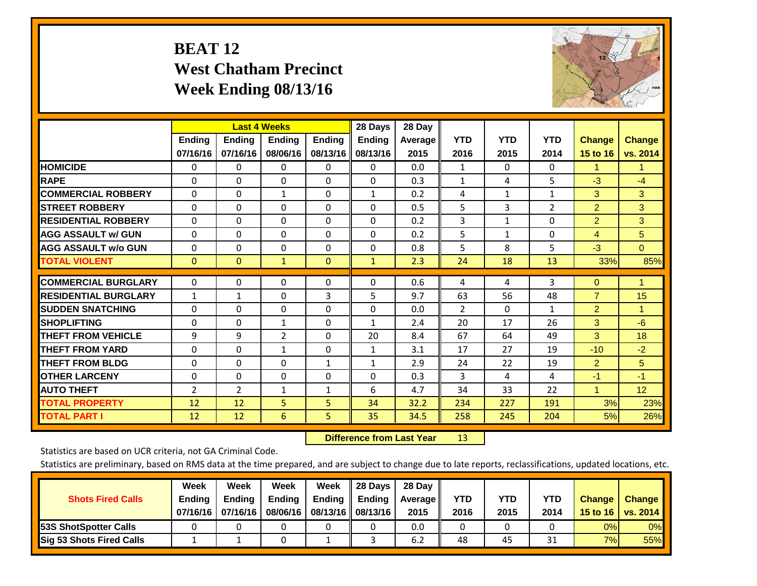# **BEAT 12 West Chatham Precinct Week Ending 08/13/16**



|                             |               | <b>Last 4 Weeks</b> |                |               | 28 Days       | 28 Day  |                |            |              |                |               |
|-----------------------------|---------------|---------------------|----------------|---------------|---------------|---------|----------------|------------|--------------|----------------|---------------|
|                             | <b>Ending</b> | <b>Ending</b>       | Ending         | <b>Ending</b> | <b>Ending</b> | Average | <b>YTD</b>     | <b>YTD</b> | <b>YTD</b>   | <b>Change</b>  | <b>Change</b> |
|                             | 07/16/16      | 07/16/16            | 08/06/16       | 08/13/16      | 08/13/16      | 2015    | 2016           | 2015       | 2014         | 15 to 16       | vs. 2014      |
| <b>HOMICIDE</b>             | 0             | 0                   | $\Omega$       | 0             | $\mathbf{0}$  | 0.0     | 1              | $\Omega$   | 0            | 1              | 1.            |
| <b>RAPE</b>                 | 0             | $\Omega$            | $\Omega$       | $\Omega$      | $\Omega$      | 0.3     | 1              | 4          | 5            | $-3$           | $-4$          |
| <b>COMMERCIAL ROBBERY</b>   | $\Omega$      | 0                   | $\mathbf{1}$   | $\Omega$      | 1             | 0.2     | 4              | 1          | $\mathbf{1}$ | 3              | 3             |
| <b>ISTREET ROBBERY</b>      | $\Omega$      | $\Omega$            | $\Omega$       | 0             | $\Omega$      | 0.5     | 5              | 3          | 2            | $\overline{2}$ | 3             |
| <b>RESIDENTIAL ROBBERY</b>  | $\Omega$      | 0                   | $\mathbf{0}$   | 0             | $\Omega$      | 0.2     | 3              | 1          | 0            | $\overline{2}$ | 3             |
| <b>AGG ASSAULT w/ GUN</b>   | $\Omega$      | 0                   | $\mathbf{0}$   | $\mathbf{0}$  | $\Omega$      | 0.2     | 5              | 1          | 0            | 4              | 5             |
| <b>AGG ASSAULT w/o GUN</b>  | $\Omega$      | $\Omega$            | $\Omega$       | $\Omega$      | $\Omega$      | 0.8     | 5              | 8          | 5            | $-3$           | $\Omega$      |
| <b>TOTAL VIOLENT</b>        | $\mathbf{0}$  | $\mathbf{0}$        | $\mathbf{1}$   | $\mathbf{0}$  | $\mathbf{1}$  | 2.3     | 24             | 18         | 13           | 33%            | 85%           |
| <b>COMMERCIAL BURGLARY</b>  | $\Omega$      | 0                   | $\mathbf{0}$   | 0             | $\Omega$      | 0.6     |                | 4          | 3            | $\mathbf{0}$   | 1             |
|                             |               |                     |                |               |               |         | 4              |            |              |                |               |
| <b>RESIDENTIAL BURGLARY</b> | 1             | $\mathbf{1}$        | $\mathbf{0}$   | 3             | 5.            | 9.7     | 63             | 56         | 48           | $\overline{7}$ | 15            |
| <b>SUDDEN SNATCHING</b>     | $\Omega$      | 0                   | $\Omega$       | $\Omega$      | 0             | 0.0     | $\overline{2}$ | $\Omega$   | $\mathbf{1}$ | $\overline{2}$ | 1             |
| <b>SHOPLIFTING</b>          | $\Omega$      | 0                   | $\mathbf{1}$   | $\Omega$      | $\mathbf{1}$  | 2.4     | 20             | 17         | 26           | 3              | $-6$          |
| <b>THEFT FROM VEHICLE</b>   | 9             | 9                   | $\overline{2}$ | 0             | 20            | 8.4     | 67             | 64         | 49           | 3              | 18            |
| <b>THEFT FROM YARD</b>      | $\Omega$      | $\Omega$            | 1              | $\mathbf 0$   | 1             | 3.1     | 17             | 27         | 19           | $-10$          | $-2$          |
| <b>THEFT FROM BLDG</b>      | 0             | 0                   | $\mathbf{0}$   | $\mathbf{1}$  | $\mathbf{1}$  | 2.9     | 24             | 22         | 19           | 2              | 5             |
| <b>IOTHER LARCENY</b>       | 0             | 0                   | $\mathbf{0}$   | $\mathbf{0}$  | $\Omega$      | 0.3     | 3              | 4          | 4            | $-1$           | -1            |
| <b>AUTO THEFT</b>           | 2             | $\overline{2}$      | 1              | 1             | 6             | 4.7     | 34             | 33         | 22           | 1              | 12            |
| <b>TOTAL PROPERTY</b>       | 12            | 12                  | 5              | 5             | 34            | 32.2    | 234            | 227        | 191          | 3%             | 23%           |
| <b>TOTAL PART I</b>         | 12            | 12                  | 6              | 5             | 35            | 34.5    | 258            | 245        | 204          | 5%             | 26%           |

 **Difference from Last Year**r 13

Statistics are based on UCR criteria, not GA Criminal Code.

| <b>Shots Fired Calls</b>        | Week<br><b>Ending</b><br>07/16/16 l | Week<br><b>Endina</b><br>07/16/16 | Week<br>Ending<br>08/06/16 | Week<br>Ending | 28 Days<br><b>Ending</b><br>08/13/16    08/13/16 | 28 Day<br>Average II<br>2015 | YTD<br>2016 | YTD<br>2015 | <b>YTD</b><br>2014 | <b>Change</b><br>15 to 16 $\vert$ | <b>Change</b><br>vs. 2014 |
|---------------------------------|-------------------------------------|-----------------------------------|----------------------------|----------------|--------------------------------------------------|------------------------------|-------------|-------------|--------------------|-----------------------------------|---------------------------|
| <b>153S ShotSpotter Calls</b>   |                                     |                                   |                            |                |                                                  | 0.0                          |             |             |                    | 0%                                | 0%                        |
| <b>Sig 53 Shots Fired Calls</b> |                                     |                                   |                            |                |                                                  | 6.2                          | 48          | 45          | 21<br>⊥ر           | 7%                                | 55%                       |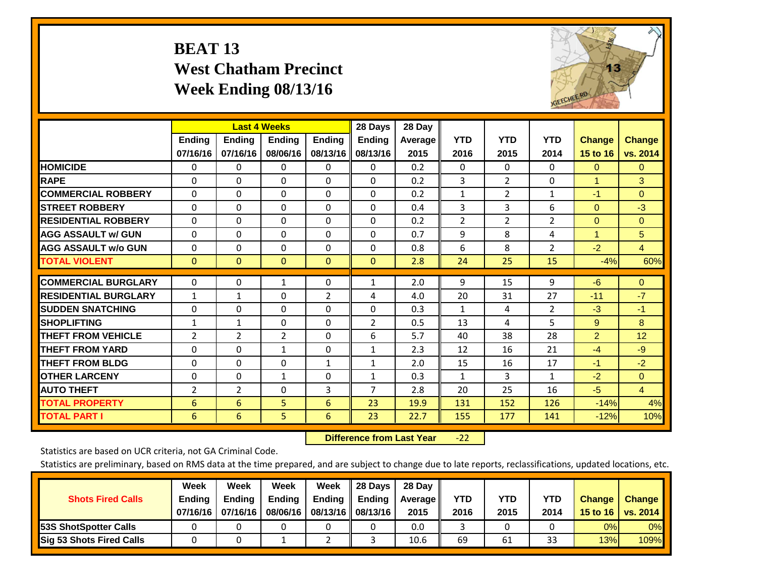# **BEAT 13 West Chatham Precinct Week Ending 08/13/16**



|                             |               | <b>Last 4 Weeks</b> |                |               | 28 Days        | 28 Day  |                |                |                |                |                |
|-----------------------------|---------------|---------------------|----------------|---------------|----------------|---------|----------------|----------------|----------------|----------------|----------------|
|                             | <b>Ending</b> | <b>Ending</b>       | <b>Endina</b>  | <b>Endina</b> | <b>Endina</b>  | Average | <b>YTD</b>     | <b>YTD</b>     | <b>YTD</b>     | <b>Change</b>  | <b>Change</b>  |
|                             | 07/16/16      | 07/16/16            | 08/06/16       | 08/13/16      | 08/13/16       | 2015    | 2016           | 2015           | 2014           | 15 to 16       | vs. 2014       |
| <b>HOMICIDE</b>             | 0             | 0                   | 0              | 0             | 0              | 0.2     | 0              | $\Omega$       | 0              | $\mathbf{0}$   | $\Omega$       |
| <b>RAPE</b>                 | 0             | $\Omega$            | $\Omega$       | $\Omega$      | $\Omega$       | 0.2     | 3              | $\overline{2}$ | 0              | $\overline{1}$ | 3              |
| <b>COMMERCIAL ROBBERY</b>   | $\Omega$      | $\Omega$            | $\Omega$       | $\mathbf{0}$  | $\Omega$       | 0.2     | $\mathbf{1}$   | 2              | $\mathbf{1}$   | $-1$           | $\Omega$       |
| <b>STREET ROBBERY</b>       | $\Omega$      | $\Omega$            | $\Omega$       | 0             | $\Omega$       | 0.4     | 3              | $\overline{3}$ | 6              | $\mathbf{0}$   | $-3$           |
| <b>RESIDENTIAL ROBBERY</b>  | 0             | 0                   | $\Omega$       | $\mathbf{0}$  | $\Omega$       | 0.2     | $\overline{2}$ | 2              | 2              | $\Omega$       | $\Omega$       |
| <b>AGG ASSAULT w/ GUN</b>   | $\Omega$      | $\Omega$            | $\Omega$       | $\Omega$      | $\Omega$       | 0.7     | 9              | 8              | 4              | $\overline{1}$ | 5              |
| <b>AGG ASSAULT w/o GUN</b>  | $\Omega$      | 0                   | $\Omega$       | $\Omega$      | $\Omega$       | 0.8     | 6              | 8              | $\overline{2}$ | $-2$           | $\overline{4}$ |
| <b>TOTAL VIOLENT</b>        | $\mathbf{0}$  | $\mathbf{0}$        | $\mathbf{0}$   | $\mathbf{0}$  | $\mathbf{0}$   | 2.8     | 24             | 25             | 15             | $-4%$          | 60%            |
|                             |               |                     |                |               |                |         |                |                |                |                |                |
| <b>COMMERCIAL BURGLARY</b>  | $\Omega$      | 0                   | 1              | $\mathbf{0}$  | $\mathbf{1}$   | 2.0     | 9              | 15             | 9              | -6             | $\Omega$       |
| <b>RESIDENTIAL BURGLARY</b> | $\mathbf{1}$  | 1                   | $\mathbf{0}$   | 2             | 4              | 4.0     | 20             | 31             | 27             | $-11$          | $-7$           |
| <b>ISUDDEN SNATCHING</b>    | 0             | $\Omega$            | $\Omega$       | $\mathbf{0}$  | $\Omega$       | 0.3     | $\mathbf{1}$   | 4              | $\overline{2}$ | -3             | -1             |
| <b>SHOPLIFTING</b>          | 1             | $\mathbf{1}$        | $\Omega$       | $\Omega$      | $\overline{2}$ | 0.5     | 13             | 4              | 5              | 9              | 8              |
| <b>THEFT FROM VEHICLE</b>   | 2             | $\overline{2}$      | $\overline{2}$ | 0             | 6              | 5.7     | 40             | 38             | 28             | $\overline{2}$ | 12             |
| <b>THEFT FROM YARD</b>      | $\Omega$      | 0                   | 1              | $\mathbf 0$   | 1              | 2.3     | 12             | 16             | 21             | $-4$           | $-9$           |
| <b>THEFT FROM BLDG</b>      | 0             | 0                   | $\Omega$       | 1             | $\mathbf{1}$   | 2.0     | 15             | 16             | 17             | $-1$           | $-2$           |
| <b>OTHER LARCENY</b>        | 0             | $\Omega$            | $\mathbf{1}$   | $\mathbf{0}$  | 1              | 0.3     | 1              | 3              | $\mathbf{1}$   | $-2$           | $\Omega$       |
| <b>AUTO THEFT</b>           | 2             | $\overline{2}$      | $\Omega$       | 3             | $\overline{7}$ | 2.8     | 20             | 25             | 16             | $-5$           | $\overline{4}$ |
| <b>TOTAL PROPERTY</b>       | 6             | 6                   | 5              | 6             | 23             | 19.9    | 131            | 152            | 126            | $-14%$         | 4%             |
| <b>TOTAL PART I</b>         | 6             | 6                   | 5.             | 6             | 23             | 22.7    | 155            | 177            | 141            | $-12%$         | 10%            |

 **Difference from Last Year**‐22

Statistics are based on UCR criteria, not GA Criminal Code.

| <b>Shots Fired Calls</b>        | Week<br><b>Ending</b><br>07/16/16 l | Week<br><b>Endina</b><br>07/16/16 | Week<br>Ending<br>08/06/16 | Week<br>Ending | 28 Days<br><b>Ending</b><br>08/13/16    08/13/16 | 28 Day<br>Average II<br>2015 | YTD<br>2016 | YTD<br>2015 | YTD<br>2014 | <b>Change</b><br>15 to 16 $\vert$ | <b>Change</b><br>vs. 2014 |
|---------------------------------|-------------------------------------|-----------------------------------|----------------------------|----------------|--------------------------------------------------|------------------------------|-------------|-------------|-------------|-----------------------------------|---------------------------|
| <b>153S ShotSpotter Calls</b>   |                                     |                                   |                            |                |                                                  | 0.0                          |             |             |             | 0%                                | 0%                        |
| <b>Sig 53 Shots Fired Calls</b> |                                     |                                   |                            |                |                                                  | 10.6                         | 69          | 61          | 33          | 13%                               | 109%                      |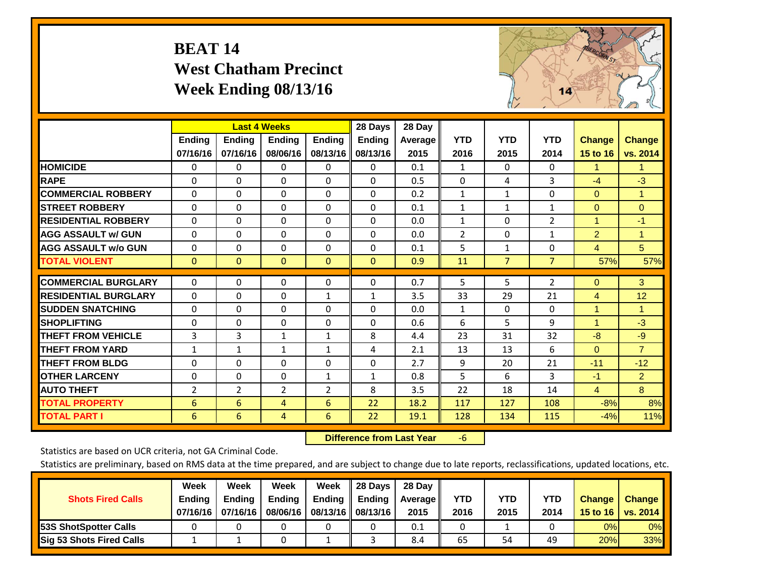# **BEAT 14 West Chatham Precinct Week Ending 08/13/16**



|                             |                | <b>Last 4 Weeks</b> |                |                | 28 Days       | 28 Day         |                |                |                |                |                |
|-----------------------------|----------------|---------------------|----------------|----------------|---------------|----------------|----------------|----------------|----------------|----------------|----------------|
|                             | <b>Ending</b>  | Ending              | <b>Ending</b>  | <b>Ending</b>  | <b>Ending</b> | <b>Average</b> | <b>YTD</b>     | <b>YTD</b>     | <b>YTD</b>     | <b>Change</b>  | <b>Change</b>  |
|                             | 07/16/16       | 07/16/16            | 08/06/16       | 08/13/16       | 08/13/16      | 2015           | 2016           | 2015           | 2014           | 15 to 16       | vs. 2014       |
| <b>HOMICIDE</b>             | 0              | 0                   | $\Omega$       | 0              | 0             | 0.1            | 1              | 0              | 0              | 1.             | 1.             |
| <b>RAPE</b>                 | $\Omega$       | 0                   | $\Omega$       | 0              | $\Omega$      | 0.5            | $\Omega$       | 4              | 3              | $-4$           | $-3$           |
| <b>COMMERCIAL ROBBERY</b>   | $\Omega$       | $\Omega$            | $\mathbf 0$    | $\Omega$       | $\Omega$      | 0.2            | 1              | 1              | $\Omega$       | $\Omega$       | $\mathbf{1}$   |
| <b>STREET ROBBERY</b>       | $\Omega$       | $\Omega$            | $\Omega$       | $\Omega$       | $\Omega$      | 0.1            | $\mathbf{1}$   | $\mathbf{1}$   | $\mathbf{1}$   | $\mathbf{0}$   | $\Omega$       |
| <b>RESIDENTIAL ROBBERY</b>  | $\Omega$       | 0                   | $\mathbf{0}$   | $\Omega$       | $\Omega$      | 0.0            | $\mathbf{1}$   | 0              | 2              | $\overline{1}$ | $-1$           |
| <b>AGG ASSAULT w/ GUN</b>   | $\Omega$       | $\Omega$            | $\Omega$       | $\Omega$       | $\Omega$      | 0.0            | $\overline{2}$ | 0              | $\mathbf{1}$   | $\overline{2}$ | 1              |
| <b>AGG ASSAULT w/o GUN</b>  | 0              | 0                   | 0              | $\Omega$       | $\Omega$      | 0.1            | 5              | 1              | 0              | $\overline{4}$ | 5 <sup>5</sup> |
| <b>TOTAL VIOLENT</b>        | $\Omega$       | $\mathbf{0}$        | $\mathbf{0}$   | $\Omega$       | $\Omega$      | 0.9            | 11             | $\overline{7}$ | $\overline{7}$ | 57%            | 57%            |
| <b>COMMERCIAL BURGLARY</b>  | $\Omega$       | $\Omega$            | 0              | $\Omega$       | $\Omega$      | 0.7            | 5              | 5              | $\overline{2}$ | $\Omega$       | 3              |
| <b>RESIDENTIAL BURGLARY</b> | $\Omega$       | 0                   | $\mathbf{0}$   | $\mathbf{1}$   | $\mathbf{1}$  | 3.5            | 33             | 29             | 21             |                | 12             |
|                             |                |                     |                |                |               |                |                |                |                | 4<br>1         |                |
| <b>SUDDEN SNATCHING</b>     | $\Omega$       | 0                   | $\mathbf{0}$   | $\Omega$       | $\Omega$      | 0.0            | 1              | 0              | $\Omega$       |                | 1.             |
| <b>SHOPLIFTING</b>          | $\Omega$       | $\Omega$            | $\mathbf{0}$   | $\Omega$       | $\Omega$      | 0.6            | 6              | 5              | 9              | $\mathbf{1}$   | $-3$           |
| <b>THEFT FROM VEHICLE</b>   | 3              | 3                   | 1              | $\mathbf{1}$   | 8             | 4.4            | 23             | 31             | 32             | $-8$           | $-9$           |
| <b>THEFT FROM YARD</b>      | $\mathbf{1}$   | 1                   | 1              | 1              | 4             | 2.1            | 13             | 13             | 6              | $\Omega$       | $\overline{7}$ |
| <b>THEFT FROM BLDG</b>      | $\Omega$       | 0                   | $\Omega$       | $\Omega$       | $\Omega$      | 2.7            | 9              | 20             | 21             | $-11$          | $-12$          |
| <b>OTHER LARCENY</b>        | $\Omega$       | 0                   | $\Omega$       | $\mathbf{1}$   | $\mathbf{1}$  | 0.8            | 5              | 6              | 3              | $-1$           | $\overline{2}$ |
| <b>AUTO THEFT</b>           | $\overline{2}$ | $\overline{2}$      | $\overline{2}$ | $\overline{2}$ | 8             | 3.5            | 22             | 18             | 14             | $\overline{4}$ | 8              |
| <b>TOTAL PROPERTY</b>       | 6              | 6                   | 4              | 6              | 22            | 18.2           | 117            | 127            | 108            | $-8%$          | 8%             |
| <b>TOTAL PART I</b>         | 6              | 6                   | 4              | 6              | 22            | 19.1           | 128            | 134            | 115            | $-4%$          | 11%            |

 **Difference from Last Year**‐6

Statistics are based on UCR criteria, not GA Criminal Code.

| <b>Shots Fired Calls</b>        | Week<br><b>Ending</b><br>07/16/16 l | Week<br><b>Endina</b><br>07/16/16 | Week<br>Ending<br>08/06/16 | Week<br>Ending | 28 Days<br><b>Ending</b><br>08/13/16    08/13/16 | 28 Day<br>Average II<br>2015 | YTD<br>2016 | YTD<br>2015 | YTD<br>2014 | <b>Change</b><br>15 to 16 $\vert$ | <b>Change</b><br>vs. 2014 |
|---------------------------------|-------------------------------------|-----------------------------------|----------------------------|----------------|--------------------------------------------------|------------------------------|-------------|-------------|-------------|-----------------------------------|---------------------------|
| <b>153S ShotSpotter Calls</b>   |                                     |                                   |                            |                |                                                  | 0.1                          |             |             |             | 0%                                | 0%                        |
| <b>Sig 53 Shots Fired Calls</b> |                                     |                                   |                            |                |                                                  | 8.4                          | 65          | 54          | 49          | 20%                               | 33%                       |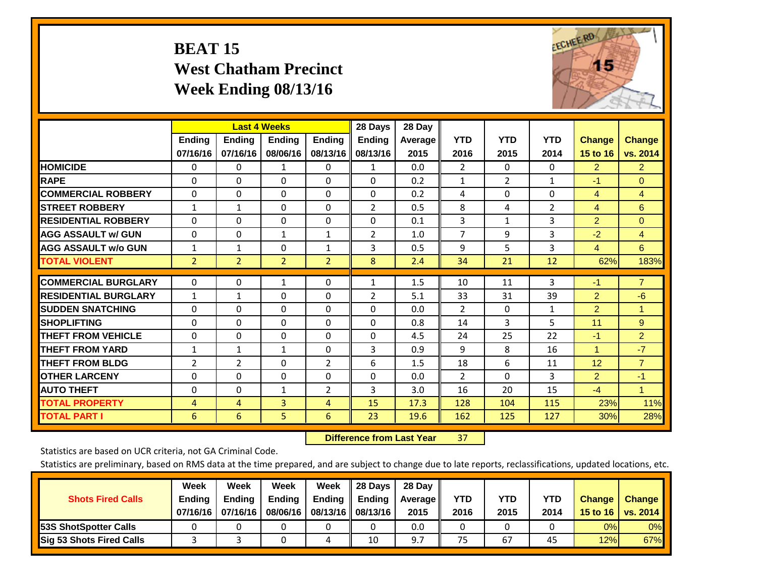# **BEAT 15 West Chatham Precinct Week Ending 08/13/16**



|                             |                | <b>Last 4 Weeks</b> |                |                | 28 Days        | 28 Day  |                |                |              |                      |                      |
|-----------------------------|----------------|---------------------|----------------|----------------|----------------|---------|----------------|----------------|--------------|----------------------|----------------------|
|                             | <b>Ending</b>  | <b>Ending</b>       | <b>Endina</b>  | <b>Ending</b>  | <b>Endina</b>  | Average | <b>YTD</b>     | <b>YTD</b>     | <b>YTD</b>   | <b>Change</b>        | <b>Change</b>        |
|                             | 07/16/16       | 07/16/16            | 08/06/16       | 08/13/16       | 08/13/16       | 2015    | 2016           | 2015           | 2014         | 15 to 16             | vs. 2014             |
| <b>HOMICIDE</b>             | 0              | 0                   | 1              | 0              | 1              | 0.0     | $\overline{2}$ | $\Omega$       | 0            | $\overline{2}$       | $\overline{2}$       |
| <b>RAPE</b>                 | 0              | $\Omega$            | $\Omega$       | $\Omega$       | $\Omega$       | 0.2     | $\mathbf{1}$   | $\overline{2}$ | $\mathbf{1}$ | $-1$                 | $\Omega$             |
| <b>COMMERCIAL ROBBERY</b>   | $\Omega$       | $\Omega$            | $\Omega$       | $\mathbf{0}$   | $\Omega$       | 0.2     | 4              | $\Omega$       | $\Omega$     | 4                    | 4                    |
| <b>ISTREET ROBBERY</b>      | $\mathbf{1}$   | 1                   | $\Omega$       | $\Omega$       | 2              | 0.5     | 8              | 4              | 2            | 4                    | 6                    |
| <b>RESIDENTIAL ROBBERY</b>  | $\Omega$       | 0                   | $\mathbf{0}$   | 0              | $\Omega$       | 0.1     | 3              | $\mathbf{1}$   | 3            | $\overline{2}$       | $\mathbf{0}$         |
| <b>AGG ASSAULT w/ GUN</b>   | 0              | 0                   | $\mathbf{1}$   | $\mathbf{1}$   | $\overline{2}$ | 1.0     | $\overline{7}$ | 9              | 3            | $-2$                 | $\overline{4}$       |
| <b>AGG ASSAULT w/o GUN</b>  | $\mathbf{1}$   | $\mathbf{1}$        | $\mathbf{0}$   | $\mathbf{1}$   | 3              | 0.5     | 9              | 5              | 3            | $\overline{4}$       | 6                    |
| <b>TOTAL VIOLENT</b>        | $\overline{2}$ | $\overline{2}$      | $\overline{2}$ | $\overline{2}$ | 8              | 2.4     | 34             | 21             | 12           | 62%                  | 183%                 |
|                             |                |                     |                |                |                |         |                |                |              |                      | $\overline{7}$       |
| <b>COMMERCIAL BURGLARY</b>  | $\Omega$       | $\Omega$            | 1              | $\mathbf{0}$   | $\mathbf{1}$   | 1.5     | 10             | 11             | 3            | $-1$                 |                      |
| <b>RESIDENTIAL BURGLARY</b> | 1              | 1                   | $\mathbf{0}$   | $\Omega$       | 2              | 5.1     | 33             | 31             | 39           | $\overline{2}$       | -6                   |
| <b>SUDDEN SNATCHING</b>     | 0              | 0                   | $\mathbf{0}$   | $\mathbf{0}$   | $\Omega$       | 0.0     | $\overline{2}$ | $\Omega$       | 1            | $\overline{2}$       | 1                    |
| <b>SHOPLIFTING</b>          | 0              | 0                   | $\Omega$       | 0              | $\Omega$       | 0.8     | 14             | 3              | 5            | 11                   | $9^{\circ}$          |
| <b>THEFT FROM VEHICLE</b>   | $\Omega$       | 0                   | $\mathbf{0}$   | $\mathbf{0}$   | $\Omega$       | 4.5     | 24             | 25             | 22           | $-1$                 | $\overline{2}$       |
| <b>THEFT FROM YARD</b>      | $\mathbf{1}$   | $\mathbf{1}$        | $\mathbf{1}$   | $\mathbf{0}$   | 3              | 0.9     | 9              | 8              | 16           | $\blacktriangleleft$ | $-7$                 |
| <b>THEFT FROM BLDG</b>      | 2              | 2                   | $\Omega$       | $\overline{2}$ | 6              | 1.5     | 18             | 6              | 11           | 12                   | $\overline{7}$       |
| <b>OTHER LARCENY</b>        | $\Omega$       | $\Omega$            | $\Omega$       | $\Omega$       | $\Omega$       | 0.0     | $\overline{2}$ | $\Omega$       | 3            | $\overline{2}$       | $-1$                 |
| <b>AUTO THEFT</b>           | $\Omega$       | 0                   | 1              | 2              | 3              | 3.0     | 16             | 20             | 15           | $-4$                 | $\blacktriangleleft$ |
| <b>TOTAL PROPERTY</b>       | 4              | 4                   | 3              | 4              | 15             | 17.3    | 128            | 104            | 115          | 23%                  | 11%                  |
| <b>TOTAL PART I</b>         | 6              | 6                   | 5.             | 6              | 23             | 19.6    | 162            | 125            | 127          | 30%                  | 28%                  |

 **Difference from Last Year**r 37

Statistics are based on UCR criteria, not GA Criminal Code.

| <b>Shots Fired Calls</b>        | Week<br><b>Ending</b><br>07/16/16 l | Week<br><b>Endina</b><br>07/16/16 | Week<br>Ending<br>08/06/16 | Week<br>Ending | 28 Days<br><b>Ending</b><br>08/13/16    08/13/16 | 28 Day<br>Average II<br>2015 | YTD<br>2016 | YTD<br>2015 | YTD<br>2014 | <b>Change</b><br>15 to 16 $\vert$ | <b>Change</b><br>vs. 2014 |
|---------------------------------|-------------------------------------|-----------------------------------|----------------------------|----------------|--------------------------------------------------|------------------------------|-------------|-------------|-------------|-----------------------------------|---------------------------|
| <b>153S ShotSpotter Calls</b>   |                                     |                                   |                            |                |                                                  | 0.0                          |             |             |             | 0%                                | 0%                        |
| <b>Sig 53 Shots Fired Calls</b> |                                     |                                   |                            |                | 10                                               | 9.7                          | 75          | 67          | 45          | 12%                               | 67%                       |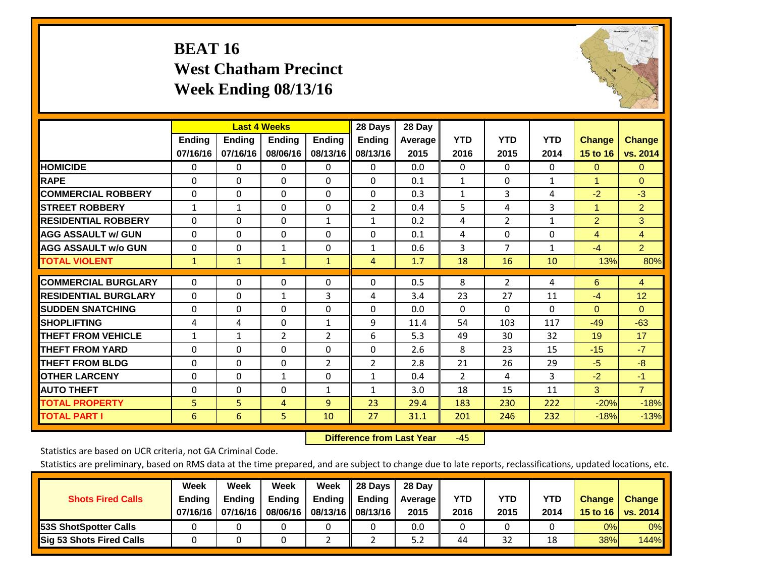# **BEAT 16 West Chatham Precinct Week Ending 08/13/16**



|                             |                | <b>Last 4 Weeks</b> |                |                | 28 Days        | 28 Day  |              |                |              |                      |                |
|-----------------------------|----------------|---------------------|----------------|----------------|----------------|---------|--------------|----------------|--------------|----------------------|----------------|
|                             | <b>Ending</b>  | Ending              | <b>Endina</b>  | <b>Ending</b>  | <b>Ending</b>  | Average | <b>YTD</b>   | <b>YTD</b>     | <b>YTD</b>   | <b>Change</b>        | <b>Change</b>  |
|                             | 07/16/16       | 07/16/16            | 08/06/16       | 08/13/16       | 08/13/16       | 2015    | 2016         | 2015           | 2014         | 15 to 16             | vs. 2014       |
| <b>HOMICIDE</b>             | 0              | 0                   | $\Omega$       | $\Omega$       | 0              | 0.0     | $\Omega$     | 0              | 0            | $\Omega$             | 0              |
| <b>RAPE</b>                 | 0              | $\Omega$            | $\Omega$       | 0              | 0              | 0.1     | 1            | 0              | $\mathbf{1}$ | 1                    | $\Omega$       |
| <b>COMMERCIAL ROBBERY</b>   | $\Omega$       | 0                   | $\mathbf{0}$   | $\Omega$       | 0              | 0.3     | 1            | 3              | 4            | $-2$                 | $-3$           |
| <b>ISTREET ROBBERY</b>      | $\mathbf{1}$   | $\mathbf{1}$        | $\Omega$       | $\Omega$       | $\overline{2}$ | 0.4     | 5            | 4              | 3            | $\blacktriangleleft$ | $\overline{2}$ |
| <b>RESIDENTIAL ROBBERY</b>  | $\Omega$       | $\Omega$            | $\Omega$       | 1              | $\mathbf{1}$   | 0.2     | 4            | 2              | 1            | $\overline{2}$       | 3              |
| <b>AGG ASSAULT w/ GUN</b>   | $\Omega$       | $\Omega$            | $\Omega$       | $\Omega$       | $\Omega$       | 0.1     | 4            | $\Omega$       | $\Omega$     | 4                    | $\overline{4}$ |
| <b>AGG ASSAULT w/o GUN</b>  | 0              | 0                   | $\mathbf{1}$   | 0              | $\mathbf{1}$   | 0.6     | 3            | 7              | $\mathbf{1}$ | $-4$                 | $\overline{2}$ |
| <b>TOTAL VIOLENT</b>        | $\mathbf{1}$   | $\mathbf{1}$        | $\mathbf{1}$   | $\mathbf{1}$   | 4              | 1.7     | 18           | 16             | 10           | 13%                  | 80%            |
| <b>COMMERCIAL BURGLARY</b>  | $\Omega$       | $\Omega$            | $\mathbf{0}$   | $\mathbf{0}$   | 0              | 0.5     | 8            | $\overline{2}$ | 4            | 6                    | 4              |
|                             |                |                     |                |                |                |         |              |                |              |                      |                |
| <b>RESIDENTIAL BURGLARY</b> | $\Omega$       | 0                   | $\mathbf{1}$   | 3              | 4              | 3.4     | 23           | 27             | 11           | $-4$                 | 12             |
| <b>SUDDEN SNATCHING</b>     | $\Omega$       | 0                   | $\mathbf{0}$   | $\Omega$       | 0              | 0.0     | $\mathbf{0}$ | 0              | 0            | $\Omega$             | $\Omega$       |
| <b>SHOPLIFTING</b>          | 4              | 4                   | $\mathbf{0}$   | $\mathbf{1}$   | 9              | 11.4    | 54           | 103            | 117          | $-49$                | $-63$          |
| <b>THEFT FROM VEHICLE</b>   | 1              | $\mathbf{1}$        | $\overline{2}$ | 2              | 6              | 5.3     | 49           | 30             | 32           | 19                   | 17             |
| <b>THEFT FROM YARD</b>      | 0              | 0                   | $\mathbf{0}$   | 0              | $\Omega$       | 2.6     | 8            | 23             | 15           | $-15$                | $-7$           |
| <b>THEFT FROM BLDG</b>      | $\Omega$       | $\Omega$            | $\Omega$       | $\overline{2}$ | $\overline{2}$ | 2.8     | 21           | 26             | 29           | $-5$                 | $-8$           |
| <b>OTHER LARCENY</b>        | $\Omega$       | 0                   | $\mathbf{1}$   | 0              | $\mathbf{1}$   | 0.4     | 2            | 4              | 3            | $-2$                 | $-1$           |
| <b>AUTO THEFT</b>           | 0              | 0                   | 0              | 1              | 1              | 3.0     | 18           | 15             | 11           | 3                    | $\overline{7}$ |
| <b>TOTAL PROPERTY</b>       | 5 <sup>1</sup> | $\overline{5}$      | $\overline{4}$ | 9              | 23             | 29.4    | 183          | 230            | 222          | $-20%$               | $-18%$         |
| <b>TOTAL PART I</b>         | 6              | 6                   | 5.             | 10             | 27             | 31.1    | 201          | 246            | 232          | $-18%$               | $-13%$         |

 **Difference from Last Year**‐45

Statistics are based on UCR criteria, not GA Criminal Code.

| <b>Shots Fired Calls</b>        | Week<br><b>Ending</b><br>07/16/16 l | Week<br><b>Endina</b><br>07/16/16 | Week<br>Ending<br>08/06/16 | Week<br>Ending | 28 Days<br><b>Ending</b><br>08/13/16    08/13/16 | 28 Day<br>Average II<br>2015 | YTD<br>2016 | YTD<br>2015 | YTD<br>2014 | <b>Change</b><br>15 to 16 $\vert$ | <b>Change</b><br>vs. 2014 |
|---------------------------------|-------------------------------------|-----------------------------------|----------------------------|----------------|--------------------------------------------------|------------------------------|-------------|-------------|-------------|-----------------------------------|---------------------------|
| <b>153S ShotSpotter Calls</b>   |                                     |                                   |                            |                |                                                  | 0.0                          |             |             |             | 0%                                | 0%                        |
| <b>Sig 53 Shots Fired Calls</b> |                                     |                                   |                            |                |                                                  | 5.2                          | 44          | 32          | 18          | 38%                               | 144%                      |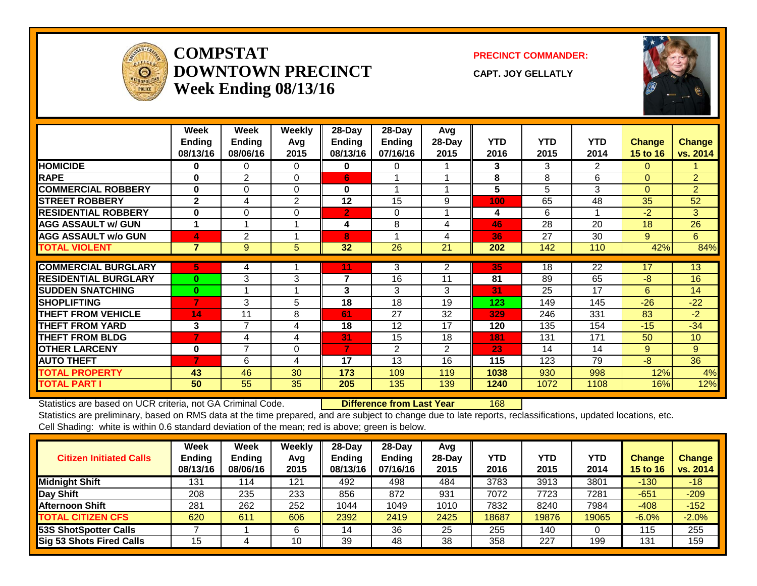

### **COMPSTATDOWNTOWN PRECINCTWeek Ending 08/13/16**

**PRECINCT COMMANDER:**

**CAPT. JOY GELLATLY**



|                             | Week<br><b>Ending</b><br>08/13/16 | Week<br><b>Ending</b><br>08/06/16 | <b>Weekly</b><br>Avg<br>2015 | $28-Day$<br>Ending<br>08/13/16 | 28-Day<br>Ending<br>07/16/16 | Avg<br>28-Day<br>2015 | <b>YTD</b><br>2016 | <b>YTD</b><br>2015 | <b>YTD</b><br>2014 | <b>Change</b><br>15 to 16 | <b>Change</b><br>vs. 2014 |
|-----------------------------|-----------------------------------|-----------------------------------|------------------------------|--------------------------------|------------------------------|-----------------------|--------------------|--------------------|--------------------|---------------------------|---------------------------|
| <b>HOMICIDE</b>             | 0                                 | 0                                 | 0                            | 0                              | 0                            |                       | 3                  | 3                  | 2                  | $\Omega$                  |                           |
| <b>RAPE</b>                 | 0                                 | $\overline{2}$                    | $\Omega$                     | 6                              |                              |                       | 8                  | 8                  | 6                  | $\Omega$                  | $\overline{2}$            |
| <b>COMMERCIAL ROBBERY</b>   | $\bf{0}$                          | $\Omega$                          | $\Omega$                     | 0                              | 1                            |                       | 5                  | 5                  | 3                  | $\Omega$                  | $\overline{2}$            |
| <b>STREET ROBBERY</b>       | $\overline{2}$                    | 4                                 | $\overline{2}$               | 12                             | 15                           | 9                     | 100                | 65                 | 48                 | 35                        | 52                        |
| <b>IRESIDENTIAL ROBBERY</b> | 0                                 | $\Omega$                          | $\Omega$                     | $\overline{2}$                 | $\Omega$                     |                       | 4                  | 6                  |                    | $-2$                      | 3                         |
| <b>AGG ASSAULT w/ GUN</b>   | 1                                 | 1                                 | 1                            | 4                              | 8                            | 4                     | 46                 | 28                 | 20                 | 18                        | 26                        |
| <b>AGG ASSAULT w/o GUN</b>  | 4                                 | 2                                 | и                            | 8                              |                              | 4                     | 36                 | 27                 | 30                 | 9                         | $6^{\circ}$               |
| <b>TOTAL VIOLENT</b>        | $\overline{7}$                    | 9                                 | 5                            | 32                             | 26                           | 21                    | 202                | 142                | 110                | 42%                       | 84%                       |
|                             |                                   |                                   |                              |                                |                              |                       |                    | 18                 |                    | 17                        | 13                        |
| <b>COMMERCIAL BURGLARY</b>  | 5                                 | 4                                 |                              | 11                             | 3                            | 2                     | 35                 |                    | 22                 |                           |                           |
| <b>RESIDENTIAL BURGLARY</b> | $\bf{0}$                          | 3                                 | 3                            | 7                              | 16                           | 11                    | 81                 | 89                 | 65                 | -8                        | 16                        |
| <b>ISUDDEN SNATCHING</b>    | $\bf{0}$                          | 1                                 |                              | 3                              | 3                            | 3                     | 31                 | 25                 | 17                 | 6                         | 14                        |
| <b>SHOPLIFTING</b>          | 7                                 | 3                                 | 5                            | 18                             | 18                           | 19                    | 123                | 149                | 145                | $-26$                     | $-22$                     |
| <b>THEFT FROM VEHICLE</b>   | 14                                | 11                                | 8                            | 61                             | 27                           | 32                    | 329                | 246                | 331                | 83                        | $-2$                      |
| <b>THEFT FROM YARD</b>      | 3                                 | 7                                 | 4                            | 18                             | 12                           | 17                    | 120                | 135                | 154                | $-15$                     | $-34$                     |
| <b>THEFT FROM BLDG</b>      | 7                                 | 4                                 | 4                            | 31                             | 15                           | 18                    | 181                | 131                | 171                | 50                        | 10                        |
| <b>OTHER LARCENY</b>        | $\bf{0}$                          | 7                                 | 0                            | 7                              | $\overline{2}$               | $\overline{2}$        | 23                 | 14                 | 14                 | 9                         | 9                         |
| <b>AUTO THEFT</b>           | $\overline{7}$                    | 6                                 | 4                            | 17                             | 13                           | 16                    | 115                | 123                | 79                 | -8                        | 36                        |
| <b>TOTAL PROPERTY</b>       | 43                                | 46                                | 30                           | 173                            | 109                          | 119                   | 1038               | 930                | 998                | 12%                       | 4%                        |
| <b>TOTAL PART I</b>         | 50                                | 55                                | 35                           | 205                            | 135                          | 139                   | 1240               | 1072               | 1108               | 16%                       | 12%                       |

Statistics are based on UCR criteria, not GA Criminal Code. **Difference from Last Year** 168

| <b>Citizen Initiated Calls</b> | Week<br>Ending<br>08/13/16 | <b>Week</b><br><b>Ending</b><br>08/06/16 | Weekly<br>Avg<br>2015 | $28$ -Dav<br><b>Ending</b><br>08/13/16 | $28-Dav$<br><b>Ending</b><br>07/16/16 | Avg<br>28-Dav<br>2015 | YTD<br>2016 | <b>YTD</b><br>2015 | YTD<br>2014 | Change<br><b>15 to 16</b> | <b>Change</b><br>vs. 2014 |
|--------------------------------|----------------------------|------------------------------------------|-----------------------|----------------------------------------|---------------------------------------|-----------------------|-------------|--------------------|-------------|---------------------------|---------------------------|
| <b>Midnight Shift</b>          | 131                        | 114                                      | 121                   | 492                                    | 498                                   | 484                   | 3783        | 3913               | 3801        | $-130$                    | $-18$                     |
| Day Shift                      | 208                        | 235                                      | 233                   | 856                                    | 872                                   | 931                   | 7072        | 7723               | 7281        | $-651$                    | $-209$                    |
| <b>Afternoon Shift</b>         | 281                        | 262                                      | 252                   | 1044                                   | 1049                                  | 1010                  | 7832        | 8240               | 7984        | $-408$                    | $-152$                    |
| <b>TOTAL CITIZEN CFS</b>       | 620                        | 611                                      | 606                   | 2392                                   | 2419                                  | 2425                  | 18687       | 19876              | 19065       | $-6.0%$                   | $-2.0%$                   |
| 53S ShotSpotter Calls          |                            |                                          | 6                     | ' 4                                    | 36                                    | 25                    | 255         | 140                |             | 115                       | 255                       |
| Sig 53 Shots Fired Calls       | 15                         |                                          | 10                    | 39                                     | 48                                    | 38                    | 358         | 227                | 199         | 131                       | 159                       |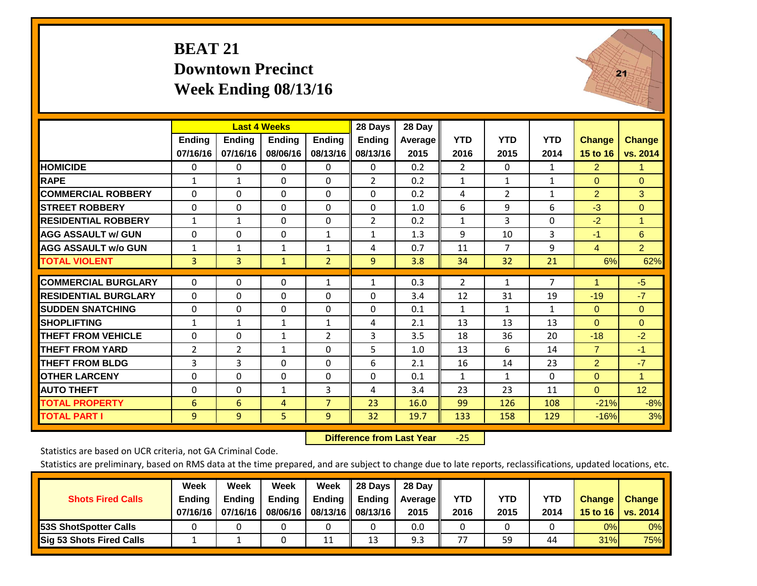## **BEAT 21 Downtown Precinct Week Ending 08/13/16**



|                             |              | <b>Last 4 Weeks</b> |               |                | 28 Days       | 28 Day  |                |                |                |                |                |
|-----------------------------|--------------|---------------------|---------------|----------------|---------------|---------|----------------|----------------|----------------|----------------|----------------|
|                             | Ending       | <b>Ending</b>       | <b>Ending</b> | <b>Ending</b>  | <b>Ending</b> | Average | <b>YTD</b>     | <b>YTD</b>     | <b>YTD</b>     | <b>Change</b>  | <b>Change</b>  |
|                             | 07/16/16     | 07/16/16            | 08/06/16      | 08/13/16       | 08/13/16      | 2015    | 2016           | 2015           | 2014           | 15 to 16       | vs. 2014       |
| <b>HOMICIDE</b>             | $\Omega$     | 0                   | 0             | 0              | $\Omega$      | 0.2     | $\overline{2}$ | $\Omega$       | $\mathbf{1}$   | $\overline{2}$ | 1.             |
| <b>RAPE</b>                 | $\mathbf{1}$ | $\mathbf{1}$        | $\Omega$      | 0              | 2             | 0.2     | $\mathbf{1}$   | 1              | 1              | $\Omega$       | $\Omega$       |
| <b>COMMERCIAL ROBBERY</b>   | $\Omega$     | $\Omega$            | $\Omega$      | $\Omega$       | $\Omega$      | 0.2     | 4              | $\overline{2}$ | $\mathbf{1}$   | $\overline{2}$ | 3              |
| <b>STREET ROBBERY</b>       | $\Omega$     | $\Omega$            | $\Omega$      | $\Omega$       | 0             | 1.0     | 6              | 9              | 6              | $-3$           | $\Omega$       |
| <b>RESIDENTIAL ROBBERY</b>  | $\mathbf{1}$ | $\mathbf{1}$        | $\Omega$      | $\Omega$       | 2             | 0.2     | $\mathbf{1}$   | 3              | $\Omega$       | $-2$           | 1              |
| <b>AGG ASSAULT w/ GUN</b>   | $\Omega$     | $\Omega$            | $\Omega$      | $\mathbf{1}$   | $\mathbf{1}$  | 1.3     | 9              | 10             | 3              | $-1$           | 6              |
| <b>AGG ASSAULT w/o GUN</b>  | 1            | 1                   | 1             | 1              | 4             | 0.7     | 11             | 7              | 9              | 4              | $\overline{2}$ |
| <b>TOTAL VIOLENT</b>        | 3            | $\overline{3}$      | $\mathbf{1}$  | $\overline{2}$ | 9             | 3.8     | 34             | 32             | 21             | 6%             | 62%            |
| <b>COMMERCIAL BURGLARY</b>  | $\mathbf{0}$ | $\Omega$            | $\Omega$      | $\mathbf{1}$   | $\mathbf{1}$  | 0.3     | $\overline{2}$ | $\mathbf{1}$   | $\overline{7}$ | 1              | $-5$           |
| <b>RESIDENTIAL BURGLARY</b> | $\Omega$     | $\Omega$            | $\Omega$      | $\Omega$       | $\Omega$      | 3.4     | 12             | 31             | 19             | $-19$          | $-7$           |
| <b>SUDDEN SNATCHING</b>     | $\mathbf 0$  | $\Omega$            | 0             | $\Omega$       | $\Omega$      | 0.1     | $\mathbf{1}$   | 1              | $\mathbf{1}$   | $\Omega$       | $\mathbf{0}$   |
| <b>SHOPLIFTING</b>          | $\mathbf{1}$ | $\mathbf{1}$        | 1             | 1              | 4             | 2.1     | 13             | 13             | 13             | $\Omega$       | $\Omega$       |
| THEFT FROM VEHICLE          | $\Omega$     | $\Omega$            | $\mathbf{1}$  | $\overline{2}$ | 3             | 3.5     | 18             | 36             | 20             | $-18$          | $-2$           |
| <b>THEFT FROM YARD</b>      | 2            | $\overline{2}$      | $\mathbf{1}$  | $\Omega$       | 5             | 1.0     | 13             | 6              | 14             | $\overline{7}$ | $-1$           |
| <b>THEFT FROM BLDG</b>      | 3            | 3                   | $\Omega$      | $\Omega$       | 6             | 2.1     | 16             | 14             | 23             | 2              | $-7$           |
| <b>OTHER LARCENY</b>        | $\Omega$     | $\Omega$            | $\Omega$      | $\Omega$       | 0             | 0.1     | $\mathbf{1}$   | $\mathbf{1}$   | 0              | $\Omega$       | 1.             |
| <b>AUTO THEFT</b>           | 0            | $\Omega$            | $\mathbf{1}$  | 3              | 4             | 3.4     | 23             | 23             | 11             | $\Omega$       | 12             |
| <b>TOTAL PROPERTY</b>       | 6            | 6                   | 4             | $\overline{7}$ | 23            | 16.0    | 99             | 126            | 108            | $-21%$         | $-8%$          |
| <b>TOTAL PART I</b>         | 9            | $\overline{9}$      | 5             | 9              | 32            | 19.7    | 133            | 158            | 129            | $-16%$         | 3%             |

 **Difference from Last Year**‐25

Statistics are based on UCR criteria, not GA Criminal Code.

| <b>Shots Fired Calls</b>        | Week<br><b>Ending</b><br>07/16/16 | Week<br><b>Endina</b><br>07/16/16 | Week<br>Ending<br>08/06/16 | Week<br>Ending | 28 Days<br><b>Ending</b><br>08/13/16    08/13/16 | 28 Day<br>Average II<br>2015 | YTD<br>2016 | YTD<br>2015 | YTD<br>2014 | <b>Change</b><br>15 to 16 $\vert$ | <b>Change</b><br>vs. 2014 |
|---------------------------------|-----------------------------------|-----------------------------------|----------------------------|----------------|--------------------------------------------------|------------------------------|-------------|-------------|-------------|-----------------------------------|---------------------------|
| <b>153S ShotSpotter Calls</b>   |                                   |                                   |                            |                |                                                  | 0.0                          |             |             |             | 0%                                | 0%                        |
| <b>Sig 53 Shots Fired Calls</b> |                                   |                                   |                            | 11             | 13                                               | 9.3                          | 77          | 59          | 44          | 31%                               | <b>75%</b>                |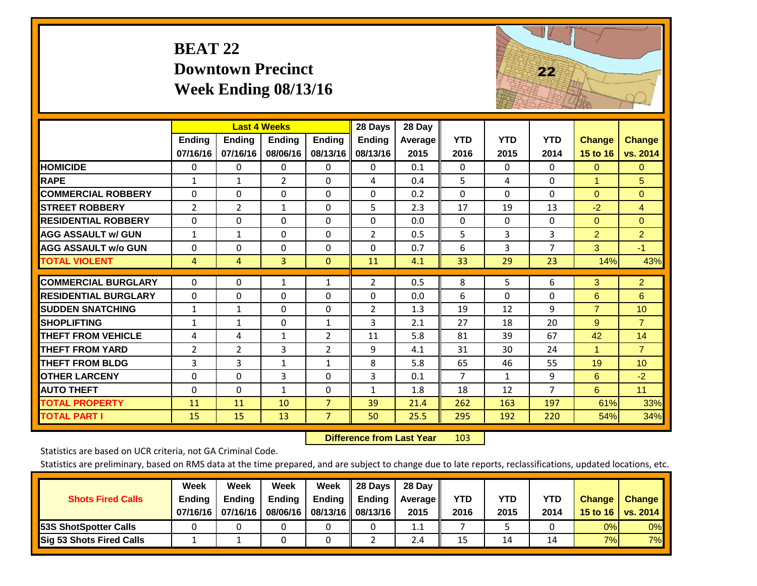## **BEAT 22 Downtown Precinct Week Ending 08/13/16**



|                             |                | <b>Last 4 Weeks</b> |                |                | 28 Days        | 28 Day         |                |              |                |                      |                 |
|-----------------------------|----------------|---------------------|----------------|----------------|----------------|----------------|----------------|--------------|----------------|----------------------|-----------------|
|                             | Ending         | <b>Ending</b>       | <b>Endina</b>  | <b>Ending</b>  | <b>Ending</b>  | <b>Average</b> | <b>YTD</b>     | <b>YTD</b>   | <b>YTD</b>     | <b>Change</b>        | <b>Change</b>   |
|                             | 07/16/16       | 07/16/16            | 08/06/16       | 08/13/16       | 08/13/16       | 2015           | 2016           | 2015         | 2014           | 15 to 16             | vs. 2014        |
| <b>HOMICIDE</b>             | 0              | 0                   | 0              | 0              | 0              | 0.1            | $\Omega$       | 0            | $\Omega$       | $\mathbf{0}$         | $\mathbf{0}$    |
| <b>RAPE</b>                 | $\mathbf{1}$   | 1                   | $\overline{2}$ | $\Omega$       | 4              | 0.4            | 5              | 4            | 0              | $\blacktriangleleft$ | 5               |
| <b>COMMERCIAL ROBBERY</b>   | $\Omega$       | 0                   | $\Omega$       | $\Omega$       | $\Omega$       | 0.2            | $\Omega$       | $\Omega$     | $\Omega$       | $\Omega$             | $\Omega$        |
| <b>STREET ROBBERY</b>       | $\overline{2}$ | $\overline{2}$      | $\mathbf{1}$   | $\Omega$       | 5              | 2.3            | 17             | 19           | 13             | $-2$                 | $\overline{4}$  |
| <b>RESIDENTIAL ROBBERY</b>  | $\Omega$       | 0                   | $\mathbf{0}$   | $\Omega$       | $\Omega$       | 0.0            | $\mathbf{0}$   | $\Omega$     | 0              | $\Omega$             | $\mathbf{0}$    |
| <b>AGG ASSAULT W/ GUN</b>   | $\mathbf{1}$   | 1                   | $\Omega$       | $\Omega$       | $\overline{2}$ | 0.5            | 5              | 3            | 3              | $\overline{2}$       | $\overline{2}$  |
| <b>AGG ASSAULT w/o GUN</b>  | $\Omega$       | 0                   | $\Omega$       | $\Omega$       | $\Omega$       | 0.7            | 6              | 3            | $\overline{7}$ | 3                    | $-1$            |
| <b>TOTAL VIOLENT</b>        | 4              | 4                   | $\overline{3}$ | $\mathbf{0}$   | 11             | 4.1            | 33             | 29           | 23             | 14%                  | 43%             |
|                             |                |                     |                |                |                |                |                |              |                |                      |                 |
| <b>COMMERCIAL BURGLARY</b>  | 0              | 0                   | 1              | $\mathbf{1}$   | 2              | 0.5            | 8              | 5            | 6              | 3                    | 2 <sup>1</sup>  |
| <b>RESIDENTIAL BURGLARY</b> | $\Omega$       | 0                   | $\Omega$       | $\Omega$       | $\Omega$       | 0.0            | 6              | $\Omega$     | $\Omega$       | 6                    | 6               |
| <b>SUDDEN SNATCHING</b>     | $\mathbf{1}$   | $\mathbf{1}$        | $\Omega$       | $\Omega$       | $\overline{2}$ | 1.3            | 19             | 12           | 9              | $\overline{7}$       | 10              |
| <b>SHOPLIFTING</b>          | $\mathbf{1}$   | 1                   | $\Omega$       | $\mathbf{1}$   | 3              | 2.1            | 27             | 18           | 20             | 9                    | $\overline{7}$  |
| <b>THEFT FROM VEHICLE</b>   | 4              | 4                   | 1              | $\overline{2}$ | 11             | 5.8            | 81             | 39           | 67             | 42                   | 14              |
| <b>THEFT FROM YARD</b>      | $\overline{2}$ | $\overline{2}$      | 3              | $\overline{2}$ | 9              | 4.1            | 31             | 30           | 24             | $\blacktriangleleft$ | $\overline{7}$  |
| <b>THEFT FROM BLDG</b>      | 3              | 3                   | 1              | $\mathbf{1}$   | 8              | 5.8            | 65             | 46           | 55             | 19                   | 10 <sup>1</sup> |
| <b>OTHER LARCENY</b>        | $\Omega$       | $\Omega$            | 3              | $\Omega$       | 3              | 0.1            | $\overline{7}$ | $\mathbf{1}$ | 9              | 6                    | $-2$            |
| <b>AUTO THEFT</b>           | $\Omega$       | 0                   | $\mathbf{1}$   | $\Omega$       | $\mathbf{1}$   | 1.8            | 18             | 12           | $\overline{7}$ | 6                    | 11              |
| <b>TOTAL PROPERTY</b>       | 11             | 11                  | 10             | $\overline{7}$ | 39             | 21.4           | 262            | 163          | 197            | 61%                  | 33%             |
| <b>TOTAL PART I</b>         | 15             | 15                  | 13             | $\overline{7}$ | 50             | 25.5           | 295            | 192          | 220            | 54%                  | 34%             |

 **Difference from Last Year**r 103

Statistics are based on UCR criteria, not GA Criminal Code.

| <b>Shots Fired Calls</b>        | Week<br><b>Ending</b><br>07/16/16 l | Week<br><b>Endina</b><br>07/16/16 | Week<br><b>Ending</b><br>08/06/16 | Week<br>Ending | 28 Days<br><b>Ending</b><br>08/13/16    08/13/16 | 28 Day<br><b>Average</b> II<br>2015 | YTD<br>2016 | YTD<br>2015 | YTD<br>2014 | <b>Change</b><br>15 to 16 $\vert$ | <b>Change</b><br>vs. 2014 |
|---------------------------------|-------------------------------------|-----------------------------------|-----------------------------------|----------------|--------------------------------------------------|-------------------------------------|-------------|-------------|-------------|-----------------------------------|---------------------------|
| <b>153S ShotSpotter Calls</b>   |                                     |                                   |                                   |                |                                                  | 1.1                                 |             |             |             | 0%                                | 0%                        |
| <b>Sig 53 Shots Fired Calls</b> |                                     |                                   |                                   |                |                                                  | 2.4                                 | 15          | 14          | 14          | 7%                                | 7%                        |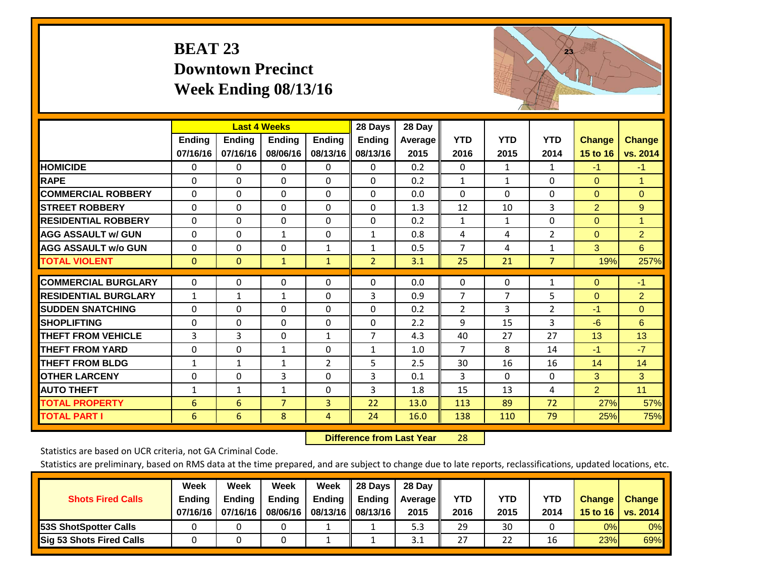## **BEAT 23 Downtown Precinct Week Ending 08/13/16**



|                             |              | <b>Last 4 Weeks</b> |                |               | 28 Days        | 28 Day  |                |              |                |                |                |
|-----------------------------|--------------|---------------------|----------------|---------------|----------------|---------|----------------|--------------|----------------|----------------|----------------|
|                             | Ending       | <b>Ending</b>       | <b>Endina</b>  | <b>Ending</b> | <b>Ending</b>  | Average | <b>YTD</b>     | <b>YTD</b>   | <b>YTD</b>     | <b>Change</b>  | <b>Change</b>  |
|                             | 07/16/16     | 07/16/16            | 08/06/16       | 08/13/16      | 08/13/16       | 2015    | 2016           | 2015         | 2014           | 15 to 16       | vs. 2014       |
| <b>HOMICIDE</b>             | 0            | $\Omega$            | $\Omega$       | $\Omega$      | $\Omega$       | 0.2     | $\mathbf{0}$   | $\mathbf{1}$ | 1              | $-1$           | $-1$           |
| <b>RAPE</b>                 | $\Omega$     | 0                   | $\mathbf{0}$   | $\Omega$      | $\Omega$       | 0.2     | 1              | 1            | $\Omega$       | $\Omega$       | 1              |
| <b>COMMERCIAL ROBBERY</b>   | $\Omega$     | $\Omega$            | $\Omega$       | $\Omega$      | $\Omega$       | 0.0     | $\Omega$       | $\Omega$     | $\Omega$       | $\Omega$       | $\Omega$       |
| <b>STREET ROBBERY</b>       | $\Omega$     | $\Omega$            | 0              | $\Omega$      | $\Omega$       | 1.3     | 12             | 10           | 3              | $\overline{2}$ | 9              |
| <b>RESIDENTIAL ROBBERY</b>  | $\Omega$     | $\Omega$            | $\Omega$       | $\Omega$      | $\Omega$       | 0.2     | $\mathbf{1}$   | 1            | $\Omega$       | $\Omega$       | $\mathbf{1}$   |
| <b>AGG ASSAULT w/ GUN</b>   | $\Omega$     | $\Omega$            | 1              | $\Omega$      | $\mathbf{1}$   | 0.8     | 4              | 4            | $\overline{2}$ | $\mathbf{0}$   | $\overline{2}$ |
| <b>AGG ASSAULT w/o GUN</b>  | $\Omega$     | 0                   | $\mathbf{0}$   | $\mathbf{1}$  | $\mathbf{1}$   | 0.5     | $\overline{7}$ | 4            | $\mathbf{1}$   | 3              | 6              |
| <b>TOTAL VIOLENT</b>        | $\mathbf 0$  | $\mathbf{0}$        | $\mathbf{1}$   | $\mathbf{1}$  | $\overline{2}$ | 3.1     | 25             | 21           | $\overline{7}$ | 19%            | 257%           |
| <b>COMMERCIAL BURGLARY</b>  | 0            | 0                   | $\mathbf 0$    | 0             | $\Omega$       | 0.0     | 0              | 0            | 1              | $\mathbf{0}$   | $-1$           |
|                             |              |                     |                |               |                |         |                |              |                |                |                |
| <b>RESIDENTIAL BURGLARY</b> | $\mathbf{1}$ | $\mathbf{1}$        | 1              | $\Omega$      | 3              | 0.9     | 7              | 7            | 5              | $\Omega$       | $\overline{2}$ |
| <b>SUDDEN SNATCHING</b>     | $\Omega$     | 0                   | $\mathbf{0}$   | $\Omega$      | $\Omega$       | 0.2     | $\overline{2}$ | 3            | 2              | -1             | $\Omega$       |
| <b>SHOPLIFTING</b>          | $\Omega$     | $\Omega$            | $\mathbf 0$    | $\Omega$      | $\Omega$       | 2.2     | 9              | 15           | 3              | $-6$           | 6              |
| <b>THEFT FROM VEHICLE</b>   | 3            | 3                   | $\mathbf{0}$   | $\mathbf{1}$  | $\overline{7}$ | 4.3     | 40             | 27           | 27             | 13             | 13             |
| <b>THEFT FROM YARD</b>      | 0            | $\Omega$            | 1              | 0             | $\mathbf{1}$   | 1.0     | $\overline{7}$ | 8            | 14             | $-1$           | $-7$           |
| <b>THEFT FROM BLDG</b>      | $\mathbf{1}$ | 1                   | 1              | 2             | 5              | 2.5     | 30             | 16           | 16             | 14             | 14             |
| <b>OTHER LARCENY</b>        | 0            | $\Omega$            | 3              | $\Omega$      | 3              | 0.1     | 3              | $\Omega$     | $\Omega$       | 3              | 3              |
| <b>AUTO THEFT</b>           | $\mathbf{1}$ | 1                   | 1              | $\Omega$      | 3              | 1.8     | 15             | 13           | 4              | $\overline{2}$ | 11             |
| <b>TOTAL PROPERTY</b>       | 6            | 6                   | $\overline{7}$ | 3             | 22             | 13.0    | 113            | 89           | 72             | 27%            | 57%            |
| <b>TOTAL PART I</b>         | 6            | 6                   | 8              | 4             | 24             | 16.0    | 138            | 110          | 79             | 25%            | 75%            |

 **Difference from Last Year**r 28

Statistics are based on UCR criteria, not GA Criminal Code.

| <b>Shots Fired Calls</b>        | Week<br><b>Ending</b><br>07/16/16 l | Week<br><b>Endina</b><br>07/16/16 | Week<br>Ending<br>08/06/16 | Week<br>Ending | 28 Days<br><b>Ending</b><br>08/13/16    08/13/16 | 28 Day<br>Average II<br>2015 | YTD<br>2016 | YTD<br>2015 | YTD<br>2014 | <b>Change</b><br>15 to 16 $\vert$ | <b>Change</b><br>vs. 2014 |
|---------------------------------|-------------------------------------|-----------------------------------|----------------------------|----------------|--------------------------------------------------|------------------------------|-------------|-------------|-------------|-----------------------------------|---------------------------|
| <b>153S ShotSpotter Calls</b>   |                                     |                                   |                            |                |                                                  | 5.3                          | 29          | 30          |             | 0%                                | 0%                        |
| <b>Sig 53 Shots Fired Calls</b> |                                     |                                   |                            |                |                                                  | 3.1                          | 27          | 22          | 16          | 23%                               | 69%                       |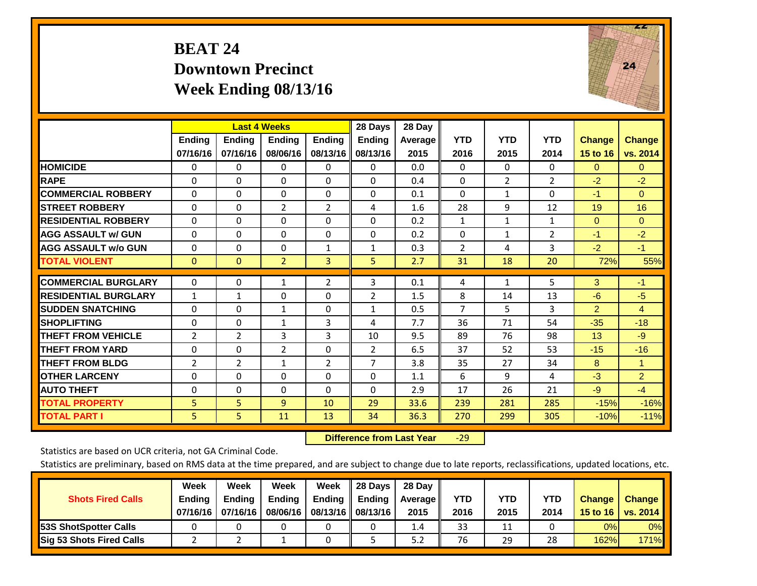## **BEAT 24 Downtown Precinct Week Ending 08/13/16**



|                             |               | <b>Last 4 Weeks</b> |                |                | 28 Days        | 28 Day  |                |                |                |                 |                |
|-----------------------------|---------------|---------------------|----------------|----------------|----------------|---------|----------------|----------------|----------------|-----------------|----------------|
|                             | <b>Ending</b> | <b>Ending</b>       | <b>Endina</b>  | <b>Endina</b>  | <b>Endina</b>  | Average | <b>YTD</b>     | <b>YTD</b>     | <b>YTD</b>     | <b>Change</b>   | <b>Change</b>  |
|                             | 07/16/16      | 07/16/16            | 08/06/16       | 08/13/16       | 08/13/16       | 2015    | 2016           | 2015           | 2014           | <b>15 to 16</b> | vs. 2014       |
| <b>HOMICIDE</b>             | $\Omega$      | $\mathbf{0}$        | 0              | $\Omega$       | $\mathbf{0}$   | 0.0     | $\Omega$       | $\Omega$       | 0              | $\Omega$        | $\mathbf{0}$   |
| <b>RAPE</b>                 | $\Omega$      | 0                   | $\Omega$       | 0              | $\Omega$       | 0.4     | $\mathbf{0}$   | $\overline{2}$ | $\overline{2}$ | $-2$            | $-2$           |
| <b>COMMERCIAL ROBBERY</b>   | $\Omega$      | $\Omega$            | $\Omega$       | $\mathbf{0}$   | $\Omega$       | 0.1     | $\Omega$       | 1              | 0              | $-1$            | $\mathbf{0}$   |
| <b>STREET ROBBERY</b>       | $\Omega$      | $\Omega$            | $\overline{2}$ | 2              | 4              | 1.6     | 28             | 9              | 12             | 19              | 16             |
| <b>RESIDENTIAL ROBBERY</b>  | $\Omega$      | $\Omega$            | $\Omega$       | $\Omega$       | $\Omega$       | 0.2     | 1              | 1              | 1              | $\Omega$        | $\Omega$       |
| <b>AGG ASSAULT w/ GUN</b>   | $\Omega$      | $\Omega$            | $\Omega$       | $\Omega$       | $\Omega$       | 0.2     | $\mathbf{0}$   | $\mathbf{1}$   | $\overline{2}$ | $-1$            | $-2$           |
| <b>AGG ASSAULT w/o GUN</b>  | $\Omega$      | $\Omega$            | $\Omega$       | $\mathbf{1}$   | $\mathbf{1}$   | 0.3     | $\overline{2}$ | 4              | 3              | $-2$            | $-1$           |
| <b>TOTAL VIOLENT</b>        | $\mathbf{0}$  | $\Omega$            | $\overline{2}$ | 3              | 5.             | 2.7     | 31             | 18             | 20             | 72%             | 55%            |
|                             |               |                     |                |                |                |         |                |                |                |                 |                |
| <b>COMMERCIAL BURGLARY</b>  | $\mathbf{0}$  | 0                   | 1              | 2              | 3              | 0.1     | 4              | 1              | 5              | 3               | $-1$           |
| <b>RESIDENTIAL BURGLARY</b> | $\mathbf{1}$  | $\mathbf{1}$        | $\Omega$       | 0              | $\overline{2}$ | 1.5     | 8              | 14             | 13             | $-6$            | $-5$           |
| <b>ISUDDEN SNATCHING</b>    | $\Omega$      | $\Omega$            | $\mathbf{1}$   | $\Omega$       | 1              | 0.5     | 7              | 5              | 3              | $\overline{2}$  | 4              |
| <b>SHOPLIFTING</b>          | $\mathbf{0}$  | $\Omega$            | $\mathbf{1}$   | 3              | 4              | 7.7     | 36             | 71             | 54             | $-35$           | $-18$          |
| <b>THEFT FROM VEHICLE</b>   | 2             | $\overline{2}$      | 3              | 3              | 10             | 9.5     | 89             | 76             | 98             | 13              | $-9$           |
| <b>THEFT FROM YARD</b>      | $\Omega$      | 0                   | $\overline{2}$ | $\mathbf{0}$   | $\overline{2}$ | 6.5     | 37             | 52             | 53             | $-15$           | $-16$          |
| <b>THEFT FROM BLDG</b>      | 2             | $\overline{2}$      | $\mathbf{1}$   | $\overline{2}$ | 7              | 3.8     | 35             | 27             | 34             | 8               | $\mathbf{1}$   |
| <b>IOTHER LARCENY</b>       | $\Omega$      | 0                   | $\Omega$       | 0              | $\Omega$       | 1.1     | 6              | 9              | 4              | $-3$            | $\overline{2}$ |
| <b>AUTO THEFT</b>           | 0             | $\Omega$            | $\Omega$       | $\Omega$       | $\Omega$       | 2.9     | 17             | 26             | 21             | -9              | $-4$           |
| <b>TOTAL PROPERTY</b>       | 5             | 5                   | 9              | 10             | 29             | 33.6    | 239            | 281            | 285            | $-15%$          | $-16%$         |
| <b>TOTAL PART I</b>         | 5.            | 5.                  | 11             | 13             | 34             | 36.3    | 270            | 299            | 305            | $-10%$          | $-11%$         |

 **Difference from Last Year**‐29

Statistics are based on UCR criteria, not GA Criminal Code.

|                                 | Week          | Week          | Week          | Week                 | 28 Days                   | 28 Day     |      |            |            |               |               |
|---------------------------------|---------------|---------------|---------------|----------------------|---------------------------|------------|------|------------|------------|---------------|---------------|
| <b>Shots Fired Calls</b>        | <b>Ending</b> | <b>Endina</b> | <b>Ending</b> |                      | Ending $\parallel$ Ending | Average II | YTD  | <b>YTD</b> | <b>YTD</b> | <b>Change</b> | <b>Change</b> |
|                                 | 07/16/16      | 07/16/16      | 08/06/16      | 08/13/16    08/13/16 |                           | 2015       | 2016 | 2015       | 2014       | 15 to 16      | vs. 2014      |
| <b>153S ShotSpotter Calls</b>   |               |               |               |                      |                           | 1.4        | 33   | 11         |            | 0%            | $0\%$         |
| <b>Sig 53 Shots Fired Calls</b> |               |               |               |                      |                           | 5.2        | 76   | 29         | 28         | 162%          | <b>171%</b>   |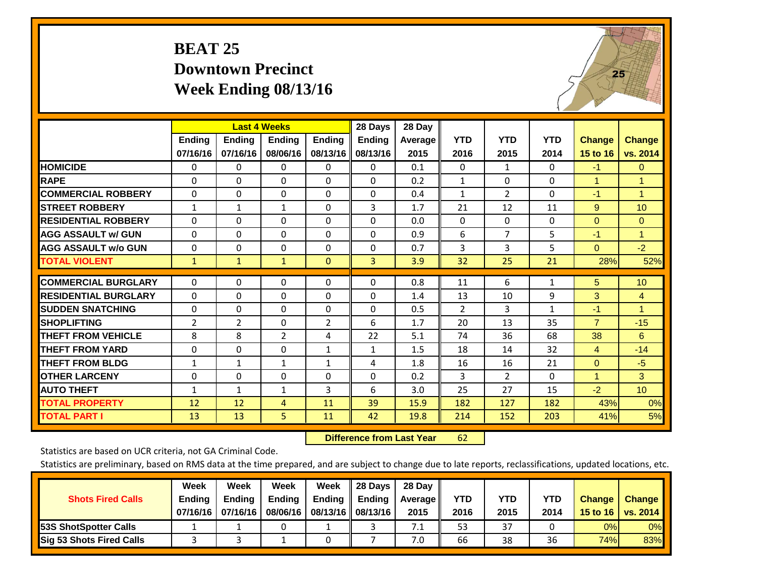## **BEAT 25 Downtown Precinct Week Ending 08/13/16**



|                             |                | <b>Last 4 Weeks</b> |               |                | 28 Days       | 28 Day  |                |                |              |                |                 |
|-----------------------------|----------------|---------------------|---------------|----------------|---------------|---------|----------------|----------------|--------------|----------------|-----------------|
|                             | Ending         | Ending              | <b>Endina</b> | <b>Endina</b>  | <b>Ending</b> | Average | <b>YTD</b>     | <b>YTD</b>     | <b>YTD</b>   | <b>Change</b>  | Change          |
|                             | 07/16/16       | 07/16/16            | 08/06/16      | 08/13/16       | 08/13/16      | 2015    | 2016           | 2015           | 2014         | 15 to 16       | vs. 2014        |
| <b>HOMICIDE</b>             | 0              | 0                   | $\Omega$      | $\Omega$       | $\Omega$      | 0.1     | $\Omega$       | 1              | 0            | $-1$           | $\mathbf{0}$    |
| <b>RAPE</b>                 | $\Omega$       | 0                   | $\Omega$      | 0              | 0             | 0.2     | $\mathbf{1}$   | 0              | 0            | 1              | 1               |
| <b>COMMERCIAL ROBBERY</b>   | $\Omega$       | $\Omega$            | $\Omega$      | $\Omega$       | 0             | 0.4     | $\mathbf{1}$   | $\overline{2}$ | $\Omega$     | $-1$           | $\mathbf{1}$    |
| <b>ISTREET ROBBERY</b>      | $\mathbf{1}$   | 1                   | 1             | $\Omega$       | 3             | 1.7     | 21             | 12             | 11           | 9              | 10              |
| <b>RESIDENTIAL ROBBERY</b>  | $\Omega$       | $\Omega$            | $\Omega$      | $\Omega$       | $\Omega$      | 0.0     | $\mathbf{0}$   | $\Omega$       | $\Omega$     | $\mathbf{0}$   | $\Omega$        |
| <b>AGG ASSAULT w/ GUN</b>   | $\Omega$       | $\Omega$            | $\Omega$      | $\Omega$       | 0             | 0.9     | 6              | $\overline{7}$ | 5            | -1             | $\mathbf{1}$    |
| <b>AGG ASSAULT w/o GUN</b>  | 0              | $\Omega$            | $\Omega$      | $\Omega$       | 0             | 0.7     | 3              | 3              | 5            | $\Omega$       | $-2$            |
| <b>TOTAL VIOLENT</b>        | $\mathbf{1}$   | $\mathbf{1}$        | $\mathbf{1}$  | $\Omega$       | 3             | 3.9     | 32             | 25             | 21           | 28%            | 52%             |
|                             |                |                     |               |                |               |         |                |                |              |                |                 |
| <b>COMMERCIAL BURGLARY</b>  | $\Omega$       | $\Omega$            | $\mathbf{0}$  | 0              | $\Omega$      | 0.8     | 11             | 6              | 1            | 5              | 10              |
| <b>RESIDENTIAL BURGLARY</b> | $\Omega$       | 0                   | $\Omega$      | $\Omega$       | 0             | 1.4     | 13             | 10             | 9            | 3              | $\overline{4}$  |
| <b>ISUDDEN SNATCHING</b>    | $\Omega$       | 0                   | $\Omega$      | $\Omega$       | 0             | 0.5     | $\overline{2}$ | 3              | $\mathbf{1}$ | $-1$           | $\mathbf{1}$    |
| <b>SHOPLIFTING</b>          | $\overline{2}$ | 2                   | $\Omega$      | $\overline{2}$ | 6             | 1.7     | 20             | 13             | 35           | $\overline{7}$ | $-15$           |
| <b>THEFT FROM VEHICLE</b>   | 8              | 8                   | 2             | 4              | 22            | 5.1     | 74             | 36             | 68           | 38             | 6               |
| <b>THEFT FROM YARD</b>      | 0              | $\Omega$            | $\Omega$      | $\mathbf{1}$   | $\mathbf{1}$  | 1.5     | 18             | 14             | 32           | 4              | $-14$           |
| <b>THEFT FROM BLDG</b>      | $\mathbf{1}$   | $\mathbf{1}$        | 1             | $\mathbf{1}$   | 4             | 1.8     | 16             | 16             | 21           | $\Omega$       | $-5$            |
| <b>OTHER LARCENY</b>        | 0              | $\Omega$            | $\Omega$      | $\Omega$       | 0             | 0.2     | 3              | $\overline{2}$ | $\Omega$     | $\mathbf{1}$   | 3               |
| <b>AUTO THEFT</b>           | $\mathbf{1}$   | $\mathbf{1}$        | 1             | 3              | 6             | 3.0     | 25             | 27             | 15           | $-2$           | 10 <sup>°</sup> |
| <b>TOTAL PROPERTY</b>       | 12             | 12                  | 4             | 11             | 39            | 15.9    | 182            | 127            | 182          | 43%            | 0%              |
| <b>TOTAL PART I</b>         | 13             | 13                  | 5             | 11             | 42            | 19.8    | 214            | 152            | 203          | 41%            | 5%              |

 **Difference from Last Year**r 62

Statistics are based on UCR criteria, not GA Criminal Code.

| <b>Shots Fired Calls</b>        | Week<br><b>Ending</b><br>07/16/16 l | Week<br><b>Endina</b><br>07/16/16 | Week<br>Ending<br>08/06/16 | Week<br>Ending | 28 Days<br><b>Ending</b><br>08/13/16    08/13/16 | 28 Day<br>Average II<br>2015 | YTD<br>2016 | YTD<br>2015 | YTD<br>2014 | <b>Change</b><br>15 to 16 $\vert$ | <b>Change</b><br>vs. 2014 |
|---------------------------------|-------------------------------------|-----------------------------------|----------------------------|----------------|--------------------------------------------------|------------------------------|-------------|-------------|-------------|-----------------------------------|---------------------------|
| <b>153S ShotSpotter Calls</b>   |                                     |                                   |                            |                |                                                  | 7.1                          | 53          | 37          |             | 0%                                | 0%                        |
| <b>Sig 53 Shots Fired Calls</b> |                                     |                                   |                            |                |                                                  | 7.0                          | 66          | 38          | 36          | 74%                               | 83%                       |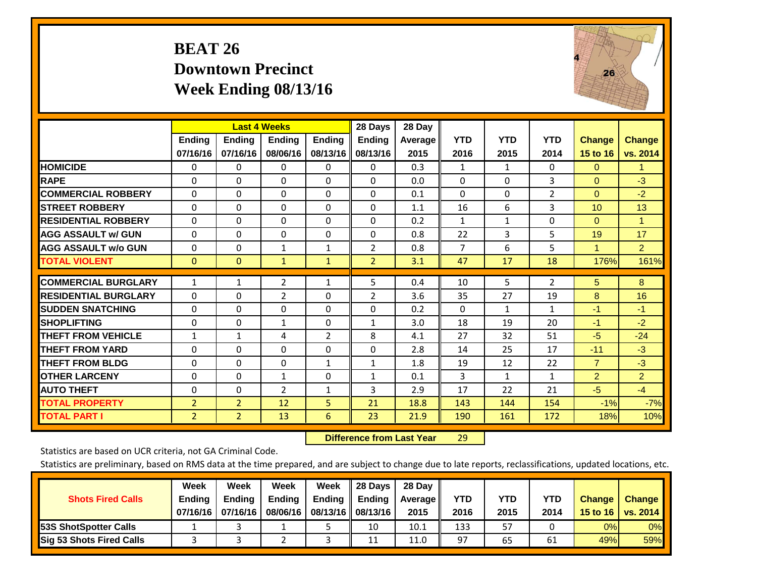## **BEAT 26 Downtown Precinct Week Ending 08/13/16**



|                             |                | <b>Last 4 Weeks</b> |                |               | 28 Days        | 28 Day     |                |              |                |                      |                      |
|-----------------------------|----------------|---------------------|----------------|---------------|----------------|------------|----------------|--------------|----------------|----------------------|----------------------|
|                             | <b>Ending</b>  | <b>Ending</b>       | <b>Endina</b>  | <b>Endina</b> | <b>Endina</b>  | Average II | <b>YTD</b>     | <b>YTD</b>   | <b>YTD</b>     | <b>Change</b>        | <b>Change</b>        |
|                             | 07/16/16       | 07/16/16            | 08/06/16       | 08/13/16      | 08/13/16       | 2015       | 2016           | 2015         | 2014           | 15 to 16             | vs. 2014             |
| <b>HOMICIDE</b>             | 0              | 0                   | $\Omega$       | 0             | 0              | 0.3        | 1              | 1            | 0              | $\mathbf{0}$         | $\blacktriangleleft$ |
| <b>RAPE</b>                 | 0              | $\Omega$            | $\Omega$       | $\Omega$      | $\Omega$       | 0.0        | $\Omega$       | $\Omega$     | 3              | $\Omega$             | $-3$                 |
| <b>COMMERCIAL ROBBERY</b>   | $\Omega$       | 0                   | $\Omega$       | $\mathbf{0}$  | $\Omega$       | 0.1        | $\Omega$       | $\Omega$     | $\overline{2}$ | $\mathbf{0}$         | $-2$                 |
| <b>ISTREET ROBBERY</b>      | $\Omega$       | $\Omega$            | $\Omega$       | $\Omega$      | $\Omega$       | 1.1        | 16             | 6            | 3              | 10                   | 13                   |
| <b>RESIDENTIAL ROBBERY</b>  | $\Omega$       | 0                   | $\mathbf{0}$   | $\mathbf{0}$  | $\Omega$       | 0.2        | $\mathbf{1}$   | $\mathbf{1}$ | 0              | $\Omega$             | 1                    |
| <b>AGG ASSAULT w/ GUN</b>   | $\Omega$       | 0                   | $\Omega$       | $\mathbf{0}$  | $\Omega$       | 0.8        | 22             | 3            | 5              | 19                   | 17                   |
| <b>AGG ASSAULT w/o GUN</b>  | $\Omega$       | 0                   | $\mathbf{1}$   | $\mathbf{1}$  | $\overline{2}$ | 0.8        | $\overline{7}$ | 6            | 5              | $\blacktriangleleft$ | $\overline{2}$       |
| <b>TOTAL VIOLENT</b>        | $\Omega$       | $\Omega$            | $\mathbf{1}$   | $\mathbf{1}$  | $\overline{2}$ | 3.1        | 47             | 17           | 18             | 176%                 | 161%                 |
| <b>COMMERCIAL BURGLARY</b>  |                |                     |                |               | 5              | 0.4        |                | 5            |                |                      | 8                    |
|                             | $\mathbf{1}$   | 1                   | $\overline{2}$ | 1             |                |            | 10             |              | 2              | 5                    |                      |
| <b>RESIDENTIAL BURGLARY</b> | 0              | 0                   | $\overline{2}$ | $\Omega$      | 2              | 3.6        | 35             | 27           | 19             | 8                    | 16                   |
| <b>SUDDEN SNATCHING</b>     | 0              | 0                   | $\Omega$       | $\mathbf{0}$  | $\Omega$       | 0.2        | 0              | 1            | 1              | $-1$                 | $-1$                 |
| <b>SHOPLIFTING</b>          | 0              | 0                   | 1              | 0             | 1              | 3.0        | 18             | 19           | 20             | $-1$                 | $-2$                 |
| <b>THEFT FROM VEHICLE</b>   | $\mathbf{1}$   | $\mathbf{1}$        | 4              | 2             | 8              | 4.1        | 27             | 32           | 51             | -5                   | $-24$                |
| <b>THEFT FROM YARD</b>      | $\Omega$       | $\Omega$            | $\mathbf{0}$   | $\mathbf{0}$  | $\Omega$       | 2.8        | 14             | 25           | 17             | $-11$                | $-3$                 |
| <b>THEFT FROM BLDG</b>      | 0              | $\Omega$            | $\Omega$       | $\mathbf{1}$  | $\mathbf{1}$   | 1.8        | 19             | 12           | 22             | $\overline{7}$       | $-3$                 |
| <b>OTHER LARCENY</b>        | $\Omega$       | $\Omega$            | $\mathbf{1}$   | $\Omega$      | $\mathbf{1}$   | 0.1        | 3              | $\mathbf{1}$ | $\mathbf{1}$   | $\overline{2}$       | $\overline{2}$       |
| <b>AUTO THEFT</b>           | 0              | 0                   | $\overline{2}$ | 1             | 3              | 2.9        | 17             | 22           | 21             | $-5$                 | $-4$                 |
| <b>TOTAL PROPERTY</b>       | $\overline{2}$ | $\overline{2}$      | 12             | 5             | 21             | 18.8       | 143            | 144          | 154            | $-1%$                | $-7%$                |
| <b>TOTAL PART I</b>         | $\overline{2}$ | $\overline{2}$      | 13             | 6             | 23             | 21.9       | 190            | 161          | 172            | 18%                  | 10%                  |

 **Difference from Last Year**r 29

Statistics are based on UCR criteria, not GA Criminal Code.

|                                 | Week          | Week          | Week          | Week                 | $\parallel$ 28 Days       | 28 Day     |      |            |            |               |               |
|---------------------------------|---------------|---------------|---------------|----------------------|---------------------------|------------|------|------------|------------|---------------|---------------|
| <b>Shots Fired Calls</b>        | <b>Ending</b> | <b>Endina</b> | <b>Ending</b> |                      | Ending $\parallel$ Ending | Average II | YTD  | <b>YTD</b> | <b>YTD</b> | <b>Change</b> | <b>Change</b> |
|                                 | 07/16/16      | 07/16/16      | 08/06/16      | 08/13/16    08/13/16 |                           | 2015       | 2016 | 2015       | 2014       | 15 to 16      | vs. 2014      |
| <b>153S ShotSpotter Calls</b>   |               |               |               |                      | 10                        | 10.1       | 133  | 57         |            | 0%            | $0\%$         |
| <b>Sig 53 Shots Fired Calls</b> |               |               |               |                      | 11                        | 11.0       | 97   | 65         | 61         | 49%           | <b>59%</b>    |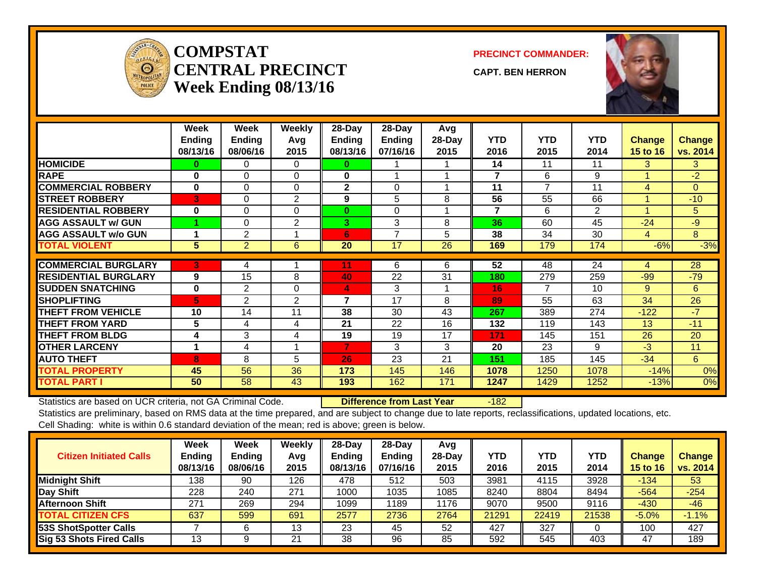

#### **COMPSTATCENTRAL PRECINCTWeek Ending 08/13/16**

**PRECINCT COMMANDER:**

**CAPT. BEN HERRON**



|                             | Week<br><b>Ending</b><br>08/13/16 | Week<br><b>Ending</b><br>08/06/16 | <b>Weekly</b><br>Avq<br>2015 | 28-Day<br><b>Ending</b><br>08/13/16 | 28-Day<br><b>Ending</b><br>07/16/16 | Avg<br>28-Day<br>2015 | <b>YTD</b><br>2016 | <b>YTD</b><br>2015 | <b>YTD</b><br>2014 | <b>Change</b><br>15 to 16 | <b>Change</b><br>vs. 2014 |
|-----------------------------|-----------------------------------|-----------------------------------|------------------------------|-------------------------------------|-------------------------------------|-----------------------|--------------------|--------------------|--------------------|---------------------------|---------------------------|
| <b>HOMICIDE</b>             | 0                                 | 0                                 | $\Omega$                     | 0                                   |                                     |                       | 14                 | 11                 | 11                 | 3                         | 3                         |
| <b>RAPE</b>                 | $\bf{0}$                          | $\Omega$                          | $\Omega$                     | 0                                   |                                     |                       | 7                  | 6                  | 9                  |                           | $-2$                      |
| <b>COMMERCIAL ROBBERY</b>   | $\bf{0}$                          | $\Omega$                          | $\Omega$                     | $\mathbf{2}$                        | $\Omega$                            | 4                     | 11                 | 7                  | 11                 | 4                         | $\Omega$                  |
| <b>STREET ROBBERY</b>       | 3                                 | 0                                 | 2                            | 9                                   | 5                                   | 8                     | 56                 | 55                 | 66                 |                           | $-10$                     |
| <b>RESIDENTIAL ROBBERY</b>  | $\bf{0}$                          | $\Omega$                          | $\Omega$                     | $\bf{0}$                            | $\Omega$                            |                       | $\overline{7}$     | 6                  | $\overline{2}$     |                           | 5                         |
| <b>AGG ASSAULT w/ GUN</b>   |                                   | 0                                 | 2                            | 3                                   | 3                                   | 8                     | 36                 | 60                 | 45                 | $-24$                     | $-9$                      |
| <b>AGG ASSAULT w/o GUN</b>  |                                   | $\overline{2}$                    |                              | 6                                   | $\overline{7}$                      | 5                     | 38                 | 34                 | 30                 | $\overline{4}$            | 8                         |
| <b>TOTAL VIOLENT</b>        | 5                                 | $\overline{2}$                    | 6                            | 20                                  | 17                                  | 26                    | 169                | 179                | 174                | $-6%$                     | $-3%$                     |
|                             |                                   |                                   |                              |                                     |                                     |                       |                    |                    |                    |                           |                           |
| <b>COMMERCIAL BURGLARY</b>  | 3                                 | 4                                 |                              |                                     | 6                                   | 6                     | 52                 | 48                 | 24                 | 4                         | 28                        |
| <b>RESIDENTIAL BURGLARY</b> | 9                                 | 15                                | 8                            | 40                                  | 22                                  | 31                    | 180                | 279                | 259                | $-99$                     | $-79$                     |
| <b>SUDDEN SNATCHING</b>     | $\bf{0}$                          | 2                                 | $\Omega$                     | 4                                   | 3                                   | 1                     | 16                 | 7                  | 10                 | 9                         | 6                         |
| <b>SHOPLIFTING</b>          | 5.                                | 2                                 | 2                            | 7                                   | 17                                  | 8                     | 89                 | 55                 | 63                 | 34                        | 26                        |
| <b>THEFT FROM VEHICLE</b>   | 10                                | 14                                | 11                           | 38                                  | 30                                  | 43                    | 267                | 389                | 274                | $-122$                    | $-7$                      |
| <b>THEFT FROM YARD</b>      | 5                                 | 4                                 | 4                            | 21                                  | 22                                  | 16                    | 132                | 119                | 143                | 13                        | $-11$                     |
| <b>THEFT FROM BLDG</b>      | 4                                 | 3                                 | 4                            | 19                                  | 19                                  | 17                    | 171                | 145                | 151                | 26                        | 20                        |
| <b>OTHER LARCENY</b>        |                                   | 4                                 |                              | $\overline{7}$                      | 3                                   | 3                     | 20                 | 23                 | 9                  | $-3$                      | 11                        |
| <b>AUTO THEFT</b>           | 8                                 | 8                                 | 5                            | 26                                  | 23                                  | 21                    | 151                | 185                | 145                | $-34$                     | 6                         |
| <b>TOTAL PROPERTY</b>       | 45                                | 56                                | 36                           | 173                                 | 145                                 | 146                   | 1078               | 1250               | 1078               | $-14%$                    | 0%                        |
| <b>TOTAL PART I</b>         | 50                                | 58                                | 43                           | 193                                 | 162                                 | 171                   | 1247               | 1429               | 1252               | $-13%$                    | 0%                        |

Statistics are based on UCR criteria, not GA Criminal Code. **Difference from Last Year** -182

| <b>Citizen Initiated Calls</b>  | Week<br><b>Ending</b><br>08/13/16 | <b>Week</b><br><b>Ending</b><br>08/06/16 | Weekly<br>Avg<br>2015 | $28$ -Day<br><b>Ending</b><br>08/13/16 | 28-Dav<br><b>Ending</b><br>07/16/16 | Avg<br>$28-Dav$<br>2015 | <b>YTD</b><br>2016 | <b>YTD</b><br>2015 | YTD<br>2014 | Change<br>15 to 16 | <b>Change</b><br>vs. 2014 |
|---------------------------------|-----------------------------------|------------------------------------------|-----------------------|----------------------------------------|-------------------------------------|-------------------------|--------------------|--------------------|-------------|--------------------|---------------------------|
| <b>Midnight Shift</b>           | 138                               | 90                                       | 126                   | 478                                    | 512                                 | 503                     | 3981               | 4115               | 3928        | $-134$             | 53                        |
| Day Shift                       | 228                               | 240                                      | 271                   | 1000                                   | 1035                                | 1085                    | 8240               | 8804               | 8494        | $-564$             | $-254$                    |
| <b>Afternoon Shift</b>          | 271                               | 269                                      | 294                   | 1099                                   | 189                                 | 1176                    | 9070               | 9500               | 9116        | $-430$             | $-46$                     |
| <b>TOTAL CITIZEN CFS</b>        | 637                               | 599                                      | 691                   | 2577                                   | 2736                                | 2764                    | 21291              | 22419              | 21538       | $-5.0%$            | $-1.1%$                   |
| <b>53S ShotSpotter Calls</b>    |                                   |                                          | 13                    | 23                                     | 45                                  | 52                      | 427                | 327                |             | 100                | 427                       |
| <b>Sig 53 Shots Fired Calls</b> | 13                                |                                          | 21                    | 38                                     | 96                                  | 85                      | 592                | 545                | 403         | -47                | 189                       |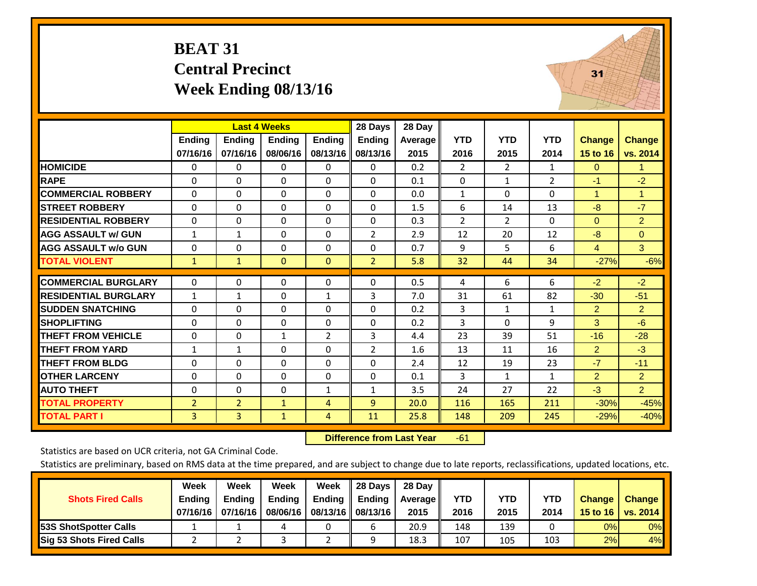## **BEAT 31 Central Precinct Week Ending 08/13/16**



|                             |                |                | <b>Last 4 Weeks</b> |               | 28 Days        | 28 Day  |                |                |              |                |                      |
|-----------------------------|----------------|----------------|---------------------|---------------|----------------|---------|----------------|----------------|--------------|----------------|----------------------|
|                             | <b>Ending</b>  | Ending         | Ending              | <b>Ending</b> | <b>Ending</b>  | Average | <b>YTD</b>     | <b>YTD</b>     | <b>YTD</b>   | <b>Change</b>  | <b>Change</b>        |
|                             | 07/16/16       | 07/16/16       | 08/06/16            | 08/13/16      | 08/13/16       | 2015    | 2016           | 2015           | 2014         | 15 to 16       | vs. 2014             |
| <b>HOMICIDE</b>             | $\mathbf{0}$   | $\mathbf{0}$   | 0                   | 0             | $\Omega$       | 0.2     | $\overline{2}$ | $\overline{2}$ | 1            | $\Omega$       | 1                    |
| <b>RAPE</b>                 | $\Omega$       | $\Omega$       | 0                   | $\Omega$      | $\Omega$       | 0.1     | 0              | 1              | 2            | $-1$           | $-2$                 |
| <b>COMMERCIAL ROBBERY</b>   | $\Omega$       | $\Omega$       | 0                   | $\Omega$      | $\Omega$       | 0.0     | $\mathbf{1}$   | $\Omega$       | $\Omega$     | 1              | $\blacktriangleleft$ |
| <b>STREET ROBBERY</b>       | $\mathbf 0$    | $\Omega$       | 0                   | 0             | $\Omega$       | 1.5     | 6              | 14             | 13           | $-8$           | $-7$                 |
| <b>RESIDENTIAL ROBBERY</b>  | $\Omega$       | $\Omega$       | 0                   | $\Omega$      | $\Omega$       | 0.3     | $\overline{2}$ | $\overline{2}$ | 0            | $\Omega$       | $\overline{2}$       |
| <b>AGG ASSAULT w/ GUN</b>   | $\mathbf{1}$   | $\mathbf{1}$   | 0                   | $\Omega$      | $\overline{2}$ | 2.9     | 12             | 20             | 12           | -8             | $\overline{0}$       |
| <b>AGG ASSAULT w/o GUN</b>  | 0              | $\mathbf{0}$   | 0                   | $\Omega$      | $\Omega$       | 0.7     | 9              | 5              | 6            | $\overline{4}$ | 3 <sup>1</sup>       |
| <b>TOTAL VIOLENT</b>        | $\mathbf{1}$   | $\mathbf{1}$   | $\mathbf{0}$        | $\mathbf{0}$  | $\overline{2}$ | 5.8     | 32             | 44             | 34           | $-27%$         | $-6%$                |
|                             |                |                |                     |               |                |         |                | 6              |              |                |                      |
| <b>COMMERCIAL BURGLARY</b>  | 0              | $\Omega$       | 0                   | 0             | $\Omega$       | 0.5     | 4              |                | 6            | $-2$           | $-2$                 |
| <b>RESIDENTIAL BURGLARY</b> | $\mathbf{1}$   | 1              | 0                   | 1             | 3              | 7.0     | 31             | 61             | 82           | $-30$          | $-51$                |
| <b>SUDDEN SNATCHING</b>     | $\Omega$       | $\Omega$       | 0                   | $\Omega$      | $\Omega$       | 0.2     | 3              | 1              | $\mathbf{1}$ | $\overline{2}$ | $\overline{2}$       |
| <b>SHOPLIFTING</b>          | $\Omega$       | $\Omega$       | $\Omega$            | $\Omega$      | $\Omega$       | 0.2     | 3              | $\Omega$       | 9            | 3              | $-6$                 |
| <b>THEFT FROM VEHICLE</b>   | $\Omega$       | $\mathbf{0}$   | $\mathbf{1}$        | 2             | 3              | 4.4     | 23             | 39             | 51           | $-16$          | $-28$                |
| <b>THEFT FROM YARD</b>      | $\mathbf{1}$   | 1              | 0                   | $\Omega$      | $\overline{2}$ | 1.6     | 13             | 11             | 16           | $\overline{2}$ | $-3$                 |
| <b>THEFT FROM BLDG</b>      | 0              | $\mathbf{0}$   | 0                   | $\Omega$      | $\Omega$       | 2.4     | 12             | 19             | 23           | $-7$           | $-11$                |
| <b>OTHER LARCENY</b>        | 0              | $\Omega$       | 0                   | 0             | $\mathbf 0$    | 0.1     | 3              | $\mathbf{1}$   | $\mathbf{1}$ | $\overline{2}$ | $\overline{2}$       |
| <b>AUTO THEFT</b>           | $\Omega$       | $\mathbf{0}$   | $\Omega$            | $\mathbf{1}$  | 1              | 3.5     | 24             | 27             | 22           | $-3$           | 2 <sup>1</sup>       |
| <b>TOTAL PROPERTY</b>       | $\overline{2}$ | $\overline{2}$ | 1                   | 4             | 9              | 20.0    | 116            | 165            | 211          | $-30%$         | $-45%$               |
| <b>TOTAL PART I</b>         | 3              | 3              | $\mathbf{1}$        | 4             | 11             | 25.8    | 148            | 209            | 245          | $-29%$         | $-40%$               |

 **Difference from Last Year**r -61

Statistics are based on UCR criteria, not GA Criminal Code.

|                                 | Week          | Week          | Week          | Week                 | 28 Days | 28 Dav     |            |      |            |               |                                    |
|---------------------------------|---------------|---------------|---------------|----------------------|---------|------------|------------|------|------------|---------------|------------------------------------|
| <b>Shots Fired Calls</b>        | <b>Ending</b> | <b>Endina</b> | <b>Ending</b> | <b>Ending</b>        | Ending  | Average II | <b>YTD</b> | YTD  | <b>YTD</b> | <b>Change</b> | <b>Change</b>                      |
|                                 | 07/16/16      | 07/16/16      | 08/06/16      | 08/13/16    08/13/16 |         | 2015       | 2016       | 2015 | 2014       |               | 15 to 16   vs. 2014 $\blacksquare$ |
| <b>153S ShotSpotter Calls</b>   |               |               |               |                      |         | 20.9       | 148        | 139  |            | 0%            | 0%                                 |
| <b>Sig 53 Shots Fired Calls</b> |               |               |               |                      |         | 18.3       | 107        | 105  | 103        | 2%            | 4%                                 |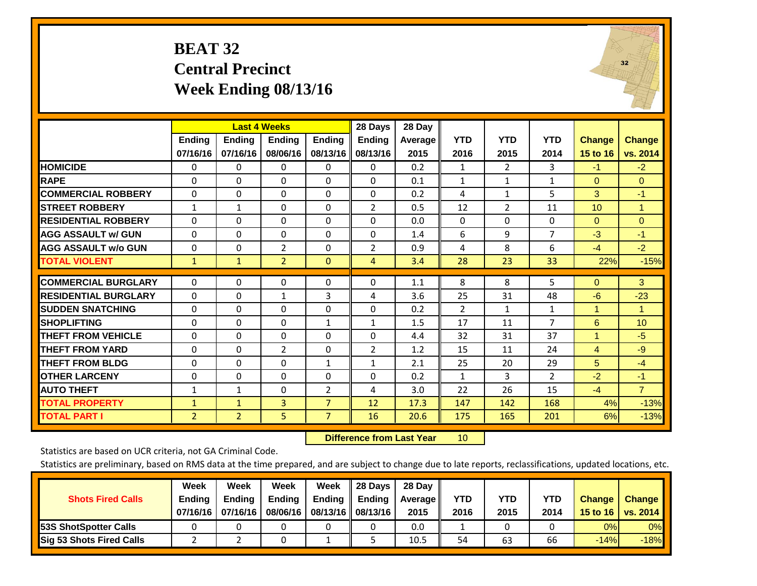## **BEAT 32 Central Precinct Week Ending 08/13/16**



|                             |              |                | <b>Last 4 Weeks</b> |                | 28 Days        | 28 Day  |              |                |                |                      |                |
|-----------------------------|--------------|----------------|---------------------|----------------|----------------|---------|--------------|----------------|----------------|----------------------|----------------|
|                             | Ending       | <b>Ending</b>  | <b>Endina</b>       | <b>Ending</b>  | <b>Ending</b>  | Average | <b>YTD</b>   | <b>YTD</b>     | <b>YTD</b>     | <b>Change</b>        | <b>Change</b>  |
|                             | 07/16/16     | 07/16/16       | 08/06/16            | 08/13/16       | 08/13/16       | 2015    | 2016         | 2015           | 2014           | 15 to 16             | vs. 2014       |
| <b>HOMICIDE</b>             | 0            | 0              | 0                   | $\Omega$       | 0              | 0.2     | 1            | 2              | 3              | $-1$                 | $-2$           |
| <b>RAPE</b>                 | 0            | 0              | $\Omega$            | $\Omega$       | $\Omega$       | 0.1     | $\mathbf{1}$ | $\mathbf{1}$   | $\mathbf{1}$   | $\Omega$             | $\Omega$       |
| <b>COMMERCIAL ROBBERY</b>   | $\Omega$     | $\Omega$       | $\Omega$            | $\Omega$       | $\Omega$       | 0.2     | 4            | $\mathbf{1}$   | 5              | 3                    | $-1$           |
| <b>STREET ROBBERY</b>       | $\mathbf{1}$ | 1              | $\Omega$            | $\mathbf{0}$   | $\overline{2}$ | 0.5     | 12           | $\overline{2}$ | 11             | 10                   | $\mathbf{1}$   |
| <b>RESIDENTIAL ROBBERY</b>  | $\Omega$     | 0              | $\Omega$            | $\mathbf{0}$   | $\Omega$       | 0.0     | $\mathbf{0}$ | $\Omega$       | 0              | $\mathbf{0}$         | $\Omega$       |
| <b>AGG ASSAULT w/ GUN</b>   | $\Omega$     | $\Omega$       | $\Omega$            | $\Omega$       | $\Omega$       | 1.4     | 6            | 9              | $\overline{7}$ | $-3$                 | $-1$           |
| <b>AGG ASSAULT w/o GUN</b>  | $\Omega$     | $\Omega$       | $\overline{2}$      | $\Omega$       | $\overline{2}$ | 0.9     | 4            | 8              | 6              | $-4$                 | $-2$           |
| <b>TOTAL VIOLENT</b>        | $\mathbf{1}$ | $\mathbf{1}$   | $\overline{2}$      | $\mathbf{0}$   | $\overline{4}$ | 3.4     | 28           | 23             | 33             | 22%                  | $-15%$         |
| <b>COMMERCIAL BURGLARY</b>  | $\Omega$     | $\Omega$       | $\Omega$            | $\mathbf{0}$   | $\Omega$       |         | 8            | 8              |                | $\mathbf{0}$         | 3              |
|                             |              |                |                     |                |                | 1.1     |              |                | 5              |                      |                |
| <b>RESIDENTIAL BURGLARY</b> | $\Omega$     | 0              | $\mathbf{1}$        | 3              | 4              | 3.6     | 25           | 31             | 48             | $-6$                 | $-23$          |
| <b>SUDDEN SNATCHING</b>     | $\Omega$     | 0              | $\Omega$            | $\mathbf{0}$   | $\Omega$       | 0.2     | 2            | $\mathbf{1}$   | $\mathbf{1}$   | 1                    | $\mathbf{1}$   |
| <b>SHOPLIFTING</b>          | $\Omega$     | $\Omega$       | $\Omega$            | $\mathbf{1}$   | $\mathbf{1}$   | 1.5     | 17           | 11             | $\overline{7}$ | 6                    | 10             |
| <b>THEFT FROM VEHICLE</b>   | $\Omega$     | $\Omega$       | $\Omega$            | $\mathbf{0}$   | $\Omega$       | 4.4     | 32           | 31             | 37             | $\blacktriangleleft$ | $-5$           |
| <b>THEFT FROM YARD</b>      | 0            | 0              | $\overline{2}$      | 0              | 2              | 1.2     | 15           | 11             | 24             | $\overline{4}$       | $-9$           |
| <b>THEFT FROM BLDG</b>      | $\Omega$     | $\Omega$       | $\Omega$            | $\mathbf{1}$   | $\mathbf{1}$   | 2.1     | 25           | 20             | 29             | 5                    | $-4$           |
| <b>OTHER LARCENY</b>        | 0            | $\Omega$       | $\Omega$            | $\Omega$       | $\Omega$       | 0.2     | $\mathbf{1}$ | 3              | $\overline{2}$ | $-2$                 | $-1$           |
| <b>AUTO THEFT</b>           | $\mathbf{1}$ | 1              | $\Omega$            | $\overline{2}$ | 4              | 3.0     | 22           | 26             | 15             | $-4$                 | $\overline{7}$ |
| <b>TOTAL PROPERTY</b>       | $\mathbf{1}$ | $\mathbf{1}$   | 3                   | $\overline{7}$ | 12             | 17.3    | 147          | 142            | 168            | 4%                   | $-13%$         |
| <b>TOTAL PART I</b>         | 2            | $\overline{2}$ | 5                   | $\overline{7}$ | 16             | 20.6    | 175          | 165            | 201            | 6%                   | $-13%$         |

 **Difference from Last Year**r 10

Statistics are based on UCR criteria, not GA Criminal Code.

|                                 | Week          | Week          | Week          | Week | 28 Days                   | 28 Day     |            |            |            |               |               |
|---------------------------------|---------------|---------------|---------------|------|---------------------------|------------|------------|------------|------------|---------------|---------------|
| <b>Shots Fired Calls</b>        | <b>Ending</b> | <b>Endina</b> | <b>Ending</b> |      | Ending $\parallel$ Ending | Average II | <b>YTD</b> | <b>YTD</b> | <b>YTD</b> | <b>Change</b> | <b>Change</b> |
|                                 | 07/16/16      | 07/16/16      | 08/06/16      |      | 08/13/16    08/13/16      | 2015       | 2016       | 2015       | 2014       | 15 to 16      | vs. 2014      |
| <b>153S ShotSpotter Calls</b>   |               |               |               |      |                           | 0.0        |            |            |            | 0%            | $0\%$         |
| <b>Sig 53 Shots Fired Calls</b> |               |               |               |      |                           | 10.5       | 54         | 63         | 66         | $-14%$        | $-18%$        |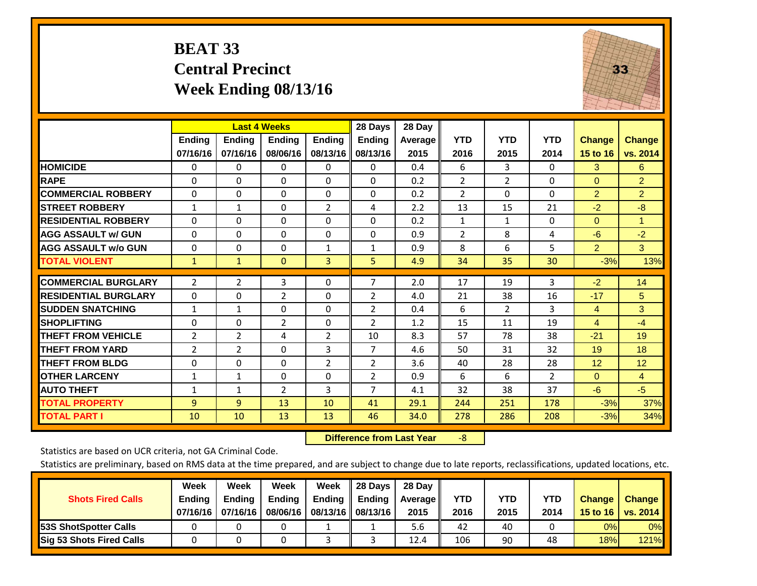## **BEAT 33 Central Precinct Week Ending 08/13/16**



|                             |                | <b>Last 4 Weeks</b> |                |                | 28 Days        | 28 Day  |                |                |                |                |                |
|-----------------------------|----------------|---------------------|----------------|----------------|----------------|---------|----------------|----------------|----------------|----------------|----------------|
|                             | <b>Ending</b>  | <b>Ending</b>       | Ending         | <b>Ending</b>  | <b>Ending</b>  | Average | <b>YTD</b>     | <b>YTD</b>     | <b>YTD</b>     | <b>Change</b>  | <b>Change</b>  |
|                             | 07/16/16       | 07/16/16            | 08/06/16       | 08/13/16       | 08/13/16       | 2015    | 2016           | 2015           | 2014           | 15 to 16       | vs. 2014       |
| <b>HOMICIDE</b>             | 0              | 0                   | $\Omega$       | 0              | 0              | 0.4     | 6              | 3              | 0              | 3              | 6              |
| <b>RAPE</b>                 | $\Omega$       | 0                   | $\mathbf{0}$   | $\Omega$       | 0              | 0.2     | $\overline{2}$ | $\overline{2}$ | 0              | $\Omega$       | $\overline{2}$ |
| <b>COMMERCIAL ROBBERY</b>   | $\Omega$       | 0                   | $\Omega$       | $\Omega$       | $\Omega$       | 0.2     | 2              | $\Omega$       | 0              | $\overline{2}$ | $\overline{2}$ |
| <b>STREET ROBBERY</b>       | $\mathbf{1}$   | $\mathbf{1}$        | $\Omega$       | $\overline{2}$ | 4              | 2.2     | 13             | 15             | 21             | $-2$           | $-8$           |
| <b>RESIDENTIAL ROBBERY</b>  | $\Omega$       | $\Omega$            | $\mathbf{0}$   | $\Omega$       | $\Omega$       | 0.2     | $\mathbf{1}$   | $\mathbf{1}$   | 0              | $\Omega$       | $\mathbf{1}$   |
| <b>AGG ASSAULT w/ GUN</b>   | $\Omega$       | 0                   | $\mathbf{0}$   | $\mathbf{0}$   | 0              | 0.9     | $\overline{2}$ | 8              | 4              | $-6$           | $-2$           |
| <b>AGG ASSAULT w/o GUN</b>  | 0              | $\Omega$            | $\Omega$       | 1              | $\mathbf{1}$   | 0.9     | 8              | 6              | 5              | $\overline{2}$ | 3              |
| <b>TOTAL VIOLENT</b>        | $\mathbf{1}$   | 1                   | $\overline{0}$ | 3              | 5              | 4.9     | 34             | 35             | 30             | $-3%$          | 13%            |
|                             |                |                     |                |                |                |         |                |                |                |                |                |
| <b>COMMERCIAL BURGLARY</b>  | $\overline{2}$ | 2                   | 3              | 0              | $\overline{7}$ | 2.0     | 17             | 19             | 3              | $-2$           | 14             |
| <b>RESIDENTIAL BURGLARY</b> | $\Omega$       | 0                   | 2              | $\Omega$       | $\overline{2}$ | 4.0     | 21             | 38             | 16             | $-17$          | 5              |
| <b>SUDDEN SNATCHING</b>     | 1              | 1                   | $\Omega$       | $\Omega$       | $\overline{2}$ | 0.4     | 6              | $\overline{2}$ | 3              | 4              | 3              |
| <b>SHOPLIFTING</b>          | $\Omega$       | $\Omega$            | 2              | $\Omega$       | $\overline{2}$ | 1.2     | 15             | 11             | 19             | 4              | $-4$           |
| <b>THEFT FROM VEHICLE</b>   | 2              | $\overline{2}$      | 4              | 2              | 10             | 8.3     | 57             | 78             | 38             | $-21$          | 19             |
| <b>THEFT FROM YARD</b>      | 2              | 2                   | $\mathbf{0}$   | 3              | 7              | 4.6     | 50             | 31             | 32             | 19             | 18             |
| <b>THEFT FROM BLDG</b>      | 0              | 0                   | $\mathbf{0}$   | 2              | $\overline{2}$ | 3.6     | 40             | 28             | 28             | 12             | 12             |
| <b>OTHER LARCENY</b>        | 1              | 1                   | $\mathbf{0}$   | $\Omega$       | $\overline{2}$ | 0.9     | 6              | 6              | $\overline{2}$ | $\Omega$       | 4              |
| <b>AUTO THEFT</b>           | $\mathbf{1}$   | 1                   | $\overline{2}$ | 3              | $\overline{7}$ | 4.1     | 32             | 38             | 37             | $-6$           | $-5$           |
| <b>TOTAL PROPERTY</b>       | 9              | $\overline{9}$      | 13             | 10             | 41             | 29.1    | 244            | 251            | 178            | $-3%$          | 37%            |
| <b>TOTAL PART I</b>         | 10             | 10                  | 13             | 13             | 46             | 34.0    | 278            | 286            | 208            | $-3%$          | 34%            |

 **Difference from Last Year**‐8

Statistics are based on UCR criteria, not GA Criminal Code.

|                                 | Week          | Week          | Week          | Week | $\parallel$ 28 Days       | 28 Day     |            |            |            |               |               |
|---------------------------------|---------------|---------------|---------------|------|---------------------------|------------|------------|------------|------------|---------------|---------------|
| <b>Shots Fired Calls</b>        | <b>Ending</b> | <b>Endina</b> | <b>Ending</b> |      | Ending $\parallel$ Ending | Average II | <b>YTD</b> | <b>YTD</b> | <b>YTD</b> | <b>Change</b> | <b>Change</b> |
|                                 | 07/16/16      | 07/16/16      | 08/06/16      |      | 08/13/16    08/13/16      | 2015       | 2016       | 2015       | 2014       | 15 to 16      | vs. 2014      |
| <b>153S ShotSpotter Calls</b>   |               |               |               |      |                           | 5.6        | 42         | 40         |            | 0%            | $0\%$         |
| <b>Sig 53 Shots Fired Calls</b> |               |               |               |      |                           | 12.4       | 106        | 90         | 48         | 18%           | 121%          |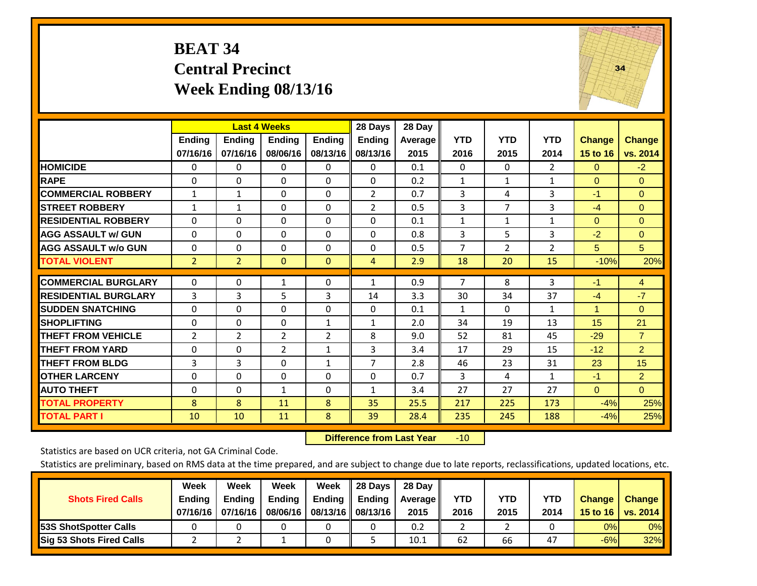## **BEAT 34 Central Precinct Week Ending 08/13/16**



|                             |                | <b>Last 4 Weeks</b> |                |                | 28 Days        | 28 Day  |              |                |                |                |                |
|-----------------------------|----------------|---------------------|----------------|----------------|----------------|---------|--------------|----------------|----------------|----------------|----------------|
|                             | Ending         | <b>Ending</b>       | <b>Ending</b>  | <b>Ending</b>  | <b>Ending</b>  | Average | <b>YTD</b>   | <b>YTD</b>     | <b>YTD</b>     | <b>Change</b>  | <b>Change</b>  |
|                             | 07/16/16       | 07/16/16            | 08/06/16       | 08/13/16       | 08/13/16       | 2015    | 2016         | 2015           | 2014           | 15 to 16       | vs. 2014       |
| <b>HOMICIDE</b>             | $\mathbf{0}$   | $\Omega$            | 0              | $\Omega$       | $\Omega$       | 0.1     | $\Omega$     | $\Omega$       | 2              | $\Omega$       | $-2$           |
| <b>RAPE</b>                 | $\Omega$       | $\Omega$            | $\Omega$       | 0              | $\Omega$       | 0.2     | 1            | 1              | $\mathbf{1}$   | $\Omega$       | $\Omega$       |
| <b>COMMERCIAL ROBBERY</b>   | $\mathbf{1}$   | $\mathbf{1}$        | $\Omega$       | 0              | $\overline{2}$ | 0.7     | 3            | 4              | 3              | $-1$           | $\mathbf{0}$   |
| <b>STREET ROBBERY</b>       | $\mathbf{1}$   | $\mathbf{1}$        | $\Omega$       | $\Omega$       | $\overline{2}$ | 0.5     | 3            | 7              | 3              | $-4$           | $\Omega$       |
| <b>RESIDENTIAL ROBBERY</b>  | 0              | $\Omega$            | $\Omega$       | $\Omega$       | $\Omega$       | 0.1     | $\mathbf{1}$ | 1              | $\mathbf{1}$   | $\Omega$       | $\mathbf{0}$   |
| <b>AGG ASSAULT w/ GUN</b>   | $\Omega$       | $\Omega$            | $\Omega$       | $\Omega$       | 0              | 0.8     | 3            | 5              | 3              | $-2$           | $\mathbf{0}$   |
| <b>AGG ASSAULT w/o GUN</b>  | $\Omega$       | $\Omega$            | $\Omega$       | $\Omega$       | $\Omega$       | 0.5     | 7            | $\overline{2}$ | $\overline{2}$ | 5 <sup>5</sup> | 5              |
| <b>TOTAL VIOLENT</b>        | $\overline{2}$ | $\overline{2}$      | $\mathbf{0}$   | $\mathbf{0}$   | 4              | 2.9     | 18           | 20             | 15             | $-10%$         | 20%            |
| <b>COMMERCIAL BURGLARY</b>  | $\mathbf 0$    | $\Omega$            | 1              | 0              | $\mathbf{1}$   | 0.9     | 7            | 8              | 3              | $-1$           | $\overline{4}$ |
| <b>RESIDENTIAL BURGLARY</b> | 3              | 3                   | 5              | 3              |                | 3.3     | 30           | 34             | 37             |                | $-7$           |
|                             |                |                     |                |                | 14             |         |              |                |                | $-4$           |                |
| <b>ISUDDEN SNATCHING</b>    | $\Omega$       | $\Omega$            | $\Omega$       | $\Omega$       | $\Omega$       | 0.1     | $\mathbf{1}$ | 0              | $\mathbf{1}$   | 1              | $\mathbf{0}$   |
| <b>SHOPLIFTING</b>          | $\Omega$       | $\Omega$            | $\Omega$       | $\mathbf{1}$   | $\mathbf{1}$   | 2.0     | 34           | 19             | 13             | 15             | 21             |
| <b>THEFT FROM VEHICLE</b>   | $\overline{2}$ | $\overline{2}$      | 2              | $\overline{2}$ | 8              | 9.0     | 52           | 81             | 45             | $-29$          | $\overline{7}$ |
| <b>THEFT FROM YARD</b>      | $\mathbf 0$    | $\Omega$            | $\overline{2}$ | $\mathbf{1}$   | 3              | 3.4     | 17           | 29             | 15             | $-12$          | $\overline{2}$ |
| <b>THEFT FROM BLDG</b>      | 3              | 3                   | $\Omega$       | $\mathbf{1}$   | $\overline{7}$ | 2.8     | 46           | 23             | 31             | 23             | 15             |
| <b>OTHER LARCENY</b>        | 0              | $\Omega$            | $\Omega$       | $\Omega$       | 0              | 0.7     | 3            | 4              | $\mathbf{1}$   | $-1$           | $\overline{2}$ |
| <b>AUTO THEFT</b>           | $\Omega$       | $\Omega$            | $\mathbf{1}$   | $\Omega$       | 1              | 3.4     | 27           | 27             | 27             | $\Omega$       | $\Omega$       |
| <b>TOTAL PROPERTY</b>       | 8              | 8                   | 11             | 8              | 35             | 25.5    | 217          | 225            | 173            | $-4%$          | 25%            |
| <b>TOTAL PART I</b>         | 10             | 10                  | 11             | 8              | 39             | 28.4    | 235          | 245            | 188            | $-4%$          | 25%            |

 **Difference from Last Year**r -10

Statistics are based on UCR criteria, not GA Criminal Code.

| <b>Shots Fired Calls</b>        | Week<br><b>Ending</b><br>07/16/16 l | Week<br><b>Endina</b><br>07/16/16 | Week<br>Ending<br>08/06/16 | Week<br>Ending | 28 Days<br><b>Ending</b><br>08/13/16    08/13/16 | 28 Day<br>Average II<br>2015 | YTD<br>2016 | YTD<br>2015 | YTD<br>2014 | <b>Change</b><br>15 to 16 $\vert$ | <b>Change</b><br>vs. 2014 |
|---------------------------------|-------------------------------------|-----------------------------------|----------------------------|----------------|--------------------------------------------------|------------------------------|-------------|-------------|-------------|-----------------------------------|---------------------------|
| <b>153S ShotSpotter Calls</b>   |                                     |                                   |                            |                |                                                  | 0.2                          |             |             |             | 0%                                | 0%                        |
| <b>Sig 53 Shots Fired Calls</b> |                                     |                                   |                            |                |                                                  | 10.1                         | 62          | 66          | 47          | $-6%$                             | 32%                       |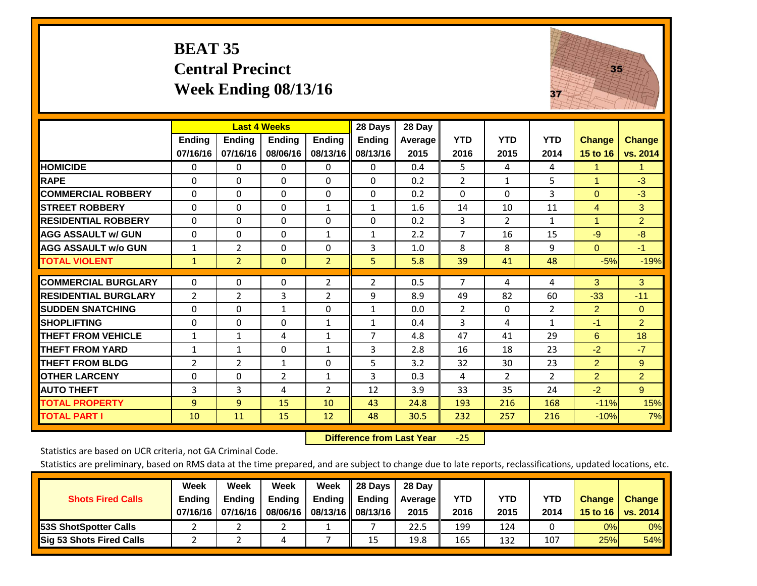## **BEAT 35 Central Precinct Week Ending 08/13/16**



|                             |                           | <b>Last 4 Weeks</b>       |                           |                           | 28 Days                   | 28 Day             |                    |                    |                    |                           |                           |
|-----------------------------|---------------------------|---------------------------|---------------------------|---------------------------|---------------------------|--------------------|--------------------|--------------------|--------------------|---------------------------|---------------------------|
|                             | <b>Ending</b><br>07/16/16 | <b>Ending</b><br>07/16/16 | <b>Ending</b><br>08/06/16 | <b>Endina</b><br>08/13/16 | <b>Ending</b><br>08/13/16 | Average II<br>2015 | <b>YTD</b><br>2016 | <b>YTD</b><br>2015 | <b>YTD</b><br>2014 | <b>Change</b><br>15 to 16 | <b>Change</b><br>vs. 2014 |
|                             |                           |                           |                           |                           |                           |                    |                    |                    |                    |                           |                           |
| <b>HOMICIDE</b>             | 0                         | $\mathbf{0}$              | $\Omega$                  | 0                         | 0                         | 0.4                | 5                  | 4                  | 4                  | 1                         | $\mathbf{1}$              |
| <b>RAPE</b>                 | 0                         | $\Omega$                  | $\Omega$                  | $\mathbf{0}$              | $\Omega$                  | 0.2                | $\overline{2}$     | 1                  | 5                  | 1                         | $-3$                      |
| <b>COMMERCIAL ROBBERY</b>   | $\Omega$                  | $\Omega$                  | $\Omega$                  | $\Omega$                  | $\Omega$                  | 0.2                | $\Omega$           | $\Omega$           | 3                  | $\Omega$                  | $-3$                      |
| <b>STREET ROBBERY</b>       | 0                         | $\Omega$                  | $\Omega$                  | 1                         | 1                         | 1.6                | 14                 | 10                 | 11                 | 4                         | 3                         |
| <b>RESIDENTIAL ROBBERY</b>  | $\Omega$                  | $\Omega$                  | $\Omega$                  | $\Omega$                  | $\Omega$                  | 0.2                | 3                  | $\overline{2}$     | $\mathbf{1}$       | $\blacktriangleleft$      | $\overline{2}$            |
| <b>AGG ASSAULT w/ GUN</b>   | $\Omega$                  | $\Omega$                  | $\Omega$                  | $\mathbf{1}$              | 1                         | 2.2                | $\overline{7}$     | 16                 | 15                 | $-9$                      | $-8$                      |
| <b>AGG ASSAULT w/o GUN</b>  | 1                         | $\overline{2}$            | $\Omega$                  | $\Omega$                  | 3                         | 1.0                | 8                  | 8                  | 9                  | $\Omega$                  | $-1$                      |
| <b>TOTAL VIOLENT</b>        | $\mathbf{1}$              | $\overline{2}$            | $\overline{0}$            | $\overline{2}$            | 5                         | 5.8                | 39                 | 41                 | 48                 | $-5%$                     | $-19%$                    |
| <b>COMMERCIAL BURGLARY</b>  | $\Omega$                  | 0                         | 0                         | $\overline{2}$            | 2                         | 0.5                | $\overline{7}$     | 4                  | 4                  | 3                         | 3 <sup>2</sup>            |
|                             |                           |                           |                           |                           |                           |                    |                    |                    |                    |                           |                           |
| <b>RESIDENTIAL BURGLARY</b> | 2                         | $\overline{2}$            | 3                         | 2                         | 9                         | 8.9                | 49                 | 82                 | 60                 | $-33$                     | $-11$                     |
| <b>SUDDEN SNATCHING</b>     | 0                         | 0                         | $\mathbf{1}$              | $\mathbf{0}$              | $\mathbf{1}$              | 0.0                | $\overline{2}$     | 0                  | 2                  | 2                         | $\Omega$                  |
| <b>SHOPLIFTING</b>          | 0                         | $\Omega$                  | $\Omega$                  | $\mathbf{1}$              | $\mathbf{1}$              | 0.4                | 3                  | 4                  | $\mathbf{1}$       | -1                        | $\overline{2}$            |
| <b>THEFT FROM VEHICLE</b>   | $\mathbf{1}$              | $\mathbf{1}$              | 4                         | 1                         | $\overline{7}$            | 4.8                | 47                 | 41                 | 29                 | 6                         | 18                        |
| <b>THEFT FROM YARD</b>      | $\mathbf{1}$              | $\mathbf{1}$              | $\Omega$                  | $\mathbf{1}$              | 3                         | 2.8                | 16                 | 18                 | 23                 | $-2$                      | $-7$                      |
| <b>THEFT FROM BLDG</b>      | 2                         | 2                         | 1                         | $\mathbf{0}$              | 5                         | 3.2                | 32                 | 30                 | 23                 | $\overline{2}$            | 9                         |
| <b>OTHER LARCENY</b>        | 0                         | $\Omega$                  | $\overline{2}$            | 1                         | 3                         | 0.3                | 4                  | $\overline{2}$     | $\overline{2}$     | $\overline{2}$            | $\overline{2}$            |
| <b>AUTO THEFT</b>           | 3                         | 3                         | 4                         | $\overline{2}$            | 12                        | 3.9                | 33                 | 35                 | 24                 | $-2$                      | 9 <sup>°</sup>            |
| <b>TOTAL PROPERTY</b>       | 9                         | $\overline{9}$            | 15                        | 10                        | 43                        | 24.8               | 193                | 216                | 168                | $-11%$                    | 15%                       |
| <b>TOTAL PART I</b>         | 10                        | 11                        | 15                        | 12                        | 48                        | 30.5               | 232                | 257                | 216                | $-10%$                    | 7%                        |

 **Difference from Last Year**‐25

Statistics are based on UCR criteria, not GA Criminal Code.

|                                 | Week          | Week          | Week     | Week                 | 28 Days       | 28 Day            |      |      |            |               |               |
|---------------------------------|---------------|---------------|----------|----------------------|---------------|-------------------|------|------|------------|---------------|---------------|
| <b>Shots Fired Calls</b>        | <b>Ending</b> | <b>Endina</b> | Ending   | Ending               | <b>Ending</b> | <b>Average</b> II | YTD  | YTD  | <b>YTD</b> | <b>Change</b> | <b>Change</b> |
|                                 | 07/16/16 l    | 07/16/16      | 08/06/16 | 08/13/16    08/13/16 |               | 2015              | 2016 | 2015 | 2014       | 15 to 16      | vs. 2014      |
| <b>153S ShotSpotter Calls</b>   |               |               |          |                      |               | 22.5              | 199  | 124  |            | 0%            | 0%            |
| <b>Sig 53 Shots Fired Calls</b> |               |               |          |                      | 15            | 19.8              | 165  | 132  | 107        | 25%           | <b>54%</b>    |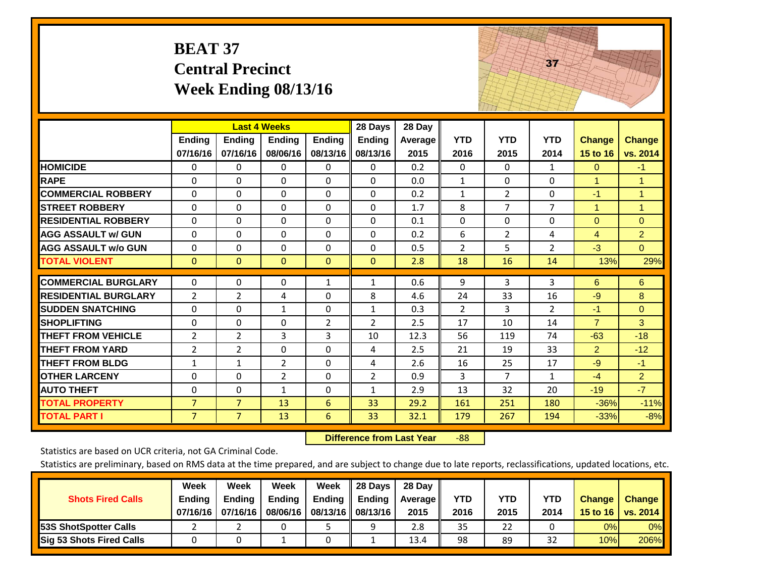|                             | <b>BEAT 37</b>            | <b>Central Precinct</b>   | Week Ending 08/13/16                      |                           |                                      |                           |                    |                    | 37                 |                           |                           |
|-----------------------------|---------------------------|---------------------------|-------------------------------------------|---------------------------|--------------------------------------|---------------------------|--------------------|--------------------|--------------------|---------------------------|---------------------------|
|                             | <b>Ending</b><br>07/16/16 | <b>Ending</b><br>07/16/16 | <b>Last 4 Weeks</b><br>Ending<br>08/06/16 | <b>Ending</b><br>08/13/16 | 28 Days<br><b>Ending</b><br>08/13/16 | 28 Day<br>Average<br>2015 | <b>YTD</b><br>2016 | <b>YTD</b><br>2015 | <b>YTD</b><br>2014 | <b>Change</b><br>15 to 16 | <b>Change</b><br>vs. 2014 |
| <b>HOMICIDE</b>             | 0                         | 0                         | $\mathbf 0$                               | 0                         | $\mathbf{0}$                         | 0.2                       | $\Omega$           | 0                  | $\mathbf{1}$       | $\mathbf{0}$              | $-1$                      |
| <b>RAPE</b>                 | $\Omega$                  | $\Omega$                  | $\overline{0}$                            | $\Omega$                  | $\Omega$                             | 0.0                       | $\mathbf{1}$       | $\Omega$           | $\Omega$           | $\mathbf{1}$              | $\mathbf{1}$              |
| <b>COMMERCIAL ROBBERY</b>   | $\Omega$                  | $\Omega$                  | $\Omega$                                  | $\Omega$                  | 0                                    | 0.2                       | $\mathbf{1}$       | $\overline{2}$     | $\Omega$           | $-1$                      | $\mathbf{1}$              |
| <b>STREET ROBBERY</b>       | $\Omega$                  | 0                         | $\Omega$                                  | $\Omega$                  | $\Omega$                             | 1.7                       | 8                  | $\overline{7}$     | $\overline{7}$     | $\mathbf{1}$              | $\mathbf{1}$              |
| <b>RESIDENTIAL ROBBERY</b>  | $\Omega$                  | $\Omega$                  | $\Omega$                                  | $\Omega$                  | $\Omega$                             | 0.1                       | $\Omega$           | $\Omega$           | $\Omega$           | $\mathbf{0}$              | $\Omega$                  |
| <b>AGG ASSAULT w/ GUN</b>   | $\mathbf{0}$              | $\Omega$                  | $\Omega$                                  | $\Omega$                  | 0                                    | 0.2                       | 6                  | $\overline{2}$     | 4                  | 4                         | $\overline{2}$            |
| <b>AGG ASSAULT w/o GUN</b>  | $\Omega$                  | $\Omega$                  | $\Omega$                                  | 0                         | $\Omega$                             | 0.5                       | $\overline{2}$     | 5                  | $\overline{2}$     | $-3$                      | $\overline{0}$            |
| <b>TOTAL VIOLENT</b>        | $\overline{0}$            | $\Omega$                  | $\mathbf{0}$                              | $\Omega$                  | $\Omega$                             | 2.8                       | 18                 | 16                 | 14                 | 13%                       | 29%                       |
| <b>COMMERCIAL BURGLARY</b>  | 0                         | 0                         | $\mathbf{0}$                              | 1                         | $\mathbf{1}$                         | 0.6                       | 9                  | 3                  | 3                  | 6                         | 6                         |
| <b>RESIDENTIAL BURGLARY</b> | $\overline{2}$            | $\overline{2}$            | 4                                         | $\Omega$                  | 8                                    | 4.6                       | 24                 | 33                 | 16                 | $-9$                      | 8                         |
| <b>SUDDEN SNATCHING</b>     | $\Omega$                  | $\Omega$                  | $\mathbf{1}$                              | 0                         | $\mathbf{1}$                         | 0.3                       | $\overline{2}$     | 3                  | $\overline{2}$     | $-1$                      | $\overline{0}$            |
| <b>SHOPLIFTING</b>          | 0                         | 0                         | $\mathbf 0$                               | $\overline{2}$            | $\overline{2}$                       | 2.5                       | 17                 | 10                 | 14                 | $\overline{7}$            | 3                         |
| <b>THEFT FROM VEHICLE</b>   | $\overline{2}$            | $\overline{2}$            | 3                                         | 3                         | 10                                   | 12.3                      | 56                 | 119                | 74                 | $-63$                     | $-18$                     |
| <b>THEFT FROM YARD</b>      | 2                         | $\overline{2}$            | $\mathbf 0$                               | 0                         | 4                                    | 2.5                       | 21                 | 19                 | 33                 | $\overline{2}$            | $-12$                     |
| <b>THEFT FROM BLDG</b>      | $\mathbf{1}$              | $\mathbf{1}$              | $\overline{2}$                            | $\Omega$                  | 4                                    | 2.6                       | 16                 | 25                 | 17                 | $-9$                      | $-1$                      |
| <b>OTHER LARCENY</b>        | $\Omega$                  | $\Omega$                  | $\overline{2}$                            | $\Omega$                  | $\overline{2}$                       | 0.9                       | 3                  | $\overline{7}$     | $\mathbf{1}$       | $-4$                      | $\overline{2}$            |
| <b>AUTO THEFT</b>           | 0                         | 0                         | $\mathbf{1}$                              | $\Omega$                  | $\mathbf{1}$                         | 2.9                       | 13                 | 32                 | 20                 | $-19$                     | $-7$                      |
| <b>TOTAL PROPERTY</b>       | $\overline{7}$            | $\overline{7}$            | 13                                        | 6                         | 33                                   | 29.2                      | 161                | 251                | 180                | $-36%$                    | $-11%$                    |
| <b>TOTAL PART I</b>         | $\overline{7}$            | 7 <sup>1</sup>            | 13                                        | 6                         | 33                                   | 32.1                      | 179                | 267                | 194                | $-33%$                    | $-8%$                     |

 **Difference from Last Year**‐88 The state of the state of the state

Statistics are based on UCR criteria, not GA Criminal Code.

| <b>Shots Fired Calls</b>        | Week<br><b>Ending</b><br>07/16/16 l | Week<br><b>Endina</b><br>07/16/16 | Week<br>Ending<br>08/06/16 | Week<br>Ending | 28 Days<br><b>Ending</b><br>08/13/16    08/13/16 | 28 Day<br>Average II<br>2015 | YTD<br>2016 | YTD<br>2015 | YTD<br>2014 | <b>Change</b><br>15 to $16$ | <b>Change</b><br>vs. 2014 |
|---------------------------------|-------------------------------------|-----------------------------------|----------------------------|----------------|--------------------------------------------------|------------------------------|-------------|-------------|-------------|-----------------------------|---------------------------|
| <b>153S ShotSpotter Calls</b>   |                                     |                                   |                            |                | a                                                | 2.8                          | 35          | 22          |             | 0%                          | 0%                        |
| <b>Sig 53 Shots Fired Calls</b> |                                     |                                   |                            |                |                                                  | 13.4                         | 98          | 89          | 32          | 10%                         | 206%                      |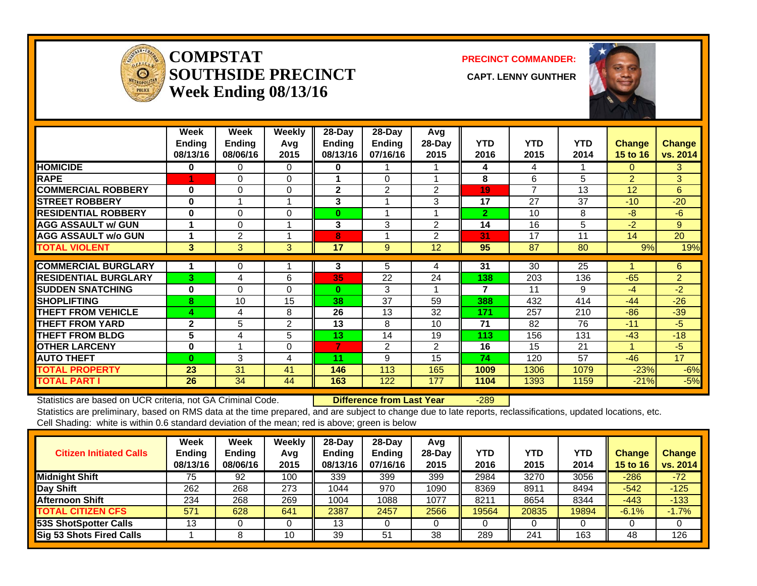

#### **COMPSTATSOUTHSIDE PRECINCT** CAPT. LENNY GUNTHER **Week Ending 08/13/16**

**PRECINCT COMMANDER:**



|                             | Week<br><b>Ending</b><br>08/13/16 | Week<br><b>Ending</b><br>08/06/16 | <b>Weekly</b><br>Avg<br>2015 | $28 - Day$<br>Ending<br>08/13/16 | $28 - Day$<br><b>Ending</b><br>07/16/16 | Avg<br>28-Day<br>2015 | <b>YTD</b><br>2016 | <b>YTD</b><br>2015 | <b>YTD</b><br>2014 | <b>Change</b><br><b>15 to 16</b> | <b>Change</b><br>vs. 2014 |
|-----------------------------|-----------------------------------|-----------------------------------|------------------------------|----------------------------------|-----------------------------------------|-----------------------|--------------------|--------------------|--------------------|----------------------------------|---------------------------|
| <b>HOMICIDE</b>             | 0                                 | 0                                 | $\Omega$                     | 0                                | 1                                       |                       | 4                  | 4                  |                    | $\Omega$                         | 3                         |
| <b>RAPE</b>                 |                                   | 0                                 | $\mathbf 0$                  | 1                                | 0                                       |                       | 8                  | 6                  | 5                  | $\overline{2}$                   | 3                         |
| <b>COMMERCIAL ROBBERY</b>   | 0                                 | $\Omega$                          | $\Omega$                     | $\mathbf{2}$                     | 2                                       | $\overline{2}$        | 19                 | $\overline{7}$     | 13                 | 12                               | 6                         |
| <b>STREET ROBBERY</b>       | 0                                 |                                   |                              | 3                                | 1                                       | 3                     | 17                 | 27                 | 37                 | $-10$                            | $-20$                     |
| <b>RESIDENTIAL ROBBERY</b>  | 0                                 | 0                                 | 0                            | $\bf{0}$                         | 1                                       |                       | $\overline{2}$     | 10                 | 8                  | -8                               | $-6$                      |
| <b>AGG ASSAULT w/ GUN</b>   |                                   | $\Omega$                          |                              | 3                                | 3                                       | 2                     | 14                 | 16                 | 5                  | $-2$                             | 9                         |
| <b>AGG ASSAULT w/o GUN</b>  |                                   | $\overline{2}$                    |                              | 8                                | 1                                       | 2                     | 31                 | 17                 | 11                 | 14                               | 20                        |
| <b>TOTAL VIOLENT</b>        | 3                                 | 3                                 | 3                            | 17                               | 9                                       | 12                    | 95                 | 87                 | 80                 | 9%                               | 19%                       |
|                             |                                   |                                   |                              |                                  |                                         |                       |                    |                    |                    |                                  |                           |
| <b>COMMERCIAL BURGLARY</b>  |                                   | 0                                 |                              | 3                                | 5                                       | 4                     | 31                 | 30                 | 25                 |                                  | 6                         |
| <b>RESIDENTIAL BURGLARY</b> | 3                                 | 4                                 | 6                            | 35                               | 22                                      | 24                    | 138                | 203                | 136                | $-65$                            | $\overline{2}$            |
| <b>ISUDDEN SNATCHING</b>    | 0                                 | $\Omega$                          | $\Omega$                     | $\bf{0}$                         | 3                                       |                       | 7                  | 11                 | 9                  | $-4$                             | $-2$                      |
| <b>ISHOPLIFTING</b>         | 8                                 | 10                                | 15                           | 38                               | 37                                      | 59                    | 388                | 432                | 414                | $-44$                            | $-26$                     |
| <b>THEFT FROM VEHICLE</b>   | 4                                 | 4                                 | 8                            | 26                               | 13                                      | 32                    | 171                | 257                | 210                | $-86$                            | $-39$                     |
| <b>THEFT FROM YARD</b>      | $\mathbf{2}$                      | 5                                 | $\overline{2}$               | 13                               | 8                                       | 10                    | 71                 | 82                 | 76                 | $-11$                            | $-5$                      |
| <b>THEFT FROM BLDG</b>      | 5                                 | 4                                 | 5                            | 13                               | 14                                      | 19                    | 113                | 156                | 131                | $-43$                            | $-18$                     |
| <b>OTHER LARCENY</b>        | 0                                 |                                   | 0                            | 7                                | $\overline{2}$                          | 2                     | 16                 | 15                 | 21                 |                                  | $-5$                      |
| <b>AUTO THEFT</b>           | $\bf{0}$                          | 3                                 | 4                            | 11                               | 9                                       | 15                    | 74                 | 120                | 57                 | $-46$                            | 17                        |
| <b>TOTAL PROPERTY</b>       | 23                                | 31                                | 41                           | 146                              | 113                                     | 165                   | 1009               | 1306               | 1079               | $-23%$                           | $-6%$                     |
| <b>TOTAL PART I</b>         | 26                                | 34                                | 44                           | 163                              | 122                                     | 177                   | 1104               | 1393               | 1159               | $-21%$                           | $-5%$                     |

Statistics are based on UCR criteria, not GA Criminal Code. **Difference from Last Year** -289

| <b>Citizen Initiated Calls</b>  | Week<br><b>Ending</b><br>08/13/16 | Week<br><b>Ending</b><br>08/06/16 | <b>Weekly</b><br>Avg<br>2015 | 28-Dav<br><b>Endina</b><br>08/13/16 | $28-Day$<br><b>Ending</b><br>07/16/16 | Avg<br>$28$ -Dav<br>2015 | <b>YTD</b><br>2016 | <b>YTD</b><br>2015 | YTD.<br>2014 | <b>Change</b><br>15 to 16 | <b>Change</b><br>vs. 2014 |
|---------------------------------|-----------------------------------|-----------------------------------|------------------------------|-------------------------------------|---------------------------------------|--------------------------|--------------------|--------------------|--------------|---------------------------|---------------------------|
| <b>Midnight Shift</b>           | 75                                | 92                                | 100                          | 339                                 | 399                                   | 399                      | 2984               | 3270               | 3056         | $-286$                    | $-72$                     |
| Day Shift                       | 262                               | 268                               | 273                          | 1044                                | 970                                   | 1090                     | 8369               | 8911               | 8494         | $-542$                    | $-125$                    |
| <b>Afternoon Shift</b>          | 234                               | 268                               | 269                          | 1004                                | 1088                                  | 1077                     | 8211               | 8654               | 8344         | $-443$                    | $-133$                    |
| <b>TOTAL CITIZEN CFS</b>        | 571                               | 628                               | 641                          | 2387                                | 2457                                  | 2566                     | 19564              | 20835              | 19894        | $-6.1%$                   | $-1.7%$                   |
| <b>53S ShotSpotter Calls</b>    | 13                                |                                   |                              | 13                                  |                                       |                          |                    |                    |              |                           |                           |
| <b>Sig 53 Shots Fired Calls</b> |                                   |                                   | 10                           | 39                                  | 51                                    | 38                       | 289                | 241                | 163          | 48                        | 126                       |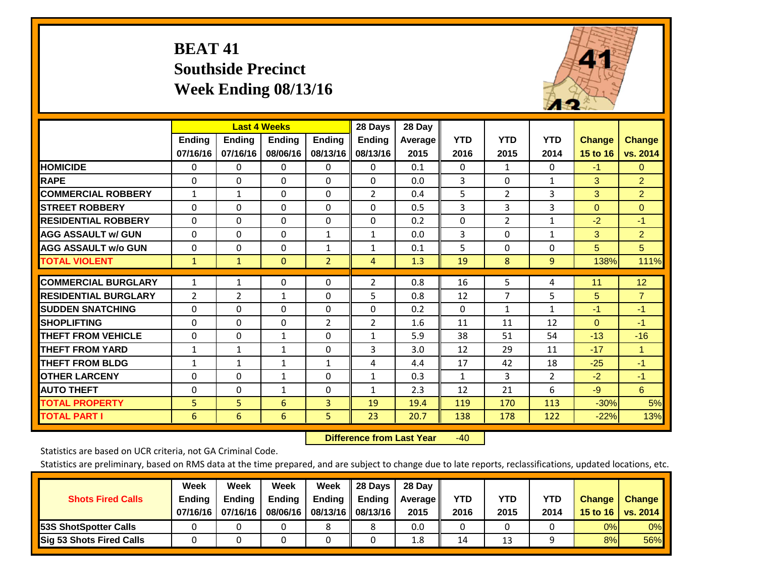## **BEAT 41 Southside Precinct Week Ending 08/13/16**



|                             |              | <b>Last 4 Weeks</b> |               |                | 28 Days        | 28 Day  |              |                |                |               |                      |
|-----------------------------|--------------|---------------------|---------------|----------------|----------------|---------|--------------|----------------|----------------|---------------|----------------------|
|                             | Ending       | Ending              | <b>Ending</b> | <b>Ending</b>  | <b>Ending</b>  | Average | <b>YTD</b>   | <b>YTD</b>     | <b>YTD</b>     | <b>Change</b> | <b>Change</b>        |
|                             | 07/16/16     | 07/16/16            | 08/06/16      | 08/13/16       | 08/13/16       | 2015    | 2016         | 2015           | 2014           | 15 to 16      | vs. 2014             |
| <b>HOMICIDE</b>             | 0            | $\Omega$            | $\mathbf 0$   | 0              | 0              | 0.1     | $\Omega$     | 1              | 0              | $-1$          | $\overline{0}$       |
| <b>RAPE</b>                 | $\Omega$     | 0                   | $\Omega$      | 0              | $\Omega$       | 0.0     | 3            | $\Omega$       | $\mathbf{1}$   | 3             | $\overline{2}$       |
| <b>COMMERCIAL ROBBERY</b>   | $\mathbf{1}$ | $\mathbf{1}$        | $\Omega$      | $\Omega$       | $\overline{2}$ | 0.4     | 5            | $\overline{2}$ | 3              | 3             | $\overline{2}$       |
| <b>STREET ROBBERY</b>       | $\mathbf 0$  | $\Omega$            | $\Omega$      | $\Omega$       | $\Omega$       | 0.5     | 3            | 3              | 3              | $\mathbf{0}$  | $\mathbf{0}$         |
| <b>IRESIDENTIAL ROBBERY</b> | $\Omega$     | $\Omega$            | $\mathbf{0}$  | $\Omega$       | $\Omega$       | 0.2     | $\mathbf{0}$ | $\overline{2}$ | $\mathbf{1}$   | $-2$          | $-1$                 |
| <b>AGG ASSAULT w/ GUN</b>   | $\Omega$     | $\Omega$            | $\mathbf{0}$  | $\mathbf{1}$   | $\mathbf{1}$   | 0.0     | 3            | $\Omega$       | $\mathbf{1}$   | 3             | $\overline{2}$       |
| <b>AGG ASSAULT w/o GUN</b>  | 0            | $\Omega$            | $\Omega$      | 1              | $\mathbf{1}$   | 0.1     | 5            | $\mathbf{0}$   | 0              | 5             | 5 <sup>5</sup>       |
| <b>TOTAL VIOLENT</b>        | $\mathbf{1}$ | 1                   | $\mathbf{0}$  | $\overline{2}$ | 4              | 1.3     | 19           | 8              | 9              | 138%          | 111%                 |
|                             |              |                     |               |                |                |         |              |                |                |               |                      |
| <b>COMMERCIAL BURGLARY</b>  | $\mathbf{1}$ | 1                   | $\mathbf{0}$  | $\Omega$       | $\overline{2}$ | 0.8     | 16           | 5              | 4              | 11            | 12                   |
| <b>RESIDENTIAL BURGLARY</b> | 2            | 2                   | 1             | $\Omega$       | 5              | 0.8     | 12           | 7              | 5              | 5             | $\overline{7}$       |
| <b>SUDDEN SNATCHING</b>     | $\Omega$     | $\Omega$            | $\Omega$      | $\Omega$       | $\Omega$       | 0.2     | $\mathbf{0}$ | 1              | 1              | $-1$          | -1                   |
| <b>SHOPLIFTING</b>          | $\Omega$     | $\Omega$            | $\Omega$      | $\overline{2}$ | $\overline{2}$ | 1.6     | 11           | 11             | 12             | $\Omega$      | $-1$                 |
| <b>THEFT FROM VEHICLE</b>   | $\Omega$     | $\Omega$            | $\mathbf{1}$  | $\Omega$       | $\mathbf{1}$   | 5.9     | 38           | 51             | 54             | $-13$         | $-16$                |
| <b>THEFT FROM YARD</b>      | $\mathbf{1}$ | $\mathbf{1}$        | $\mathbf{1}$  | $\Omega$       | 3              | 3.0     | 12           | 29             | 11             | $-17$         | $\blacktriangleleft$ |
| <b>THEFT FROM BLDG</b>      | 1            | 1                   | $\mathbf{1}$  | $\mathbf{1}$   | 4              | 4.4     | 17           | 42             | 18             | $-25$         | $-1$                 |
| <b>OTHER LARCENY</b>        | $\Omega$     | $\Omega$            | $\mathbf{1}$  | 0              | $\mathbf{1}$   | 0.3     | $\mathbf{1}$ | 3              | $\overline{2}$ | $-2$          | $-1$                 |
| <b>AUTO THEFT</b>           | $\Omega$     | $\Omega$            | $\mathbf{1}$  | $\Omega$       | $\mathbf{1}$   | 2.3     | 12           | 21             | 6              | $-9$          | 6                    |
| <b>TOTAL PROPERTY</b>       | 5            | 5                   | 6             | 3              | 19             | 19.4    | 119          | 170            | 113            | $-30%$        | 5%                   |
| <b>TOTAL PART I</b>         | 6            | 6                   | 6             | 5              | 23             | 20.7    | 138          | 178            | 122            | $-22%$        | 13%                  |

 **Difference from Last Year**r -40

Statistics are based on UCR criteria, not GA Criminal Code.

| <b>Shots Fired Calls</b>        | Week<br><b>Ending</b><br>07/16/16 l | Week<br><b>Endina</b><br>07/16/16 | <b>Week</b><br>Ending<br>08/06/16 | Week<br>Ending | 28 Days<br><b>Ending</b><br>08/13/16    08/13/16 | 28 Day<br><b>Average II</b><br>2015 | YTD<br>2016 | YTD<br>2015 | <b>YTD</b><br>2014 | <b>Change</b><br>15 to 16 $\vert$ | <b>Change</b><br>vs. 2014 |
|---------------------------------|-------------------------------------|-----------------------------------|-----------------------------------|----------------|--------------------------------------------------|-------------------------------------|-------------|-------------|--------------------|-----------------------------------|---------------------------|
| 53S ShotSpotter Calls           |                                     |                                   |                                   |                |                                                  | 0.0                                 |             |             |                    | 0%                                | 0%                        |
| <b>Sig 53 Shots Fired Calls</b> |                                     |                                   |                                   |                |                                                  | 1.8                                 | 14          | 13          |                    | 8%                                | 56%                       |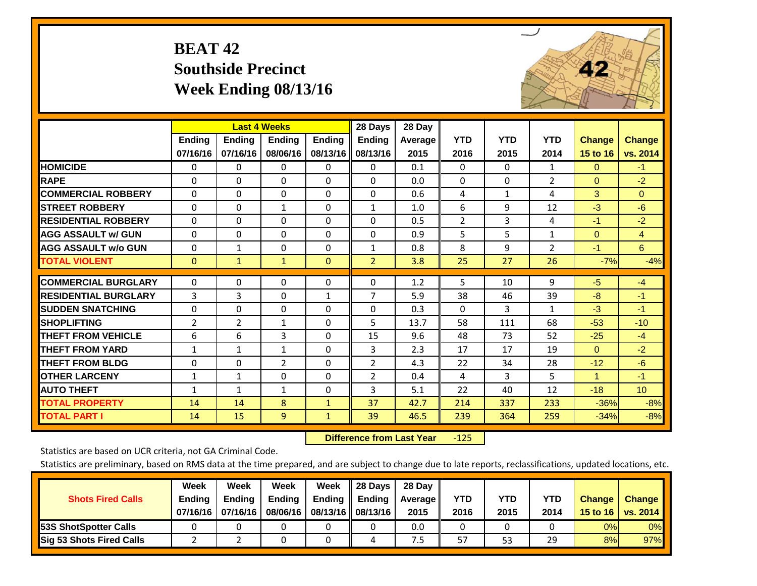# **BEAT 42 Southside Precinct Week Ending 08/13/16**



|                             |               | <b>Last 4 Weeks</b> |                |               | 28 Days        | 28 Day  |                |              |                |                      |                 |
|-----------------------------|---------------|---------------------|----------------|---------------|----------------|---------|----------------|--------------|----------------|----------------------|-----------------|
|                             | <b>Ending</b> | <b>Ending</b>       | <b>Endina</b>  | <b>Ending</b> | <b>Ending</b>  | Average | <b>YTD</b>     | <b>YTD</b>   | <b>YTD</b>     | <b>Change</b>        | <b>Change</b>   |
|                             | 07/16/16      | 07/16/16            | 08/06/16       | 08/13/16      | 08/13/16       | 2015    | 2016           | 2015         | 2014           | 15 to 16             | vs. 2014        |
| <b>HOMICIDE</b>             | 0             | 0                   | 0              | 0             | $\mathbf{0}$   | 0.1     | 0              | $\mathbf{0}$ | $\mathbf{1}$   | $\mathbf{0}$         | $-1$            |
| <b>RAPE</b>                 | 0             | $\Omega$            | $\Omega$       | $\mathbf{0}$  | 0              | 0.0     | $\Omega$       | $\Omega$     | 2              | $\mathbf{0}$         | $-2$            |
| <b>COMMERCIAL ROBBERY</b>   | $\Omega$      | 0                   | $\mathbf{0}$   | $\Omega$      | 0              | 0.6     | 4              | $\mathbf{1}$ | 4              | 3                    | $\Omega$        |
| <b>STREET ROBBERY</b>       | 0             | 0                   | $\mathbf{1}$   | 0             | $\mathbf{1}$   | 1.0     | 6              | 9            | 12             | $-3$                 | $-6$            |
| <b>RESIDENTIAL ROBBERY</b>  | $\Omega$      | 0                   | $\mathbf{0}$   | $\Omega$      | $\Omega$       | 0.5     | $\overline{2}$ | 3            | 4              | $-1$                 | $-2$            |
| <b>AGG ASSAULT w/ GUN</b>   | $\Omega$      | $\Omega$            | $\Omega$       | $\Omega$      | $\Omega$       | 0.9     | 5              | 5            | 1              | $\mathbf{0}$         | $\overline{4}$  |
| <b>AGG ASSAULT w/o GUN</b>  | $\Omega$      | 1                   | $\Omega$       | $\Omega$      | 1              | 0.8     | 8              | 9            | $\overline{2}$ | $-1$                 | $6^{\circ}$     |
| <b>TOTAL VIOLENT</b>        | $\mathbf{0}$  | $\mathbf{1}$        | $\mathbf{1}$   | $\mathbf{0}$  | $\overline{2}$ | 3.8     | 25             | 27           | 26             | $-7%$                | $-4%$           |
| <b>COMMERCIAL BURGLARY</b>  | $\mathbf 0$   | 0                   | 0              | 0             | $\Omega$       | 1.2     | 5              | 10           | 9              | $-5$                 | $-4$            |
| <b>RESIDENTIAL BURGLARY</b> | 3             | 3                   | $\Omega$       | 1             | 7              | 5.9     | 38             | 46           | 39             | $-8$                 | -1              |
| <b>SUDDEN SNATCHING</b>     | $\Omega$      | 0                   | $\mathbf{0}$   | $\mathbf{0}$  | 0              | 0.3     | $\mathbf{0}$   | 3            | 1              | -3                   | $-1$            |
| <b>SHOPLIFTING</b>          | 2             | $\overline{2}$      | $\mathbf{1}$   | $\Omega$      | 5.             | 13.7    | 58             | 111          | 68             | $-53$                | $-10$           |
| <b>THEFT FROM VEHICLE</b>   | 6             | 6                   | 3              | $\Omega$      | 15             | 9.6     | 48             | 73           | 52             | $-25$                | $-4$            |
| <b>THEFT FROM YARD</b>      | $\mathbf{1}$  | $\mathbf{1}$        | $\mathbf{1}$   | 0             | 3              | 2.3     | 17             | 17           | 19             | $\mathbf{0}$         | $-2$            |
| <b>THEFT FROM BLDG</b>      | $\Omega$      | 0                   | $\overline{2}$ | $\mathbf{0}$  | $\overline{2}$ | 4.3     | 22             | 34           | 28             | $-12$                | $-6$            |
| <b>OTHER LARCENY</b>        | 1             | 1                   | $\Omega$       | 0             | $\overline{2}$ | 0.4     | 4              | 3            | 5.             | $\blacktriangleleft$ | $-1$            |
| <b>AUTO THEFT</b>           | $\mathbf{1}$  | $\mathbf{1}$        | $\mathbf{1}$   | 0             | 3              | 5.1     | 22             | 40           | 12             | $-18$                | 10 <sup>°</sup> |
| <b>TOTAL PROPERTY</b>       | 14            | 14                  | 8              | $\mathbf{1}$  | 37             | 42.7    | 214            | 337          | 233            | $-36%$               | $-8%$           |
| <b>TOTAL PART I</b>         | 14            | 15                  | 9              | $\mathbf{1}$  | 39             | 46.5    | 239            | 364          | 259            | $-34%$               | $-8%$           |

 **Difference from Last Year**‐125

Statistics are based on UCR criteria, not GA Criminal Code.

| <b>Shots Fired Calls</b>        | Week<br><b>Ending</b><br>07/16/16 l | Week<br><b>Endina</b><br>07/16/16 | <b>Week</b><br>Ending<br>08/06/16 | Week<br>Ending | 28 Days<br><b>Ending</b><br>08/13/16    08/13/16 | 28 Day<br><b>Average II</b><br>2015 | YTD<br>2016 | YTD<br>2015 | <b>YTD</b><br>2014 | <b>Change</b><br>15 to 16 $\vert$ | <b>Change</b><br>vs. 2014 |
|---------------------------------|-------------------------------------|-----------------------------------|-----------------------------------|----------------|--------------------------------------------------|-------------------------------------|-------------|-------------|--------------------|-----------------------------------|---------------------------|
| 53S ShotSpotter Calls           |                                     |                                   |                                   |                |                                                  | 0.0                                 |             |             |                    | 0%                                | 0%                        |
| <b>Sig 53 Shots Fired Calls</b> |                                     |                                   |                                   |                | 4                                                | ש.                                  | 57          | 53          | 29                 | 8%                                | 97%                       |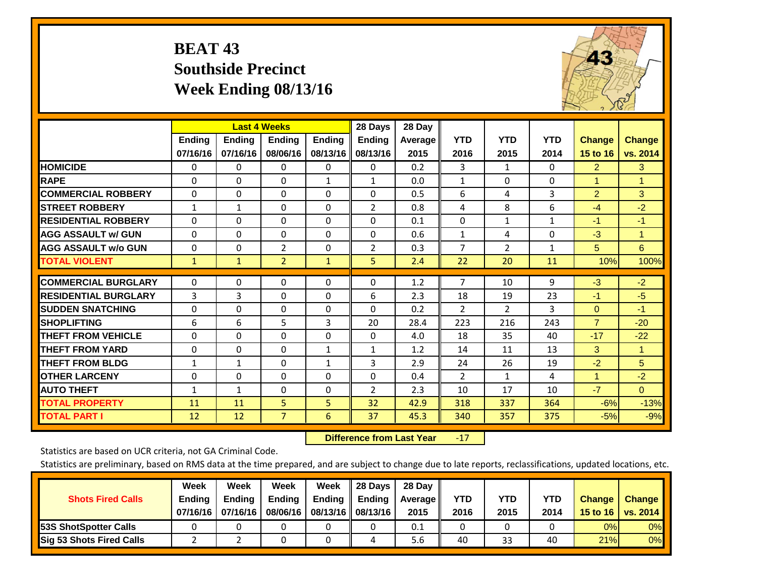## **BEAT 43 Southside Precinct Week Ending 08/13/16**



|                             |               |               | <b>Last 4 Weeks</b> |               | 28 Days        | 28 Day  |                |                |              |                |               |
|-----------------------------|---------------|---------------|---------------------|---------------|----------------|---------|----------------|----------------|--------------|----------------|---------------|
|                             | <b>Ending</b> | <b>Ending</b> | <b>Ending</b>       | <b>Endina</b> | <b>Ending</b>  | Average | <b>YTD</b>     | <b>YTD</b>     | <b>YTD</b>   | <b>Change</b>  | <b>Change</b> |
|                             | 07/16/16      | 07/16/16      | 08/06/16            | 08/13/16      | 08/13/16       | 2015    | 2016           | 2015           | 2014         | 15 to 16       | vs. 2014      |
| <b>HOMICIDE</b>             | 0             | 0             | 0                   | 0             | 0              | 0.2     | 3              | $\mathbf{1}$   | $\Omega$     | $\overline{2}$ | 3             |
| <b>RAPE</b>                 | $\Omega$      | 0             | $\Omega$            | $\mathbf{1}$  | $\mathbf{1}$   | 0.0     | $\mathbf{1}$   | 0              | $\Omega$     | 1              | $\mathbf{1}$  |
| <b>COMMERCIAL ROBBERY</b>   | $\Omega$      | 0             | $\Omega$            | $\Omega$      | $\Omega$       | 0.5     | 6              | 4              | 3            | $\overline{2}$ | 3             |
| <b>STREET ROBBERY</b>       | $\mathbf{1}$  | 1             | 0                   | $\Omega$      | $\overline{2}$ | 0.8     | 4              | 8              | 6            | $-4$           | $-2$          |
| <b>RESIDENTIAL ROBBERY</b>  | $\Omega$      | $\Omega$      | $\mathbf{0}$        | $\Omega$      | $\Omega$       | 0.1     | $\mathbf{0}$   | $\mathbf{1}$   | $\mathbf{1}$ | $-1$           | $-1$          |
| <b>AGG ASSAULT w/ GUN</b>   | $\Omega$      | $\Omega$      | $\Omega$            | $\Omega$      | $\Omega$       | 0.6     | $\mathbf{1}$   | 4              | $\Omega$     | $-3$           | $\mathbf{1}$  |
| <b>AGG ASSAULT w/o GUN</b>  | $\Omega$      | 0             | $\overline{2}$      | $\Omega$      | $\overline{2}$ | 0.3     | $\overline{7}$ | $\overline{2}$ | $\mathbf{1}$ | 5              | 6             |
| <b>TOTAL VIOLENT</b>        | $\mathbf{1}$  | $\mathbf{1}$  | $\overline{2}$      | $\mathbf{1}$  | 5              | 2.4     | 22             | 20             | 11           | 10%            | 100%          |
| <b>COMMERCIAL BURGLARY</b>  | 0             | $\Omega$      | $\mathbf 0$         | 0             | $\Omega$       | 1.2     | 7              | 10             | 9            | $-3$           | $-2$          |
|                             |               |               |                     |               |                |         |                |                |              |                |               |
| <b>RESIDENTIAL BURGLARY</b> | 3             | 3             | $\mathbf{0}$        | $\Omega$      | 6              | 2.3     | 18             | 19             | 23           | $-1$           | $-5$          |
| <b>ISUDDEN SNATCHING</b>    | $\Omega$      | 0             | $\mathbf{0}$        | $\Omega$      | $\Omega$       | 0.2     | $\overline{2}$ | $\overline{2}$ | 3            | $\mathbf{0}$   | $-1$          |
| <b>SHOPLIFTING</b>          | 6             | 6             | 5                   | 3             | 20             | 28.4    | 223            | 216            | 243          | $\overline{7}$ | $-20$         |
| <b>THEFT FROM VEHICLE</b>   | $\Omega$      | 0             | $\mathbf 0$         | $\Omega$      | $\Omega$       | 4.0     | 18             | 35             | 40           | $-17$          | $-22$         |
| <b>THEFT FROM YARD</b>      | $\Omega$      | $\Omega$      | $\Omega$            | $\mathbf{1}$  | $\mathbf{1}$   | 1.2     | 14             | 11             | 13           | 3              | $\mathbf{1}$  |
| <b>THEFT FROM BLDG</b>      | $\mathbf{1}$  | 1             | $\mathbf{0}$        | $\mathbf{1}$  | 3              | 2.9     | 24             | 26             | 19           | $-2$           | 5             |
| <b>OTHER LARCENY</b>        | $\Omega$      | $\Omega$      | $\Omega$            | $\Omega$      | $\Omega$       | 0.4     | $\overline{2}$ | $\mathbf{1}$   | 4            | $\mathbf{1}$   | $-2$          |
| <b>AUTO THEFT</b>           | $\mathbf{1}$  | $\mathbf{1}$  | $\Omega$            | $\Omega$      | 2              | 2.3     | 10             | 17             | 10           | $-7$           | $\Omega$      |
| <b>TOTAL PROPERTY</b>       | 11            | 11            | 5                   | 5             | 32             | 42.9    | 318            | 337            | 364          | $-6%$          | $-13%$        |
| <b>TOTAL PART I</b>         | 12            | 12            | $\overline{7}$      | 6             | 37             | 45.3    | 340            | 357            | 375          | $-5%$          | $-9%$         |

 **Difference from Last Year**r -17

Statistics are based on UCR criteria, not GA Criminal Code.

| <b>Shots Fired Calls</b>        | Week<br><b>Ending</b><br>07/16/16 | Week<br><b>Endina</b><br>07/16/16 | Week<br>Ending<br>08/06/16 | Week<br>Ending | 28 Days<br><b>Ending</b><br>08/13/16    08/13/16 | 28 Day<br>Average II<br>2015 | YTD<br>2016 | YTD<br>2015 | YTD<br>2014 | <b>Change</b><br>15 to 16 $\vert$ | <b>Change</b><br>vs. 2014 |
|---------------------------------|-----------------------------------|-----------------------------------|----------------------------|----------------|--------------------------------------------------|------------------------------|-------------|-------------|-------------|-----------------------------------|---------------------------|
| <b>153S ShotSpotter Calls</b>   |                                   |                                   |                            |                |                                                  | 0.1                          |             |             |             | 0%                                | 0%                        |
| <b>Sig 53 Shots Fired Calls</b> |                                   |                                   |                            |                |                                                  | 5.6                          | 40          | 33          | 40          | 21%                               | 0%                        |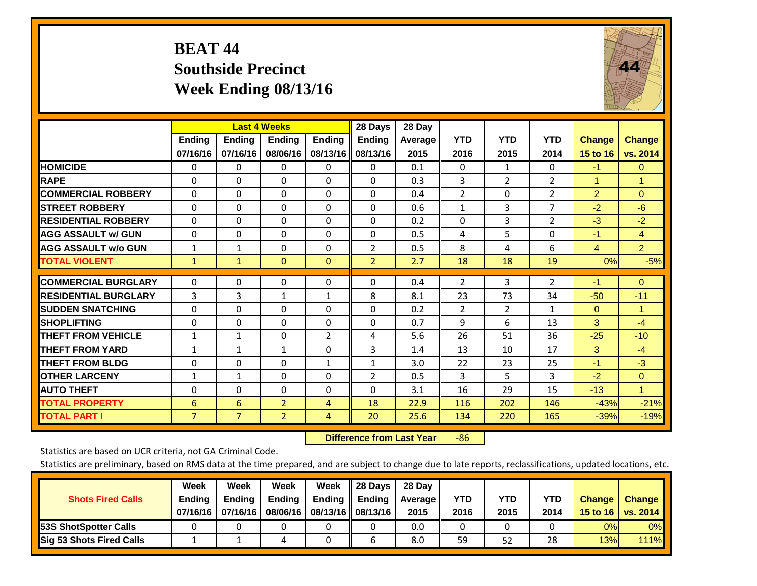## **BEAT 44 Southside Precinct Week Ending 08/13/16**



|                             |                | <b>Last 4 Weeks</b> |                |                | 28 Days        | 28 Day  |                |                |                |                      |                |
|-----------------------------|----------------|---------------------|----------------|----------------|----------------|---------|----------------|----------------|----------------|----------------------|----------------|
|                             | Ending         | <b>Ending</b>       | Ending         | <b>Ending</b>  | <b>Ending</b>  | Average | <b>YTD</b>     | <b>YTD</b>     | <b>YTD</b>     | <b>Change</b>        | <b>Change</b>  |
|                             | 07/16/16       | 07/16/16            | 08/06/16       | 08/13/16       | 08/13/16       | 2015    | 2016           | 2015           | 2014           | 15 to 16             | vs. 2014       |
| <b>HOMICIDE</b>             | $\Omega$       | 0                   | 0              | $\Omega$       | 0              | 0.1     | $\Omega$       | $\mathbf{1}$   | 0              | $-1$                 | $\mathbf{0}$   |
| <b>RAPE</b>                 | $\Omega$       | $\Omega$            | $\Omega$       | $\Omega$       | $\Omega$       | 0.3     | 3              | $\overline{2}$ | $\overline{2}$ | $\blacktriangleleft$ | $\mathbf{1}$   |
| <b>COMMERCIAL ROBBERY</b>   | $\Omega$       | 0                   | $\Omega$       | 0              | 0              | 0.4     | $\overline{2}$ | $\Omega$       | $\overline{2}$ | $\overline{2}$       | $\mathbf{0}$   |
| <b>STREET ROBBERY</b>       | $\Omega$       | $\Omega$            | $\Omega$       | $\Omega$       | $\Omega$       | 0.6     | $\mathbf{1}$   | 3              | $\overline{7}$ | $-2$                 | $-6$           |
| <b>RESIDENTIAL ROBBERY</b>  | $\Omega$       | $\Omega$            | $\Omega$       | $\mathbf{0}$   | $\Omega$       | 0.2     | $\mathbf{0}$   | 3              | $\overline{2}$ | $-3$                 | $-2$           |
| <b>AGG ASSAULT w/ GUN</b>   | $\Omega$       | $\Omega$            | $\Omega$       | $\Omega$       | $\Omega$       | 0.5     | 4              | 5.             | 0              | $-1$                 | $\overline{4}$ |
| <b>AGG ASSAULT w/o GUN</b>  | $\mathbf{1}$   | 1                   | $\Omega$       | $\Omega$       | $\overline{2}$ | 0.5     | 8              | 4              | 6              | $\overline{4}$       | $\overline{2}$ |
| <b>TOTAL VIOLENT</b>        | $\mathbf{1}$   | $\mathbf{1}$        | $\Omega$       | $\mathbf{0}$   | $\overline{2}$ | 2.7     | 18             | 18             | 19             | 0%                   | $-5%$          |
|                             |                |                     |                |                |                |         |                |                |                |                      |                |
| <b>COMMERCIAL BURGLARY</b>  | 0              | $\Omega$            | 0              | 0              | 0              | 0.4     | 2              | 3              | $\overline{2}$ | $-1$                 | $\mathbf{0}$   |
| <b>RESIDENTIAL BURGLARY</b> | 3              | 3                   | $\mathbf 1$    | $\mathbf{1}$   | 8              | 8.1     | 23             | 73             | 34             | $-50$                | $-11$          |
| <b>ISUDDEN SNATCHING</b>    | 0              | 0                   | $\Omega$       | $\mathbf{0}$   | $\Omega$       | 0.2     | 2              | $\overline{2}$ | $\mathbf{1}$   | $\Omega$             | 1              |
| <b>SHOPLIFTING</b>          | $\Omega$       | $\Omega$            | $\Omega$       | $\Omega$       | $\Omega$       | 0.7     | 9              | 6              | 13             | 3                    | $-4$           |
| <b>THEFT FROM VEHICLE</b>   | $\mathbf{1}$   | $\mathbf{1}$        | $\Omega$       | $\overline{2}$ | 4              | 5.6     | 26             | 51             | 36             | $-25$                | $-10$          |
| <b>THEFT FROM YARD</b>      | $\mathbf{1}$   | $\mathbf{1}$        | $\mathbf{1}$   | $\mathbf{0}$   | 3              | 1.4     | 13             | 10             | 17             | 3                    | $-4$           |
| <b>THEFT FROM BLDG</b>      | 0              | 0                   | $\Omega$       | 1              | 1              | 3.0     | 22             | 23             | 25             | $-1$                 | $-3$           |
| <b>OTHER LARCENY</b>        | $\mathbf{1}$   | 1                   | $\Omega$       | $\Omega$       | $\overline{2}$ | 0.5     | 3              | 5.             | 3              | $-2$                 | $\mathbf{0}$   |
| <b>AUTO THEFT</b>           | $\Omega$       | 0                   | $\Omega$       | $\mathbf{0}$   | 0              | 3.1     | 16             | 29             | 15             | $-13$                | $\mathbf{1}$   |
| <b>TOTAL PROPERTY</b>       | 6              | 6                   | $\overline{2}$ | 4              | 18             | 22.9    | 116            | 202            | 146            | $-43%$               | $-21%$         |
| <b>TOTAL PART I</b>         | $\overline{7}$ | $\overline{7}$      | $\overline{2}$ | 4              | 20             | 25.6    | 134            | 220            | 165            | $-39%$               | $-19%$         |

 **Difference from Last Year**r -86

Statistics are based on UCR criteria, not GA Criminal Code.

|                                 | Week          | Week          | Week          | Week                 | 28 Days                   | 28 Day     |            |            |            |               |               |
|---------------------------------|---------------|---------------|---------------|----------------------|---------------------------|------------|------------|------------|------------|---------------|---------------|
| <b>Shots Fired Calls</b>        | <b>Ending</b> | <b>Endina</b> | <b>Ending</b> |                      | Ending $\parallel$ Ending | Average II | <b>YTD</b> | <b>YTD</b> | <b>YTD</b> | <b>Change</b> | <b>Change</b> |
|                                 | 07/16/16      | 07/16/16      | 08/06/16      | 08/13/16    08/13/16 |                           | 2015       | 2016       | 2015       | 2014       | 15 to 16      | vs. 2014      |
| <b>153S ShotSpotter Calls</b>   |               |               |               |                      |                           | 0.0        |            |            |            | 0%            | $0\%$         |
| <b>Sig 53 Shots Fired Calls</b> |               |               |               |                      |                           | 8.0        | 59         | 52         | 28         | 13%           | $111\%$       |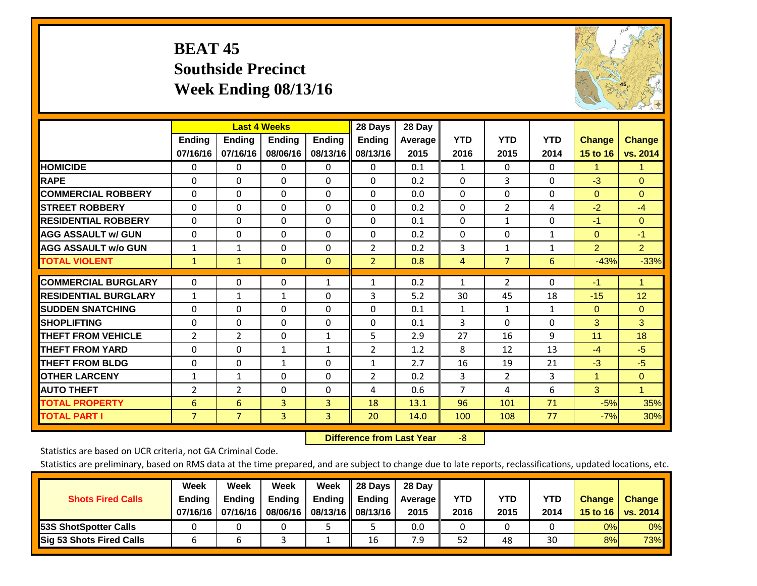# **BEAT 45 Southside Precinct Week Ending 08/13/16**



|                             |                | <b>Last 4 Weeks</b> |               |               | 28 Days        | 28 Day  |                |                |              |                |                |
|-----------------------------|----------------|---------------------|---------------|---------------|----------------|---------|----------------|----------------|--------------|----------------|----------------|
|                             | Ending         | Ending              | <b>Ending</b> | <b>Ending</b> | <b>Ending</b>  | Average | <b>YTD</b>     | <b>YTD</b>     | <b>YTD</b>   | <b>Change</b>  | <b>Change</b>  |
|                             | 07/16/16       | 07/16/16            | 08/06/16      | 08/13/16      | 08/13/16       | 2015    | 2016           | 2015           | 2014         | 15 to 16       | vs. 2014       |
| <b>HOMICIDE</b>             | 0              | 0                   | 0             | $\Omega$      | $\Omega$       | 0.1     | 1              | 0              | 0            | 1.             | 1.             |
| <b>RAPE</b>                 | $\Omega$       | 0                   | $\Omega$      | 0             | 0              | 0.2     | $\Omega$       | 3              | 0            | $-3$           | $\Omega$       |
| <b>COMMERCIAL ROBBERY</b>   | $\Omega$       | $\Omega$            | $\mathbf{0}$  | $\Omega$      | $\Omega$       | 0.0     | $\Omega$       | $\Omega$       | $\Omega$     | $\Omega$       | $\Omega$       |
| <b>STREET ROBBERY</b>       | $\Omega$       | $\Omega$            | $\Omega$      | $\Omega$      | 0              | 0.2     | $\mathbf{0}$   | $\overline{2}$ | 4            | $-2$           | $-4$           |
| <b>RESIDENTIAL ROBBERY</b>  | $\Omega$       | $\Omega$            | $\Omega$      | $\Omega$      | $\Omega$       | 0.1     | $\mathbf{0}$   | 1              | 0            | $-1$           | $\Omega$       |
| <b>AGG ASSAULT w/ GUN</b>   | 0              | 0                   | $\Omega$      | $\Omega$      | 0              | 0.2     | $\Omega$       | 0              | 1            | $\mathbf{0}$   | $-1$           |
| <b>AGG ASSAULT w/o GUN</b>  | $\mathbf{1}$   | 1                   | 0             | 0             | 2              | 0.2     | 3              | 1              | $\mathbf{1}$ | $\overline{2}$ | $\overline{2}$ |
| <b>TOTAL VIOLENT</b>        | $\mathbf{1}$   | 1                   | $\mathbf{0}$  | $\mathbf{0}$  | $\overline{2}$ | 0.8     | 4              | $\overline{7}$ | 6            | $-43%$         | $-33%$         |
|                             |                |                     |               |               |                |         |                |                |              |                |                |
| <b>COMMERCIAL BURGLARY</b>  | $\Omega$       | 0                   | $\mathbf{0}$  | 1             | 1              | 0.2     | 1              | $\overline{2}$ | 0            | $-1$           | $\mathbf{1}$   |
| <b>RESIDENTIAL BURGLARY</b> | $\mathbf{1}$   | $\mathbf{1}$        | 1             | 0             | 3              | 5.2     | 30             | 45             | 18           | $-15$          | 12             |
| <b>SUDDEN SNATCHING</b>     | $\Omega$       | 0                   | $\Omega$      | 0             | $\Omega$       | 0.1     | 1              | 1              | 1            | $\mathbf{0}$   | $\Omega$       |
| <b>SHOPLIFTING</b>          | $\Omega$       | $\Omega$            | $\Omega$      | $\Omega$      | 0              | 0.1     | 3              | $\Omega$       | 0            | 3              | 3              |
| <b>THEFT FROM VEHICLE</b>   | $\overline{2}$ | $\overline{2}$      | $\Omega$      | $\mathbf{1}$  | 5              | 2.9     | 27             | 16             | 9            | 11             | 18             |
| <b>THEFT FROM YARD</b>      | $\Omega$       | $\Omega$            | 1             | 1             | 2              | 1.2     | 8              | 12             | 13           | $-4$           | $-5$           |
| <b>THEFT FROM BLDG</b>      | 0              | 0                   | 1             | 0             | $\mathbf{1}$   | 2.7     | 16             | 19             | 21           | $-3$           | $-5$           |
| <b>OTHER LARCENY</b>        | 1              | 1                   | $\Omega$      | 0             | 2              | 0.2     | 3              | $\overline{2}$ | 3            | $\mathbf{1}$   | $\Omega$       |
| <b>AUTO THEFT</b>           | 2              | $\overline{2}$      | $\Omega$      | $\Omega$      | 4              | 0.6     | $\overline{7}$ | 4              | 6            | 3              | $\mathbf{1}$   |
| <b>TOTAL PROPERTY</b>       | 6              | 6                   | 3             | 3             | 18             | 13.1    | 96             | 101            | 71           | $-5%$          | 35%            |
| <b>TOTAL PART I</b>         | $\overline{7}$ | $\overline{7}$      | 3             | 3             | 20             | 14.0    | 100            | 108            | 77           | $-7%$          | 30%            |

 **Difference from Last Year**‐8

Statistics are based on UCR criteria, not GA Criminal Code.

| <b>Shots Fired Calls</b>        | Week<br><b>Ending</b><br>07/16/16 l | Week<br><b>Endina</b><br>07/16/16 | Week<br>Ending<br>08/06/16 | Week<br>Ending | 28 Days<br><b>Ending</b><br>08/13/16    08/13/16 | 28 Day<br>Average II<br>2015 | YTD<br>2016 | YTD<br>2015 | YTD<br>2014 | <b>Change</b><br>15 to 16 $\vert$ | <b>Change</b><br>vs. 2014 |
|---------------------------------|-------------------------------------|-----------------------------------|----------------------------|----------------|--------------------------------------------------|------------------------------|-------------|-------------|-------------|-----------------------------------|---------------------------|
| <b>153S ShotSpotter Calls</b>   |                                     |                                   |                            |                |                                                  | 0.0                          |             |             |             | 0%                                | 0%                        |
| <b>Sig 53 Shots Fired Calls</b> |                                     |                                   |                            |                | 16                                               | 7.9                          | 52          | 48          | 30          | 8%                                | <b>73%</b>                |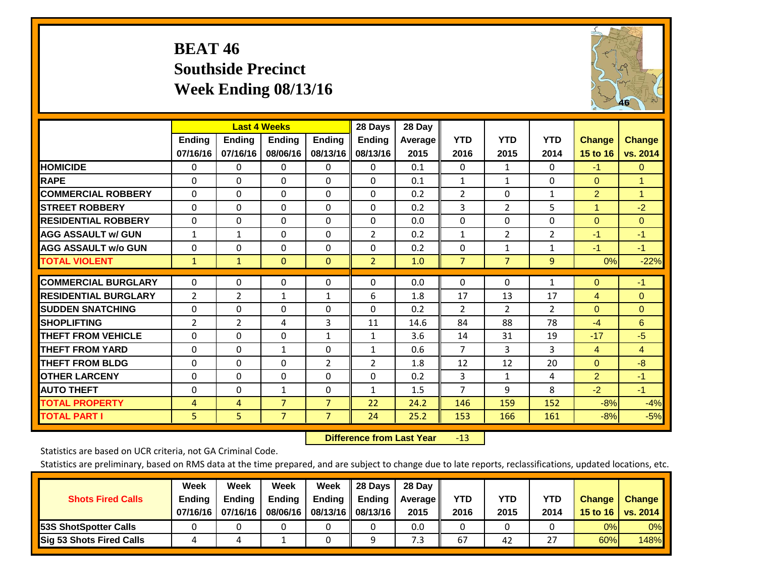## **BEAT 46 Southside Precinct Week Ending 08/13/16**



|                             |                    | <b>Last 4 Weeks</b>       |                    |                           | 28 Days                   | 28 Day             |                    |                    |                    |                           |                           |
|-----------------------------|--------------------|---------------------------|--------------------|---------------------------|---------------------------|--------------------|--------------------|--------------------|--------------------|---------------------------|---------------------------|
|                             | Ending<br>07/16/16 | <b>Ending</b><br>07/16/16 | Ending<br>08/06/16 | <b>Ending</b><br>08/13/16 | <b>Ending</b><br>08/13/16 | Average   <br>2015 | <b>YTD</b><br>2016 | <b>YTD</b><br>2015 | <b>YTD</b><br>2014 | <b>Change</b><br>15 to 16 | <b>Change</b><br>vs. 2014 |
| <b>HOMICIDE</b>             | 0                  | 0                         | 0                  | $\Omega$                  | 0                         | 0.1                | $\Omega$           | $\mathbf{1}$       | 0                  | $-1$                      | $\Omega$                  |
| <b>RAPE</b>                 | $\Omega$           | $\Omega$                  | $\Omega$           | $\Omega$                  | $\Omega$                  | 0.1                | $\mathbf{1}$       | 1                  | $\Omega$           | $\Omega$                  | $\mathbf{1}$              |
| <b>COMMERCIAL ROBBERY</b>   | $\mathbf{0}$       | 0                         | $\Omega$           | $\mathbf{0}$              | $\Omega$                  | 0.2                | 2                  | $\Omega$           | $\mathbf{1}$       | $\overline{2}$            | $\mathbf{1}$              |
| <b>STREET ROBBERY</b>       | $\mathbf{0}$       | $\Omega$                  | $\Omega$           | $\mathbf{0}$              | $\Omega$                  | 0.2                | 3                  | $\overline{2}$     | 5                  | $\blacktriangleleft$      | $-2$                      |
| <b>RESIDENTIAL ROBBERY</b>  | $\Omega$           | 0                         | $\Omega$           | $\mathbf{0}$              | $\Omega$                  | 0.0                | $\Omega$           | $\Omega$           | 0                  | $\mathbf{0}$              | $\Omega$                  |
| <b>AGG ASSAULT w/ GUN</b>   | $\mathbf{1}$       | $\mathbf{1}$              | $\Omega$           | $\mathbf{0}$              | $\overline{2}$            | 0.2                | $\mathbf{1}$       | $\overline{2}$     | $\overline{2}$     | $-1$                      | $-1$                      |
| <b>AGG ASSAULT w/o GUN</b>  | 0                  | 0                         | $\Omega$           | 0                         | $\Omega$                  | 0.2                | 0                  | $\mathbf{1}$       | $\mathbf{1}$       | $-1$                      | $-1$                      |
| <b>TOTAL VIOLENT</b>        | $\mathbf{1}$       | $\mathbf{1}$              | $\mathbf{0}$       | $\mathbf{0}$              | $\overline{2}$            | 1.0                | $\overline{7}$     | $\overline{7}$     | 9                  | 0%                        | $-22%$                    |
| <b>COMMERCIAL BURGLARY</b>  | $\mathbf{0}$       | $\Omega$                  | $\Omega$           | $\mathbf{0}$              | $\Omega$                  | 0.0                | $\mathbf{0}$       | $\Omega$           | $\mathbf{1}$       | $\mathbf{0}$              | $-1$                      |
| <b>RESIDENTIAL BURGLARY</b> | $\overline{2}$     |                           |                    |                           | 6                         | 1.8                |                    |                    | 17                 |                           | $\Omega$                  |
|                             |                    | 2                         | 1                  | 1                         |                           |                    | 17                 | 13                 |                    | $\overline{4}$            |                           |
| <b>SUDDEN SNATCHING</b>     | 0                  | $\Omega$                  | $\Omega$           | $\Omega$                  | $\Omega$                  | 0.2                | 2                  | $\overline{2}$     | 2                  | $\Omega$                  | $\Omega$                  |
| <b>SHOPLIFTING</b>          | 2                  | 2                         | 4                  | 3                         | 11                        | 14.6               | 84                 | 88                 | 78                 | $-4$                      | 6                         |
| <b>THEFT FROM VEHICLE</b>   | $\Omega$           | $\Omega$                  | $\Omega$           | $\mathbf{1}$              | 1                         | 3.6                | 14                 | 31                 | 19                 | $-17$                     | $-5$                      |
| <b>THEFT FROM YARD</b>      | $\Omega$           | $\Omega$                  | $\mathbf{1}$       | $\mathbf{0}$              | 1                         | 0.6                | $\overline{7}$     | 3                  | 3                  | $\overline{4}$            | 4                         |
| <b>THEFT FROM BLDG</b>      | $\Omega$           | 0                         | $\Omega$           | 2                         | $\overline{2}$            | 1.8                | 12                 | 12                 | 20                 | $\mathbf{0}$              | $-8$                      |
| <b>OTHER LARCENY</b>        | $\Omega$           | $\Omega$                  | $\Omega$           | $\mathbf{0}$              | $\Omega$                  | 0.2                | 3                  | $\mathbf{1}$       | 4                  | $\overline{2}$            | $-1$                      |
| <b>AUTO THEFT</b>           | $\Omega$           | $\Omega$                  | $\mathbf{1}$       | $\Omega$                  | $\mathbf{1}$              | 1.5                | $\overline{7}$     | 9                  | 8                  | $-2$                      | $-1$                      |
| <b>TOTAL PROPERTY</b>       | 4                  | 4                         | $\overline{7}$     | $\overline{7}$            | 22                        | 24.2               | 146                | 159                | 152                | $-8%$                     | $-4%$                     |
| <b>TOTAL PART I</b>         | 5                  | 5                         | $\overline{7}$     | $\overline{7}$            | 24                        | 25.2               | 153                | 166                | 161                | $-8%$                     | $-5%$                     |

 **Difference from Last Year**r -13

Statistics are based on UCR criteria, not GA Criminal Code.

| <b>Shots Fired Calls</b>        | Week<br><b>Ending</b><br>07/16/16 l | Week<br><b>Endina</b><br>07/16/16 | Week<br>Ending<br>08/06/16 | Week<br>Ending | 28 Days<br><b>Ending</b><br>08/13/16    08/13/16 | 28 Day<br>Average II<br>2015 | YTD<br>2016 | YTD<br>2015 | YTD<br>2014 | <b>Change</b><br>15 to 16 $\vert$ | <b>Change</b><br>vs. 2014 |
|---------------------------------|-------------------------------------|-----------------------------------|----------------------------|----------------|--------------------------------------------------|------------------------------|-------------|-------------|-------------|-----------------------------------|---------------------------|
| <b>153S ShotSpotter Calls</b>   |                                     |                                   |                            |                |                                                  | 0.0                          |             |             |             | 0%                                | 0%                        |
| <b>Sig 53 Shots Fired Calls</b> |                                     |                                   |                            |                |                                                  | 7.3                          | 67          | 42          | --          | 60%                               | 148%                      |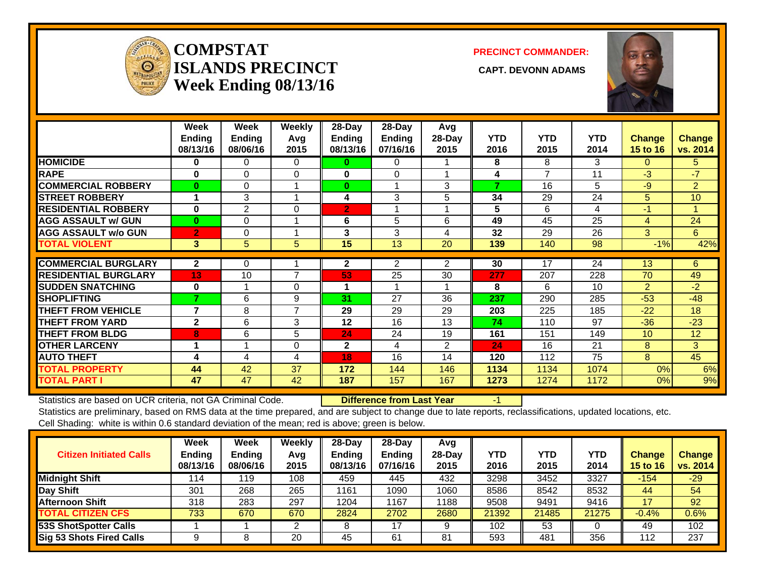

### **COMPSTATISLANDS PRECINCT** CAPT. DEVONN ADAMS **Week Ending 08/13/16**

**PRECINCT COMMANDER:**



|                             | Week<br>Ending<br>08/13/16 | Week<br><b>Ending</b><br>08/06/16 | Weekly<br>Avg<br>2015 | $28$ -Day<br><b>Ending</b><br>08/13/16 | $28$ -Day<br><b>Ending</b><br>07/16/16 | Avg<br>28-Day<br>2015 | <b>YTD</b><br>2016 | <b>YTD</b><br>2015 | <b>YTD</b><br>2014 | <b>Change</b><br><b>15 to 16</b> | <b>Change</b><br>vs. 2014 |
|-----------------------------|----------------------------|-----------------------------------|-----------------------|----------------------------------------|----------------------------------------|-----------------------|--------------------|--------------------|--------------------|----------------------------------|---------------------------|
| <b>HOMICIDE</b>             | 0                          | $\Omega$                          | $\Omega$              | 0                                      | 0                                      |                       | 8                  | 8                  | 3                  | 0                                | 5.                        |
| <b>RAPE</b>                 | $\bf{0}$                   | $\Omega$                          | $\Omega$              | 0                                      | 0                                      |                       | 4                  | 7                  | 11                 | $-3$                             | $-7$                      |
| <b>COMMERCIAL ROBBERY</b>   | $\bf{0}$                   | 0                                 |                       | $\bf{0}$                               |                                        | 3                     | 7                  | 16                 | 5                  | $-9$                             | $\overline{2}$            |
| <b>STREET ROBBERY</b>       |                            | 3                                 |                       | 4                                      | 3                                      | 5                     | 34                 | 29                 | 24                 | 5                                | 10                        |
| <b>RESIDENTIAL ROBBERY</b>  | $\bf{0}$                   | 2                                 | $\Omega$              | $\overline{2}$                         |                                        |                       | 5                  | 6                  | 4                  | $-1$                             | 4                         |
| <b>AGG ASSAULT w/ GUN</b>   | $\bf{0}$                   | $\mathbf 0$                       |                       | 6                                      | 5                                      | 6                     | 49                 | 45                 | 25                 | 4                                | 24                        |
| <b>AGG ASSAULT w/o GUN</b>  | $\overline{2}$             | 0                                 |                       | 3                                      | 3                                      | 4                     | 32                 | 29                 | 26                 | 3                                | 6                         |
| <b>TOTAL VIOLENT</b>        | 3                          | 5                                 | 5                     | 15                                     | 13                                     | 20                    | 139                | 140                | 98                 | $-1%$                            | 42%                       |
| <b>COMMERCIAL BURGLARY</b>  | $\mathbf{2}$               | 0                                 |                       | $\mathbf{2}$                           | $\overline{2}$                         | 2                     | 30                 | 17                 | 24                 | 13                               | 6                         |
| <b>RESIDENTIAL BURGLARY</b> | 13                         | 10                                | 7                     | 53                                     | 25                                     | 30                    | 277                | 207                | 228                | 70                               | 49                        |
| <b>SUDDEN SNATCHING</b>     | $\bf{0}$                   |                                   | 0                     |                                        |                                        |                       | 8                  | 6                  | 10                 | $\overline{2}$                   | $-2$                      |
| <b>SHOPLIFTING</b>          | 7                          | 6                                 | 9                     | 31                                     | 27                                     | 36                    | 237                | 290                | 285                | $-53$                            | $-48$                     |
| <b>THEFT FROM VEHICLE</b>   | 7                          | 8                                 | 7                     | 29                                     | 29                                     | 29                    | 203                | 225                | 185                | $-22$                            | 18                        |
| <b>THEFT FROM YARD</b>      | $\mathbf{2}$               | 6                                 | 3                     | 12                                     | 16                                     | 13                    | 74                 | 110                | 97                 | $-36$                            | $-23$                     |
| <b>THEFT FROM BLDG</b>      | 8                          | 6                                 | 5                     | 24                                     | 24                                     | 19                    | 161                | 151                | 149                | 10 <sup>°</sup>                  | 12                        |
| <b>OTHER LARCENY</b>        |                            |                                   | $\Omega$              | $\mathbf{2}$                           | 4                                      | 2                     | 24                 | 16                 | 21                 | 8                                | 3                         |
| <b>AUTO THEFT</b>           | 4                          | 4                                 | 4                     | 18                                     | 16                                     | 14                    | 120                | 112                | 75                 | 8                                | 45                        |
| <b>TOTAL PROPERTY</b>       | 44                         | 42                                | 37                    | 172                                    | 144                                    | 146                   | 1134               | 1134               | 1074               | 0%                               | 6%                        |
| <b>TOTAL PART I</b>         | 47                         | 47                                | 42                    | 187                                    | 157                                    | 167                   | 1273               | 1274               | 1172               | 0%                               | 9%                        |

Statistics are based on UCR criteria, not GA Criminal Code. **Difference from Last Year** -1

| <b>Citizen Initiated Calls</b> | Week<br><b>Ending</b><br>08/13/16 | Week<br><b>Ending</b><br>08/06/16 | Weekly<br>Avg<br>2015 | $28$ -Day<br><b>Ending</b><br>08/13/16 | 28-Dav<br><b>Ending</b><br>07/16/16 | Avg<br>$28-Dav$<br>2015 | YTD<br>2016 | <b>YTD</b><br>2015 | YTD<br>2014 | Change<br><b>15 to 16</b> | <b>Change</b><br>vs. 2014 |
|--------------------------------|-----------------------------------|-----------------------------------|-----------------------|----------------------------------------|-------------------------------------|-------------------------|-------------|--------------------|-------------|---------------------------|---------------------------|
| <b>Midnight Shift</b>          | 114                               | 119                               | 108                   | 459                                    | 445                                 | 432                     | 3298        | 3452               | 3327        | -154                      | $-29/$                    |
| Day Shift                      | 301                               | 268                               | 265                   | 1161                                   | 1090                                | 1060                    | 8586        | 8542               | 8532        | 44                        | 54                        |
| <b>Afternoon Shift</b>         | 318                               | 283                               | 297                   | 1204                                   | 1167                                | 1188                    | 9508        | 9491               | 9416        |                           | 92                        |
| <b>TOTAL CITIZEN CFS</b>       | 733                               | 670                               | 670                   | 2824                                   | 2702                                | 2680                    | 21392       | 21485              | 21275       | $-0.4%$                   | 0.6%                      |
| 53S ShotSpotter Calls          |                                   |                                   |                       |                                        | 17                                  |                         | 102         | 53                 |             | 49                        | 102                       |
| Sig 53 Shots Fired Calls       |                                   |                                   | 20                    | 45                                     | 61                                  | 81                      | 593         | 481                | 356         | 112                       | 237                       |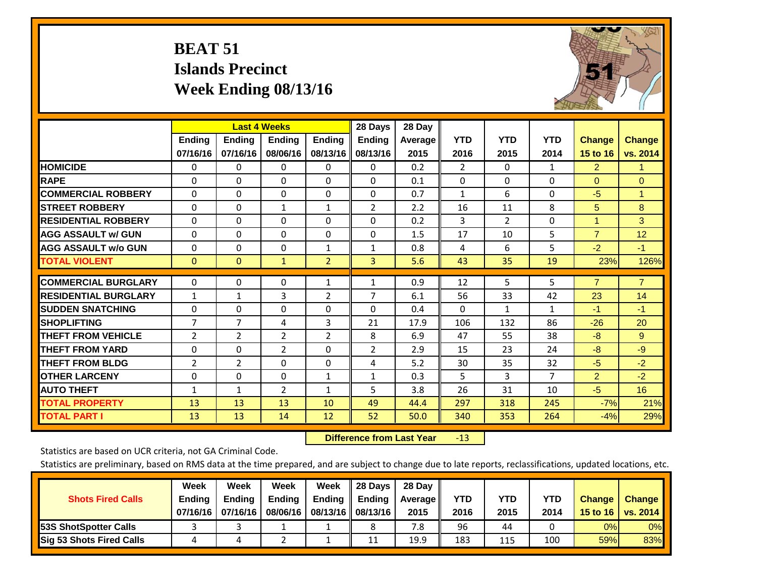## **BEAT 51 Islands Precinct Week Ending 08/13/16**



|                             |                | <b>Last 4 Weeks</b> |                |                | 28 Days        | 28 Day  |                |              |                |                      |                |
|-----------------------------|----------------|---------------------|----------------|----------------|----------------|---------|----------------|--------------|----------------|----------------------|----------------|
|                             | <b>Ending</b>  | <b>Ending</b>       | <b>Endina</b>  | <b>Ending</b>  | <b>Ending</b>  | Average | <b>YTD</b>     | <b>YTD</b>   | <b>YTD</b>     | <b>Change</b>        | <b>Change</b>  |
|                             | 07/16/16       | 07/16/16            | 08/06/16       | 08/13/16       | 08/13/16       | 2015    | 2016           | 2015         | 2014           | 15 to 16             | vs. 2014       |
| <b>HOMICIDE</b>             | 0              | 0                   | $\Omega$       | $\Omega$       | 0              | 0.2     | $\overline{2}$ | $\mathbf{0}$ | 1              | $\overline{2}$       | 1.             |
| <b>RAPE</b>                 | 0              | $\Omega$            | $\Omega$       | $\Omega$       | 0              | 0.1     | $\Omega$       | $\Omega$     | $\Omega$       | $\Omega$             | $\Omega$       |
| <b>COMMERCIAL ROBBERY</b>   | $\Omega$       | $\Omega$            | $\Omega$       | $\Omega$       | 0              | 0.7     | 1              | 6            | $\Omega$       | $-5$                 | $\mathbf{1}$   |
| <b>ISTREET ROBBERY</b>      | $\Omega$       | $\Omega$            | $\mathbf{1}$   | $\mathbf{1}$   | $\overline{2}$ | 2.2     | 16             | 11           | 8              | 5                    | 8              |
| <b>RESIDENTIAL ROBBERY</b>  | $\Omega$       | $\Omega$            | $\Omega$       | $\Omega$       | $\Omega$       | 0.2     | 3              | 2            | $\Omega$       | $\blacktriangleleft$ | 3              |
| <b>AGG ASSAULT w/ GUN</b>   | $\Omega$       | $\Omega$            | $\Omega$       | $\mathbf{0}$   | $\Omega$       | 1.5     | 17             | 10           | 5              | $\overline{7}$       | 12             |
| <b>AGG ASSAULT w/o GUN</b>  | $\Omega$       | 0                   | $\Omega$       | 1              | $\mathbf{1}$   | 0.8     | 4              | 6            | 5              | $-2$                 | $-1$           |
| <b>TOTAL VIOLENT</b>        | $\mathbf{0}$   | $\Omega$            | $\mathbf{1}$   | $\overline{2}$ | 3              | 5.6     | 43             | 35           | 19             | 23%                  | 126%           |
|                             |                |                     |                |                |                |         |                |              |                |                      |                |
| <b>COMMERCIAL BURGLARY</b>  | $\Omega$       | $\Omega$            | $\Omega$       | 1              | 1              | 0.9     | 12             | 5            | 5              | $\overline{7}$       | $\overline{7}$ |
| <b>RESIDENTIAL BURGLARY</b> | $\mathbf{1}$   | 1                   | 3              | $\overline{2}$ | 7              | 6.1     | 56             | 33           | 42             | 23                   | 14             |
| <b>SUDDEN SNATCHING</b>     | 0              | 0                   | $\Omega$       | $\Omega$       | 0              | 0.4     | $\Omega$       | $\mathbf{1}$ | 1              | $-1$                 | $-1$           |
| <b>SHOPLIFTING</b>          | 7              | $\overline{7}$      | 4              | 3              | 21             | 17.9    | 106            | 132          | 86             | $-26$                | 20             |
| <b>THEFT FROM VEHICLE</b>   | $\overline{2}$ | $\overline{2}$      | $\overline{2}$ | 2              | 8              | 6.9     | 47             | 55           | 38             | $-8$                 | 9              |
| <b>THEFT FROM YARD</b>      | 0              | $\Omega$            | $\overline{2}$ | $\mathbf 0$    | $\overline{2}$ | 2.9     | 15             | 23           | 24             | $-8$                 | $-9$           |
| <b>THEFT FROM BLDG</b>      | $\overline{2}$ | $\overline{2}$      | $\Omega$       | $\mathbf{0}$   | 4              | 5.2     | 30             | 35           | 32             | $-5$                 | $-2$           |
| <b>OTHER LARCENY</b>        | $\Omega$       | 0                   | $\mathbf{0}$   | 1              | $\mathbf{1}$   | 0.3     | 5              | 3            | $\overline{7}$ | $\overline{2}$       | $-2$           |
| <b>AUTO THEFT</b>           | $\mathbf{1}$   | $\mathbf{1}$        | $\overline{2}$ | $\mathbf{1}$   | 5              | 3.8     | 26             | 31           | 10             | $-5$                 | 16             |
| <b>TOTAL PROPERTY</b>       | 13             | 13                  | 13             | 10             | 49             | 44.4    | 297            | 318          | 245            | $-7%$                | 21%            |
| <b>TOTAL PART I</b>         | 13             | 13                  | 14             | 12             | 52             | 50.0    | 340            | 353          | 264            | $-4%$                | 29%            |

 **Difference from Last Year**r -13

Statistics are based on UCR criteria, not GA Criminal Code.

| <b>Shots Fired Calls</b>        | Week<br><b>Ending</b><br>07/16/16 l | Week<br><b>Endina</b><br>07/16/16 | Week<br>Ending<br>08/06/16 | Week<br>Ending | 28 Days<br><b>Ending</b><br>08/13/16    08/13/16 | 28 Day<br>Average II<br>2015 | YTD<br>2016 | YTD<br>2015 | YTD<br>2014 | <b>Change</b><br>15 to 16 | <b>Change</b><br>vs. 2014 |
|---------------------------------|-------------------------------------|-----------------------------------|----------------------------|----------------|--------------------------------------------------|------------------------------|-------------|-------------|-------------|---------------------------|---------------------------|
| <b>153S ShotSpotter Calls</b>   |                                     |                                   |                            |                |                                                  | 7.8                          | 96          | 44          |             | 0%                        | 0%                        |
| <b>Sig 53 Shots Fired Calls</b> |                                     |                                   |                            |                | 11                                               | 19.9                         | 183         | 115         | 100         | 59%                       | 83%                       |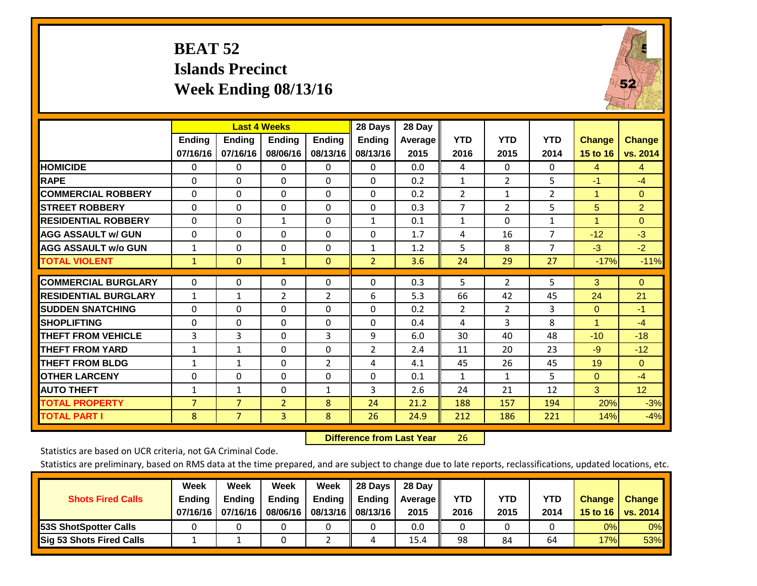## **BEAT 52 Islands Precinct Week Ending 08/13/16**



|                             |                    | <b>Last 4 Weeks</b>       |                           |                           | 28 Days                   | 28 Day          |                    |                    |                    |                                  |                           |
|-----------------------------|--------------------|---------------------------|---------------------------|---------------------------|---------------------------|-----------------|--------------------|--------------------|--------------------|----------------------------------|---------------------------|
|                             | Ending<br>07/16/16 | <b>Endina</b><br>07/16/16 | <b>Endina</b><br>08/06/16 | <b>Endina</b><br>08/13/16 | <b>Endina</b><br>08/13/16 | Average<br>2015 | <b>YTD</b><br>2016 | <b>YTD</b><br>2015 | <b>YTD</b><br>2014 | <b>Change</b><br><b>15 to 16</b> | <b>Change</b><br>vs. 2014 |
| <b>HOMICIDE</b>             | 0                  | 0                         | 0                         | 0                         | 0                         | 0.0             | 4                  | $\Omega$           | 0                  | 4                                | $\overline{4}$            |
| <b>RAPE</b>                 | 0                  | 0                         | $\Omega$                  | $\Omega$                  | $\Omega$                  | 0.2             | 1                  | $\overline{2}$     | 5                  | $-1$                             | $-4$                      |
| <b>COMMERCIAL ROBBERY</b>   | $\Omega$           | 0                         | $\Omega$                  | $\Omega$                  | $\Omega$                  | 0.2             | $\overline{2}$     | $\mathbf{1}$       | $\overline{2}$     | 1                                | $\Omega$                  |
| <b>STREET ROBBERY</b>       | $\Omega$           | $\Omega$                  | 0                         | $\mathbf{0}$              | $\Omega$                  | 0.3             | $\overline{7}$     | $\overline{2}$     | 5                  | 5                                | $\overline{2}$            |
| <b>RESIDENTIAL ROBBERY</b>  | $\Omega$           | 0                         | 1                         | $\Omega$                  | $\mathbf{1}$              | 0.1             | 1                  | $\Omega$           | 1                  | 4                                | $\Omega$                  |
| <b>AGG ASSAULT w/ GUN</b>   | $\Omega$           | $\Omega$                  | $\Omega$                  | $\Omega$                  | $\Omega$                  | 1.7             | 4                  | 16                 | $\overline{7}$     | $-12$                            | $-3$                      |
| <b>AGG ASSAULT w/o GUN</b>  | $\mathbf{1}$       | 0                         | 0                         | $\Omega$                  | $\mathbf{1}$              | 1.2             | 5                  | 8                  | $\overline{7}$     | $-3$                             | $-2$                      |
| <b>TOTAL VIOLENT</b>        | $\mathbf{1}$       | $\mathbf{0}$              | $\mathbf{1}$              | $\mathbf{0}$              | $\overline{2}$            | 3.6             | 24                 | 29                 | 27                 | $-17%$                           | $-11%$                    |
| <b>COMMERCIAL BURGLARY</b>  | $\Omega$           | $\Omega$                  | 0                         | $\mathbf{0}$              | $\Omega$                  | 0.3             | 5                  | $\overline{2}$     | 5                  | 3                                | $\Omega$                  |
| <b>RESIDENTIAL BURGLARY</b> | $\mathbf{1}$       | 1                         | $\overline{2}$            | 2                         | 6                         | 5.3             | 66                 | 42                 | 45                 | 24                               | 21                        |
| <b>ISUDDEN SNATCHING</b>    | $\Omega$           | 0                         | $\Omega$                  | $\Omega$                  | $\mathbf{0}$              | 0.2             | $\overline{2}$     | $\overline{2}$     | 3                  | $\Omega$                         | $-1$                      |
| <b>SHOPLIFTING</b>          | $\Omega$           | $\Omega$                  | $\Omega$                  | $\Omega$                  | $\Omega$                  | 0.4             | 4                  | 3                  | 8                  | 1                                | $-4$                      |
| <b>THEFT FROM VEHICLE</b>   | 3                  | 3                         | $\Omega$                  | 3                         | 9                         | 6.0             | 30                 | 40                 | 48                 | $-10$                            | $-18$                     |
| <b>THEFT FROM YARD</b>      | $\mathbf{1}$       | 1                         | $\Omega$                  | $\Omega$                  | $\overline{2}$            | 2.4             | 11                 | 20                 | 23                 | $-9$                             | $-12$                     |
| <b>THEFT FROM BLDG</b>      | 1                  | 1                         | $\Omega$                  | $\overline{2}$            | 4                         | 4.1             | 45                 | 26                 | 45                 | 19                               | $\Omega$                  |
| <b>OTHER LARCENY</b>        | 0                  | 0                         | $\Omega$                  | $\Omega$                  | $\Omega$                  | 0.1             | 1                  | $\mathbf{1}$       | 5.                 | $\Omega$                         | $-4$                      |
| <b>AUTO THEFT</b>           | $\mathbf{1}$       | 1                         | 0                         | 1                         | 3                         | 2.6             | 24                 | 21                 | 12                 | 3                                | 12                        |
| <b>TOTAL PROPERTY</b>       | $\overline{7}$     | $\overline{7}$            | $\overline{2}$            | 8                         | 24                        | 21.2            | 188                | 157                | 194                | 20%                              | $-3%$                     |
| <b>TOTAL PART I</b>         | 8                  | $\overline{7}$            | 3                         | 8                         | 26                        | 24.9            | 212                | 186                | 221                | 14%                              | $-4%$                     |

 **Difference from Last Year**r 26

Statistics are based on UCR criteria, not GA Criminal Code.

| <b>Shots Fired Calls</b>        | Week<br><b>Ending</b><br>07/16/16 | Week<br><b>Endina</b><br>07/16/16 | Week<br>Ending<br>08/06/16 | Week<br>Ending | 28 Days<br><b>Ending</b><br>08/13/16    08/13/16 | 28 Day<br>Average II<br>2015 | YTD<br>2016 | YTD<br>2015 | <b>YTD</b><br>2014 | <b>Change</b><br>15 to $16$ | <b>Change</b><br>vs. 2014 |
|---------------------------------|-----------------------------------|-----------------------------------|----------------------------|----------------|--------------------------------------------------|------------------------------|-------------|-------------|--------------------|-----------------------------|---------------------------|
| <b>153S ShotSpotter Calls</b>   |                                   |                                   |                            |                |                                                  | 0.0                          |             |             |                    | 0%                          | 0%                        |
| <b>Sig 53 Shots Fired Calls</b> |                                   |                                   |                            |                |                                                  | 15.4                         | 98          | 84          | 64                 | 17%                         | 53%                       |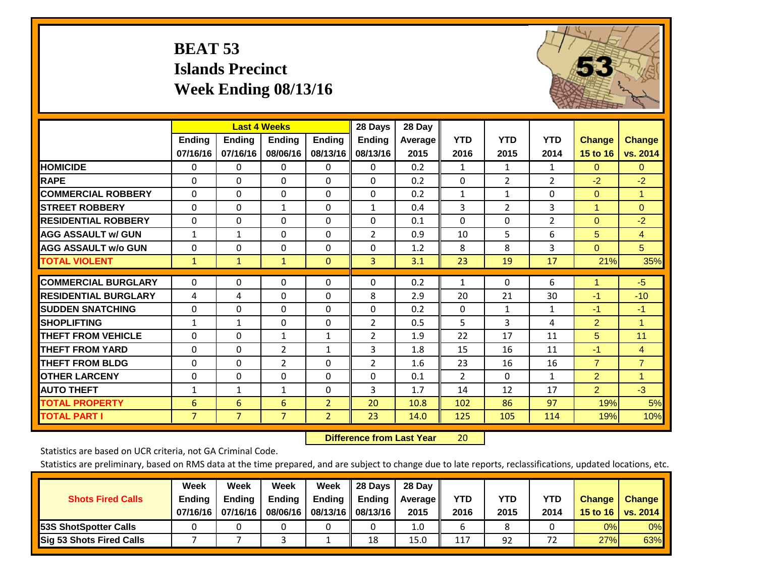# **BEAT 53 Islands Precinct Week Ending 08/13/16**



|                             |                |                | <b>Last 4 Weeks</b> |                | 28 Days        | 28 Day         |                |                |                |                |                |
|-----------------------------|----------------|----------------|---------------------|----------------|----------------|----------------|----------------|----------------|----------------|----------------|----------------|
|                             | Ending         | <b>Ending</b>  | <b>Endina</b>       | <b>Ending</b>  | <b>Ending</b>  | <b>Average</b> | <b>YTD</b>     | <b>YTD</b>     | <b>YTD</b>     | <b>Change</b>  | <b>Change</b>  |
|                             | 07/16/16       | 07/16/16       | 08/06/16            | 08/13/16       | 08/13/16       | 2015           | 2016           | 2015           | 2014           | 15 to 16       | vs. 2014       |
| <b>HOMICIDE</b>             | 0              | 0              | 0                   | 0              | 0              | 0.2            | $\mathbf{1}$   | $\mathbf{1}$   | 1              | $\Omega$       | $\mathbf{0}$   |
| <b>RAPE</b>                 | $\Omega$       | 0              | $\mathbf{0}$        | $\Omega$       | $\Omega$       | 0.2            | 0              | $\overline{2}$ | $\overline{2}$ | $-2$           | $-2$           |
| <b>COMMERCIAL ROBBERY</b>   | $\Omega$       | 0              | 0                   | $\Omega$       | $\Omega$       | 0.2            | 1              | 1              | $\Omega$       | $\Omega$       | $\mathbf{1}$   |
| <b>STREET ROBBERY</b>       | 0              | $\Omega$       | $\mathbf{1}$        | 0              | $\mathbf{1}$   | 0.4            | 3              | 2              | 3              | $\overline{1}$ | $\overline{0}$ |
| <b>RESIDENTIAL ROBBERY</b>  | $\Omega$       | 0              | $\mathbf 0$         | $\Omega$       | $\Omega$       | 0.1            | $\mathbf{0}$   | $\Omega$       | $\overline{2}$ | $\Omega$       | $-2$           |
| <b>AGG ASSAULT w/ GUN</b>   | $\mathbf{1}$   | 1              | 0                   | $\Omega$       | $\overline{2}$ | 0.9            | 10             | 5              | 6              | 5              | $\overline{4}$ |
| <b>AGG ASSAULT w/o GUN</b>  | $\Omega$       | 0              | $\mathbf 0$         | $\Omega$       | $\Omega$       | 1.2            | 8              | 8              | 3              | $\Omega$       | 5 <sup>5</sup> |
| <b>TOTAL VIOLENT</b>        | $\mathbf{1}$   | $\mathbf{1}$   | $\mathbf{1}$        | $\mathbf{0}$   | 3              | 3.1            | 23             | 19             | 17             | 21%            | 35%            |
| <b>COMMERCIAL BURGLARY</b>  | 0              | 0              | $\mathbf 0$         | 0              | $\Omega$       | 0.2            | 1              | $\Omega$       | 6              | 1              | $-5$           |
|                             |                |                |                     |                |                |                |                |                |                |                |                |
| <b>RESIDENTIAL BURGLARY</b> | 4              | 4              | $\mathbf{0}$        | $\Omega$       | 8              | 2.9            | 20             | 21             | 30             | $-1$           | $-10$          |
| <b>SUDDEN SNATCHING</b>     | $\Omega$       | 0              | $\mathbf{0}$        | $\Omega$       | $\Omega$       | 0.2            | $\mathbf{0}$   | 1              | $\mathbf{1}$   | $-1$           | $-1$           |
| <b>SHOPLIFTING</b>          | 1              | 1              | $\mathbf{0}$        | $\Omega$       | $\overline{2}$ | 0.5            | 5              | 3              | 4              | $\overline{2}$ | $\mathbf{1}$   |
| <b>THEFT FROM VEHICLE</b>   | $\Omega$       | 0              | $\mathbf{1}$        | $\mathbf{1}$   | $\overline{2}$ | 1.9            | 22             | 17             | 11             | 5              | 11             |
| <b>THEFT FROM YARD</b>      | 0              | $\Omega$       | $\overline{2}$      | 1              | 3              | 1.8            | 15             | 16             | 11             | $-1$           | $\overline{4}$ |
| <b>THEFT FROM BLDG</b>      | 0              | 0              | $\overline{2}$      | $\Omega$       | $\overline{2}$ | 1.6            | 23             | 16             | 16             | $\overline{7}$ | $\overline{7}$ |
| <b>OTHER LARCENY</b>        | 0              | 0              | $\mathbf{0}$        | $\Omega$       | $\Omega$       | 0.1            | $\overline{2}$ | 0              | 1              | $\overline{2}$ | $\mathbf{1}$   |
| <b>AUTO THEFT</b>           | $\mathbf{1}$   | $\mathbf{1}$   | $\mathbf{1}$        | 0              | 3              | 1.7            | 14             | 12             | 17             | $\overline{2}$ | $-3$           |
| <b>TOTAL PROPERTY</b>       | 6              | 6              | 6                   | $\overline{2}$ | 20             | 10.8           | 102            | 86             | 97             | 19%            | 5%             |
| <b>TOTAL PART I</b>         | $\overline{7}$ | $\overline{7}$ | $\overline{7}$      | $\overline{2}$ | 23             | 14.0           | 125            | 105            | 114            | 19%            | 10%            |

 **Difference from Last Year**r 20

Statistics are based on UCR criteria, not GA Criminal Code.

| <b>Shots Fired Calls</b>        | Week<br><b>Ending</b><br>07/16/16 | Week<br><b>Endina</b><br>07/16/16 | Week<br>Ending<br>08/06/16 | Week<br>Ending | 28 Days<br><b>Ending</b><br>08/13/16    08/13/16 | 28 Day<br>Average II<br>2015 | YTD<br>2016 | YTD<br>2015 | YTD<br>2014 | <b>Change</b><br>15 to 16 $\vert$ | <b>Change</b><br>vs. 2014 |
|---------------------------------|-----------------------------------|-----------------------------------|----------------------------|----------------|--------------------------------------------------|------------------------------|-------------|-------------|-------------|-----------------------------------|---------------------------|
| <b>153S ShotSpotter Calls</b>   |                                   |                                   |                            |                |                                                  | 1.0                          |             |             |             | 0%                                | 0%                        |
| <b>Sig 53 Shots Fired Calls</b> |                                   |                                   |                            |                | 18                                               | 15.0                         | 117         | 92          |             | 27%                               | 63%                       |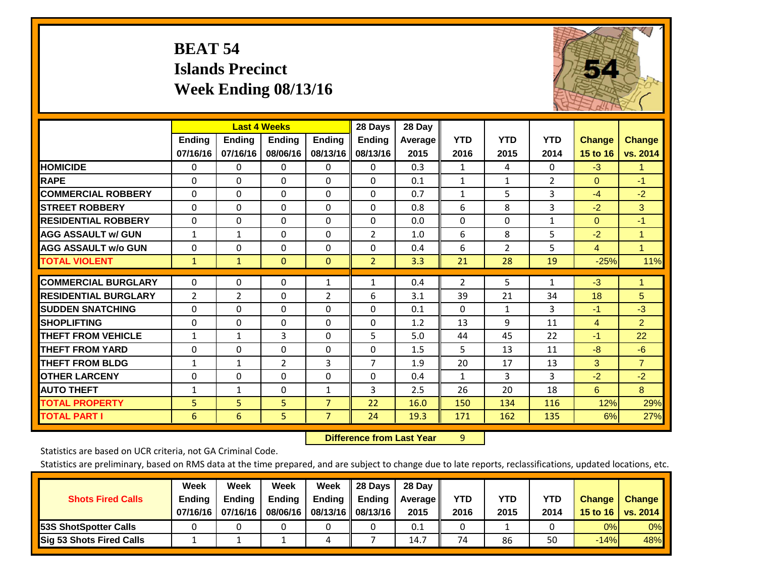## **BEAT 54 Islands Precinct Week Ending 08/13/16**



|                             |               | <b>Last 4 Weeks</b> |                |                | 28 Days        | 28 Day         |              |                |              |                |                |
|-----------------------------|---------------|---------------------|----------------|----------------|----------------|----------------|--------------|----------------|--------------|----------------|----------------|
|                             | <b>Ending</b> | <b>Ending</b>       | <b>Ending</b>  | <b>Endina</b>  | <b>Ending</b>  | <b>Average</b> | <b>YTD</b>   | <b>YTD</b>     | <b>YTD</b>   | <b>Change</b>  | <b>Change</b>  |
|                             | 07/16/16      | 07/16/16            | 08/06/16       | 08/13/16       | 08/13/16       | 2015           | 2016         | 2015           | 2014         | 15 to 16       | vs. 2014       |
| <b>HOMICIDE</b>             | 0             | 0                   | 0              | $\Omega$       | 0              | 0.3            | 1            | 4              | 0            | $-3$           | $\mathbf{1}$   |
| <b>RAPE</b>                 | $\Omega$      | $\Omega$            | $\Omega$       | $\Omega$       | $\Omega$       | 0.1            | 1            | $\mathbf{1}$   | 2            | $\mathbf{0}$   | $-1$           |
| <b>COMMERCIAL ROBBERY</b>   | $\Omega$      | $\Omega$            | $\Omega$       | $\Omega$       | $\Omega$       | 0.7            | $\mathbf{1}$ | 5              | 3            | $-4$           | $-2$           |
| <b>STREET ROBBERY</b>       | 0             | $\Omega$            | 0              | 0              | $\Omega$       | 0.8            | 6            | 8              | 3            | $-2$           | 3              |
| <b>RESIDENTIAL ROBBERY</b>  | $\Omega$      | $\Omega$            | $\Omega$       | 0              | $\Omega$       | 0.0            | $\Omega$     | 0              | $\mathbf{1}$ | $\mathbf{0}$   | $-1$           |
| <b>AGG ASSAULT w/ GUN</b>   | $\mathbf{1}$  | $\mathbf{1}$        | $\Omega$       | 0              | $\overline{2}$ | 1.0            | 6            | 8              | 5            | $-2$           | $\mathbf{1}$   |
| <b>AGG ASSAULT w/o GUN</b>  | $\Omega$      | $\Omega$            | $\Omega$       | $\Omega$       | $\Omega$       | 0.4            | 6            | $\overline{2}$ | 5            | $\overline{4}$ | $\mathbf{1}$   |
| <b>TOTAL VIOLENT</b>        | $\mathbf{1}$  | $\mathbf{1}$        | $\overline{0}$ | $\overline{0}$ | $\overline{2}$ | 3.3            | 21           | 28             | 19           | $-25%$         | 11%            |
| <b>COMMERCIAL BURGLARY</b>  | 0             | $\Omega$            | $\Omega$       | 1              | 1              | 0.4            | 2            | 5              | 1            | $-3$           | 1              |
|                             |               |                     |                |                |                |                |              |                |              |                |                |
| <b>RESIDENTIAL BURGLARY</b> | 2             | $\overline{2}$      | $\Omega$       | $\overline{2}$ | 6              | 3.1            | 39           | 21             | 34           | 18             | 5              |
| <b>SUDDEN SNATCHING</b>     | $\Omega$      | $\Omega$            | $\mathbf{0}$   | 0              | $\Omega$       | 0.1            | $\mathbf{0}$ | 1              | 3            | $-1$           | $-3$           |
| <b>SHOPLIFTING</b>          | $\Omega$      | $\Omega$            | $\Omega$       | 0              | $\Omega$       | 1.2            | 13           | 9              | 11           | $\overline{4}$ | $\overline{2}$ |
| <b>THEFT FROM VEHICLE</b>   | $\mathbf{1}$  | 1                   | 3              | 0              | 5              | 5.0            | 44           | 45             | 22           | $-1$           | 22             |
| <b>THEFT FROM YARD</b>      | $\mathbf 0$   | $\Omega$            | $\Omega$       | $\Omega$       | $\Omega$       | 1.5            | 5            | 13             | 11           | $-8$           | $-6$           |
| <b>THEFT FROM BLDG</b>      | 1             | $\mathbf{1}$        | 2              | 3              | 7              | 1.9            | 20           | 17             | 13           | 3              | $\overline{7}$ |
| <b>OTHER LARCENY</b>        | $\Omega$      | $\Omega$            | $\Omega$       | $\Omega$       | $\Omega$       | 0.4            | 1            | 3              | 3            | $-2$           | $-2$           |
| <b>AUTO THEFT</b>           | $\mathbf{1}$  | $\mathbf{1}$        | $\Omega$       | $\mathbf{1}$   | 3              | 2.5            | 26           | 20             | 18           | 6              | 8              |
| <b>TOTAL PROPERTY</b>       | 5             | 5                   | 5              | $\overline{7}$ | 22             | 16.0           | 150          | 134            | 116          | 12%            | 29%            |
| <b>TOTAL PART I</b>         | 6             | 6                   | 5              | $\overline{7}$ | 24             | 19.3           | 171          | 162            | 135          | 6%             | 27%            |

 **Difference from Last Year**r 9

Statistics are based on UCR criteria, not GA Criminal Code.

| <b>Shots Fired Calls</b>        | Week<br><b>Ending</b><br>07/16/16 l | Week<br><b>Endina</b><br>07/16/16 | Week<br>Ending<br>08/06/16 | Week<br>Ending | 28 Days<br><b>Ending</b><br>08/13/16    08/13/16 | 28 Day<br>Average II<br>2015 | YTD<br>2016 | YTD<br>2015 | YTD<br>2014 | <b>Change</b><br>15 to 16 $\vert$ | <b>Change</b><br>vs. 2014 |
|---------------------------------|-------------------------------------|-----------------------------------|----------------------------|----------------|--------------------------------------------------|------------------------------|-------------|-------------|-------------|-----------------------------------|---------------------------|
| <b>153S ShotSpotter Calls</b>   |                                     |                                   |                            |                |                                                  | 0.1                          |             |             |             | 0%                                | 0%                        |
| <b>Sig 53 Shots Fired Calls</b> |                                     |                                   |                            |                |                                                  | 14.7                         | 74          | 86          | 50          | $-14%$                            | 48%                       |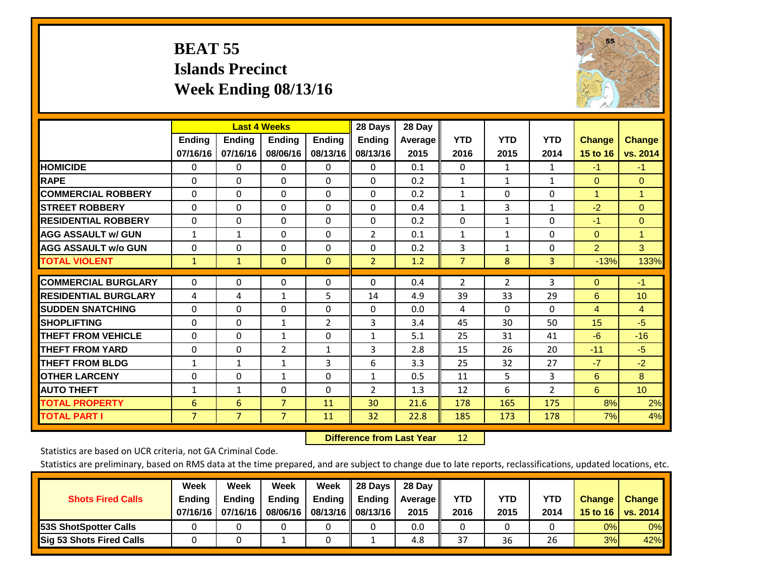## **BEAT 55 Islands Precinct Week Ending 08/13/16**



|                             |                | <b>Last 4 Weeks</b> |                |                | 28 Days        | 28 Day  |                |              |                |                |                      |
|-----------------------------|----------------|---------------------|----------------|----------------|----------------|---------|----------------|--------------|----------------|----------------|----------------------|
|                             | Ending         | <b>Ending</b>       | <b>Ending</b>  | <b>Ending</b>  | <b>Ending</b>  | Average | <b>YTD</b>     | <b>YTD</b>   | <b>YTD</b>     | <b>Change</b>  | <b>Change</b>        |
|                             | 07/16/16       | 07/16/16            | 08/06/16       | 08/13/16       | 08/13/16       | 2015    | 2016           | 2015         | 2014           | 15 to 16       | vs. 2014             |
| <b>HOMICIDE</b>             | $\mathbf{0}$   | $\Omega$            | 0              | $\Omega$       | $\Omega$       | 0.1     | $\Omega$       | $\mathbf{1}$ | $\mathbf{1}$   | $-1$           | $-1$                 |
| <b>RAPE</b>                 | $\Omega$       | $\Omega$            | $\Omega$       | 0              | $\Omega$       | 0.2     | 1              | 1            | $\mathbf{1}$   | $\Omega$       | $\Omega$             |
| <b>COMMERCIAL ROBBERY</b>   | $\Omega$       | $\Omega$            | $\Omega$       | $\Omega$       | $\Omega$       | 0.2     | $\mathbf{1}$   | $\Omega$     | $\Omega$       | $\overline{1}$ | $\blacktriangleleft$ |
| <b>STREET ROBBERY</b>       | $\Omega$       | $\Omega$            | $\Omega$       | $\Omega$       | $\Omega$       | 0.4     | $\mathbf{1}$   | 3            | $\mathbf{1}$   | $-2$           | $\Omega$             |
| <b>RESIDENTIAL ROBBERY</b>  | 0              | $\Omega$            | $\Omega$       | $\Omega$       | $\Omega$       | 0.2     | $\mathbf{0}$   | $\mathbf{1}$ | 0              | $-1$           | $\Omega$             |
| <b>AGG ASSAULT w/ GUN</b>   | $\mathbf{1}$   | 1                   | $\Omega$       | $\Omega$       | $\overline{2}$ | 0.1     | 1              | 1            | 0              | $\mathbf{0}$   | $\mathbf{1}$         |
| <b>AGG ASSAULT w/o GUN</b>  | $\Omega$       | $\Omega$            | $\Omega$       | $\Omega$       | $\Omega$       | 0.2     | 3              | $\mathbf{1}$ | 0              | $\overline{2}$ | 3                    |
| <b>TOTAL VIOLENT</b>        | 1              | $\mathbf{1}$        | $\mathbf{0}$   | $\mathbf{0}$   | $\overline{2}$ | 1.2     | $\overline{7}$ | 8            | 3              | $-13%$         | 133%                 |
| <b>COMMERCIAL BURGLARY</b>  |                | $\Omega$            |                |                | $\Omega$       |         |                |              |                |                | $-1$                 |
|                             | $\mathbf 0$    |                     | 0              | 0              |                | 0.4     | $\overline{2}$ | 2            | 3              | $\mathbf{0}$   |                      |
| <b>RESIDENTIAL BURGLARY</b> | 4              | 4                   | 1              | 5.             | 14             | 4.9     | 39             | 33           | 29             | 6              | 10 <sup>°</sup>      |
| <b>ISUDDEN SNATCHING</b>    | $\Omega$       | $\Omega$            | $\Omega$       | $\Omega$       | $\Omega$       | 0.0     | 4              | 0            | 0              | $\overline{4}$ | 4                    |
| <b>SHOPLIFTING</b>          | $\Omega$       | $\Omega$            | $\mathbf{1}$   | $\overline{2}$ | 3              | 3.4     | 45             | 30           | 50             | 15             | $-5$                 |
| <b>THEFT FROM VEHICLE</b>   | $\Omega$       | $\Omega$            | $\mathbf{1}$   | $\Omega$       | $\mathbf{1}$   | 5.1     | 25             | 31           | 41             | $-6$           | $-16$                |
| <b>THEFT FROM YARD</b>      | $\mathbf 0$    | $\Omega$            | $\overline{2}$ | $\mathbf{1}$   | 3              | 2.8     | 15             | 26           | 20             | $-11$          | $-5$                 |
| <b>THEFT FROM BLDG</b>      | $\mathbf{1}$   | $\mathbf{1}$        | 1              | 3              | 6              | 3.3     | 25             | 32           | 27             | $-7$           | $-2$                 |
| <b>OTHER LARCENY</b>        | 0              | $\Omega$            | $\mathbf{1}$   | $\Omega$       | $\mathbf{1}$   | 0.5     | 11             | 5.           | 3              | 6              | 8                    |
| <b>AUTO THEFT</b>           | $\mathbf{1}$   | 1                   | $\Omega$       | $\Omega$       | $\overline{2}$ | 1.3     | 12             | 6            | $\overline{2}$ | 6              | 10 <sub>1</sub>      |
| <b>TOTAL PROPERTY</b>       | 6              | 6                   | $\overline{7}$ | 11             | 30             | 21.6    | 178            | 165          | 175            | 8%             | 2%                   |
| <b>TOTAL PART I</b>         | $\overline{7}$ | $\overline{7}$      | $\overline{7}$ | 11             | 32             | 22.8    | 185            | 173          | 178            | 7%             | 4%                   |

 **Difference from Last Year**r 12

Statistics are based on UCR criteria, not GA Criminal Code.

| <b>Shots Fired Calls</b>        | Week<br><b>Ending</b><br>07/16/16 l | Week<br><b>Endina</b><br>07/16/16 | Week<br>Ending<br>08/06/16 | Week<br>Ending | 28 Days<br><b>Ending</b><br>08/13/16    08/13/16 | 28 Day<br>Average II<br>2015 | YTD<br>2016 | YTD<br>2015 | YTD<br>2014 | <b>Change</b><br>15 to 16 $\vert$ | <b>Change</b><br>vs. 2014 |
|---------------------------------|-------------------------------------|-----------------------------------|----------------------------|----------------|--------------------------------------------------|------------------------------|-------------|-------------|-------------|-----------------------------------|---------------------------|
| <b>153S ShotSpotter Calls</b>   |                                     |                                   |                            |                |                                                  | 0.0                          |             |             |             | 0%                                | 0%                        |
| <b>Sig 53 Shots Fired Calls</b> |                                     |                                   |                            |                |                                                  | 4.8                          | 37          | 36          | 26          | 3%                                | 42%                       |